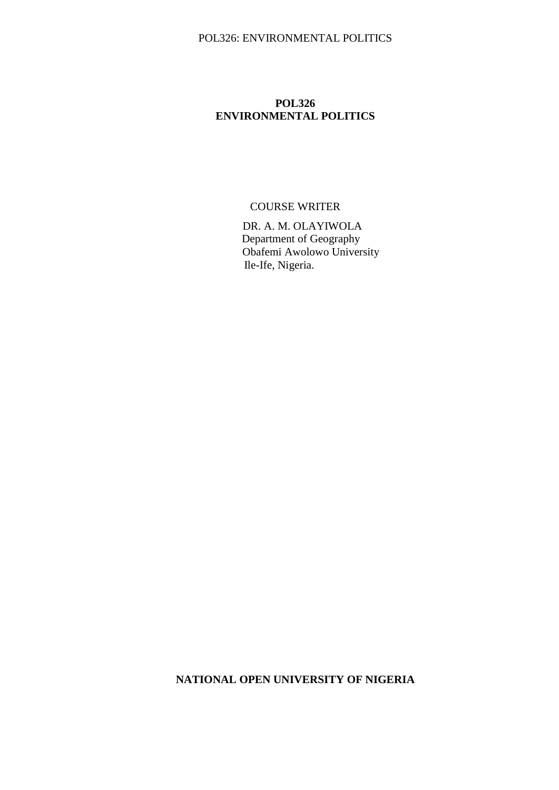### **POL326 ENVIRONMENTAL POLITICS**

#### COURSE WRITER

 DR. A. M. OLAYIWOLA Department of Geography Obafemi Awolowo University Ile-Ife, Nigeria.

# **NATIONAL OPEN UNIVERSITY OF NIGERIA**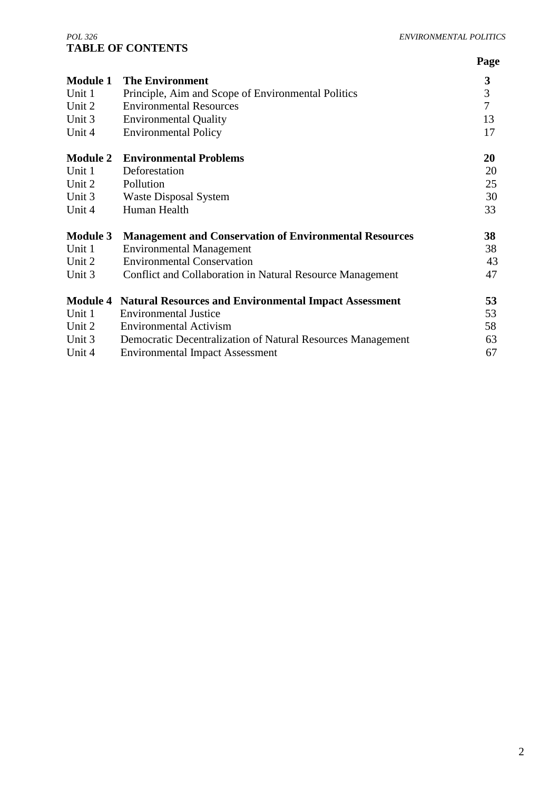#### *POL 326 ENVIRONMENTAL POLITICS* **TABLE OF CONTENTS**

|                 |                                                               | Page           |
|-----------------|---------------------------------------------------------------|----------------|
| <b>Module 1</b> | <b>The Environment</b>                                        | 3              |
| Unit 1          | Principle, Aim and Scope of Environmental Politics            | 3              |
| Unit 2          | <b>Environmental Resources</b>                                | $\overline{7}$ |
| Unit 3          | <b>Environmental Quality</b>                                  | 13             |
| Unit 4          | <b>Environmental Policy</b>                                   | 17             |
| <b>Module 2</b> | <b>Environmental Problems</b>                                 | <b>20</b>      |
| Unit 1          | Deforestation                                                 | 20             |
| Unit 2          | Pollution                                                     | 25             |
| Unit 3          | <b>Waste Disposal System</b>                                  | 30             |
| Unit 4          | Human Health                                                  | 33             |
| <b>Module 3</b> | <b>Management and Conservation of Environmental Resources</b> | 38             |
| Unit 1          | <b>Environmental Management</b>                               | 38             |
| Unit 2          | <b>Environmental Conservation</b>                             | 43             |
| Unit 3          | Conflict and Collaboration in Natural Resource Management     | 47             |
| <b>Module 4</b> | <b>Natural Resources and Environmental Impact Assessment</b>  | 53             |
| Unit 1          | <b>Environmental Justice</b>                                  | 53             |
| Unit 2          | <b>Environmental Activism</b>                                 | 58             |
| Unit 3          | Democratic Decentralization of Natural Resources Management   | 63             |
| Unit 4          | <b>Environmental Impact Assessment</b>                        | 67             |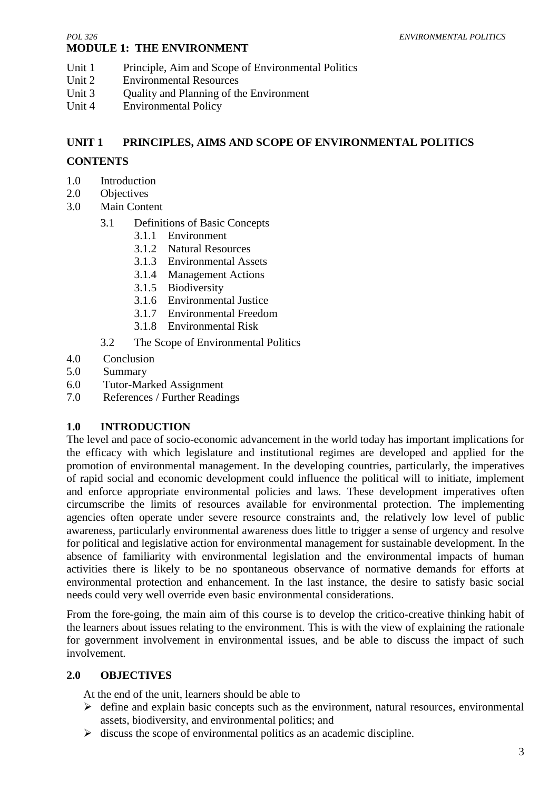# **MODULE 1: THE ENVIRONMENT**

- Unit 1 Principle, Aim and Scope of Environmental Politics
- Unit 2 Environmental Resources
- Unit 3 Quality and Planning of the Environment
- Unit 4 Environmental Policy

# **UNIT 1 PRINCIPLES, AIMS AND SCOPE OF ENVIRONMENTAL POLITICS**

# **CONTENTS**

- 1.0 Introduction
- 2.0 Objectives
- 3.0 Main Content
	- 3.1 Definitions of Basic Concepts
		- 3.1.1 Environment
		- 3.1.2 Natural Resources
		- 3.1.3 Environmental Assets
		- 3.1.4 Management Actions
		- 3.1.5 Biodiversity
		- 3.1.6 Environmental Justice
		- 3.1.7 Environmental Freedom
		- 3.1.8 Environmental Risk
	- 3.2 The Scope of Environmental Politics
- 4.0 Conclusion
- 5.0 Summary
- 6.0 Tutor-Marked Assignment
- 7.0 References / Further Readings

# **1.0 INTRODUCTION**

The level and pace of socio-economic advancement in the world today has important implications for the efficacy with which legislature and institutional regimes are developed and applied for the promotion of environmental management. In the developing countries, particularly, the imperatives of rapid social and economic development could influence the political will to initiate, implement and enforce appropriate environmental policies and laws. These development imperatives often circumscribe the limits of resources available for environmental protection. The implementing agencies often operate under severe resource constraints and, the relatively low level of public awareness, particularly environmental awareness does little to trigger a sense of urgency and resolve for political and legislative action for environmental management for sustainable development. In the absence of familiarity with environmental legislation and the environmental impacts of human activities there is likely to be no spontaneous observance of normative demands for efforts at environmental protection and enhancement. In the last instance, the desire to satisfy basic social needs could very well override even basic environmental considerations.

From the fore-going, the main aim of this course is to develop the critico-creative thinking habit of the learners about issues relating to the environment. This is with the view of explaining the rationale for government involvement in environmental issues, and be able to discuss the impact of such involvement.

# **2.0 OBJECTIVES**

At the end of the unit, learners should be able to

- $\triangleright$  define and explain basic concepts such as the environment, natural resources, environmental assets, biodiversity, and environmental politics; and
- $\triangleright$  discuss the scope of environmental politics as an academic discipline.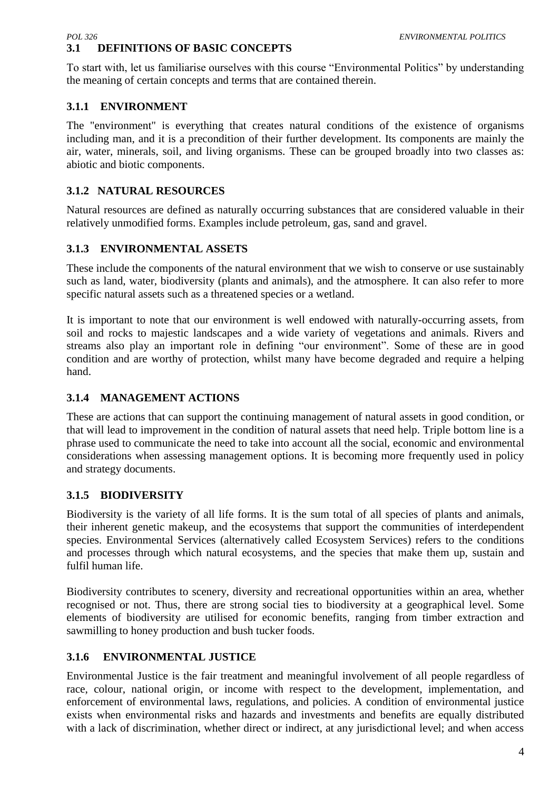# **3.1 DEFINITIONS OF BASIC CONCEPTS**

To start with, let us familiarise ourselves with this course "Environmental Politics" by understanding the meaning of certain concepts and terms that are contained therein.

# **3.1.1 ENVIRONMENT**

The "environment" is everything that creates natural conditions of the existence of organisms including man, and it is a precondition of their further development. Its components are mainly the air, water, minerals, soil, and living organisms. These can be grouped broadly into two classes as: abiotic and biotic components.

# **3.1.2 NATURAL RESOURCES**

Natural resources are defined as naturally occurring substances that are considered valuable in their relatively unmodified forms. Examples include petroleum, gas, sand and gravel.

# **3.1.3 ENVIRONMENTAL ASSETS**

These include the components of the natural environment that we wish to conserve or use sustainably such as land, water, biodiversity (plants and animals), and the atmosphere. It can also refer to more specific natural assets such as a threatened species or a wetland.

It is important to note that our environment is well endowed with naturally-occurring assets, from soil and rocks to majestic landscapes and a wide variety of vegetations and animals. Rivers and streams also play an important role in defining "our environment". Some of these are in good condition and are worthy of protection, whilst many have become degraded and require a helping hand.

# **3.1.4 MANAGEMENT ACTIONS**

These are actions that can support the continuing management of natural assets in good condition, or that will lead to improvement in the condition of natural assets that need help. Triple bottom line is a phrase used to communicate the need to take into account all the social, economic and environmental considerations when assessing management options. It is becoming more frequently used in policy and strategy documents.

# **3.1.5 BIODIVERSITY**

Biodiversity is the variety of all life forms. It is the sum total of all species of plants and animals, their inherent genetic makeup, and the ecosystems that support the communities of interdependent species. Environmental Services (alternatively called Ecosystem Services) refers to the conditions and processes through which natural ecosystems, and the species that make them up, sustain and fulfil human life.

Biodiversity contributes to scenery, diversity and recreational opportunities within an area, whether recognised or not. Thus, there are strong social ties to biodiversity at a geographical level. Some elements of biodiversity are utilised for economic benefits, ranging from timber extraction and sawmilling to honey production and bush tucker foods.

# **3.1.6 ENVIRONMENTAL JUSTICE**

Environmental Justice is the fair treatment and meaningful involvement of all people regardless of race, colour, national origin, or income with respect to the development, implementation, and enforcement of environmental laws, regulations, and policies. A condition of environmental justice exists when environmental risks and hazards and investments and benefits are equally distributed with a lack of discrimination, whether direct or indirect, at any jurisdictional level; and when access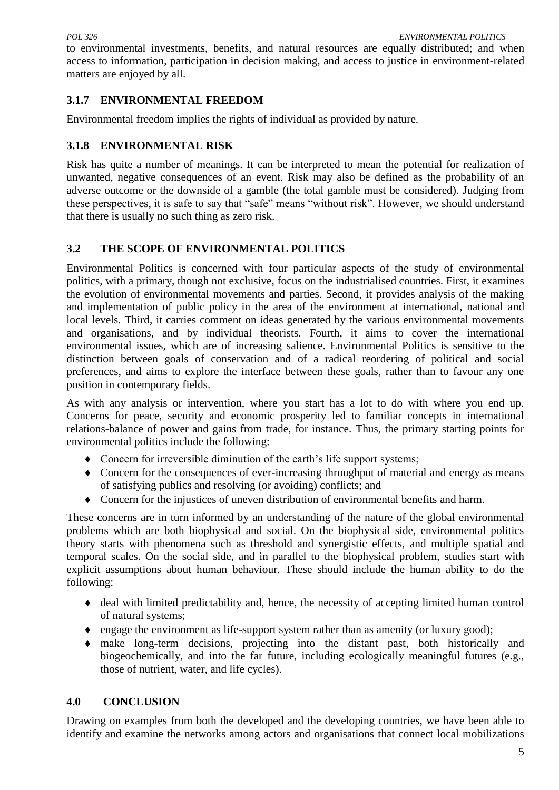to environmental investments, benefits, and natural resources are equally distributed; and when access to information, participation in decision making, and access to justice in environment-related matters are enjoyed by all.

# **3.1.7 ENVIRONMENTAL [FREEDOM](http://www.holisticpolitics.org/WhatIsFreedom/)**

Environmental [freedom](http://www.holisticpolitics.org/WhatIsFreedom/) implies the rights of individual as provided by nature.

# **3.1.8 ENVIRONMENTAL RISK**

Risk has quite a number of meanings. It can be interpreted to mean the potential for realization of unwanted, negative consequences of an event. Risk may also be defined as the probability of an adverse outcome or the downside of a gamble (the total gamble must be considered). Judging from these perspectives, it is safe to say that "safe" means "without risk". However, we should understand that there is usually no such thing as zero risk.

# **3.2 THE SCOPE OF ENVIRONMENTAL POLITICS**

Environmental Politics is concerned with four particular aspects of the study of environmental politics, with a primary, though not exclusive, focus on the industrialised countries. First, it examines the evolution of environmental movements and parties. Second, it provides analysis of the making and implementation of public policy in the area of the environment at international, national and local levels. Third, it carries comment on ideas generated by the various environmental movements and organisations, and by individual theorists. Fourth, it aims to cover the international environmental issues, which are of increasing salience. Environmental Politics is sensitive to the distinction between goals of conservation and of a radical reordering of political and social preferences, and aims to explore the interface between these goals, rather than to favour any one position in contemporary fields.

As with any analysis or intervention, where you start has a lot to do with where you end up. Concerns for peace, security and economic prosperity led to familiar concepts in international relations-balance of power and gains from trade, for instance. Thus, the primary starting points for environmental politics include the following:

- Concern for irreversible diminution of the earth's life support systems;
- Concern for the consequences of ever-increasing throughput of material and energy as means of satisfying publics and resolving (or avoiding) conflicts; and
- Concern for the injustices of uneven distribution of environmental benefits and harm.

These concerns are in turn informed by an understanding of the nature of the global environmental problems which are both biophysical and social. On the biophysical side, environmental politics theory starts with phenomena such as threshold and synergistic effects, and multiple spatial and temporal scales. On the social side, and in parallel to the biophysical problem, studies start with explicit assumptions about human behaviour. These should include the human ability to do the following:

- deal with limited predictability and, hence, the necessity of accepting limited human control of natural systems;
- engage the environment as life-support system rather than as amenity (or luxury good);
- make long-term decisions, projecting into the distant past, both historically and biogeochemically, and into the far future, including ecologically meaningful futures (e.g., those of nutrient, water, and life cycles).

# **4.0 CONCLUSION**

Drawing on examples from both the developed and the developing countries, we have been able to identify and examine the networks among actors and organisations that connect local mobilizations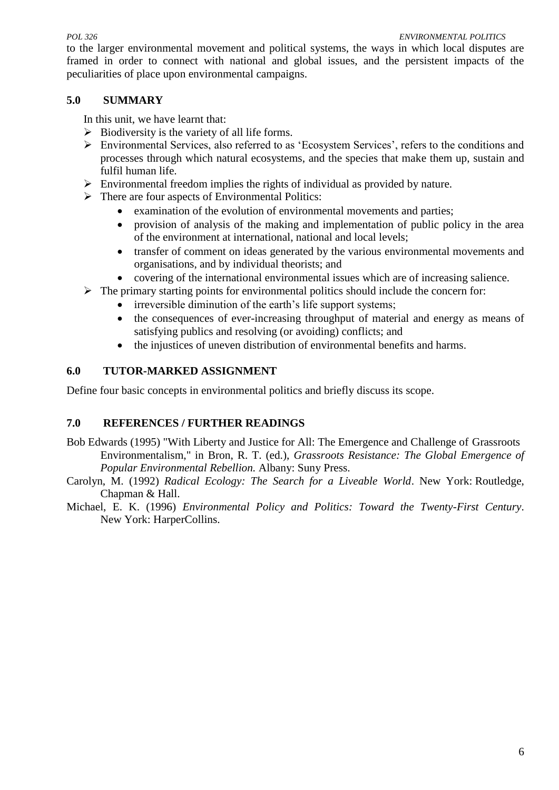to the larger environmental movement and political systems, the ways in which local disputes are framed in order to connect with national and global issues, and the persistent impacts of the peculiarities of place upon environmental campaigns.

# **5.0 SUMMARY**

In this unit, we have learnt that:

- $\triangleright$  Biodiversity is the variety of all life forms.
- Environmental Services, also referred to as 'Ecosystem Services', refers to the conditions and processes through which natural ecosystems, and the species that make them up, sustain and fulfil human life.
- $\triangleright$  Environmental [freedom](http://www.holisticpolitics.org/WhatIsFreedom/) implies the rights of individual as provided by nature.
- $\triangleright$  There are four aspects of Environmental Politics:
	- examination of the evolution of environmental movements and parties;
	- provision of analysis of the making and implementation of public policy in the area of the environment at international, national and local levels;
	- transfer of comment on ideas generated by the various environmental movements and organisations, and by individual theorists; and
	- covering of the international environmental issues which are of increasing salience.
- $\triangleright$  The primary starting points for environmental politics should include the concern for:
	- irreversible diminution of the earth's life support systems;
	- the consequences of ever-increasing throughput of material and energy as means of satisfying publics and resolving (or avoiding) conflicts; and
	- the injustices of uneven distribution of environmental benefits and harms.

# **6.0 TUTOR-MARKED ASSIGNMENT**

Define four basic concepts in environmental politics and briefly discuss its scope.

# **7.0 REFERENCES / FURTHER READINGS**

- Bob Edwards (1995) "With Liberty and Justice for All: The Emergence and Challenge of Grassroots Environmentalism," in Bron, R. T. (ed.), *Grassroots Resistance: The Global Emergence of Popular Environmental Rebellion.* Albany: Suny Press.
- Carolyn, M. (1992) *Radical Ecology: The Search for a Liveable World*. New York: Routledge, Chapman & Hall.
- Michael, E. K. (1996) *Environmental Policy and Politics: Toward the Twenty-First Century*. New York: HarperCollins.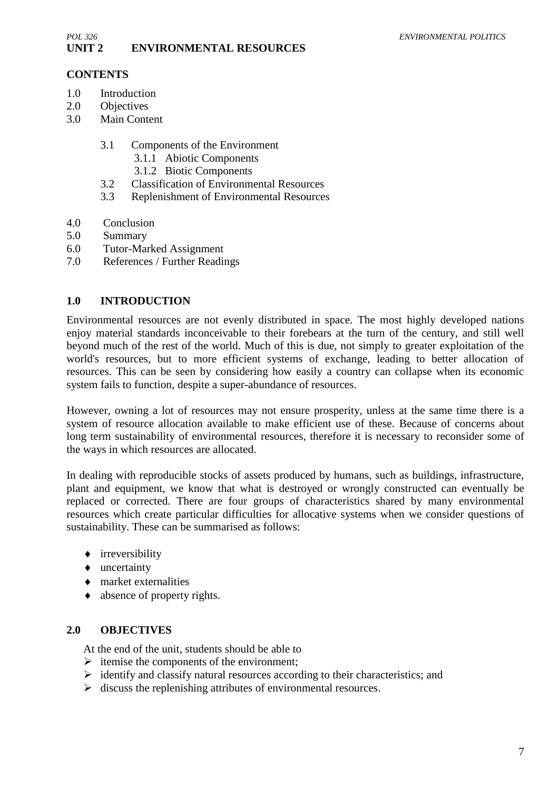### **CONTENTS**

- 1.0 Introduction
- 2.0 Objectives
- 3.0 Main Content
	- 3.1 Components of the Environment
		- 3.1.1 Abiotic Components
		- 3.1.2 Biotic Components
	- 3.2 Classification of Environmental Resources
	- 3.3 Replenishment of Environmental Resources
- 4.0 Conclusion
- 5.0 Summary
- 6.0 Tutor-Marked Assignment
- 7.0 References / Further Readings

### **1.0 INTRODUCTION**

Environmental resources are not evenly distributed in space. The most highly developed nations enjoy material standards inconceivable to their forebears at the turn of the century, and still well beyond much of the rest of the world. Much of this is due, not simply to greater exploitation of the world's resources, but to more efficient systems of exchange, leading to better allocation of resources. This can be seen by considering how easily a country can collapse when its economic system fails to function, despite a super-abundance of resources.

However, owning a lot of resources may not ensure prosperity, unless at the same time there is a system of resource allocation available to make efficient use of these. Because of concerns about long term sustainability of environmental resources, therefore it is necessary to reconsider some of the ways in which resources are allocated.

In dealing with reproducible stocks of assets produced by humans, such as buildings, infrastructure, plant and equipment, we know that what is destroyed or wrongly constructed can eventually be replaced or corrected. There are four groups of characteristics shared by many environmental resources which create particular difficulties for allocative systems when we consider questions of sustainability. These can be summarised as follows:

- $\bullet$  irreversibility
- uncertainty
- market externalities
- absence of property rights.

# **2.0 OBJECTIVES**

At the end of the unit, students should be able to

- $\triangleright$  itemise the components of the environment;
- $\triangleright$  identify and classify natural resources according to their characteristics; and
- $\triangleright$  discuss the replenishing attributes of environmental resources.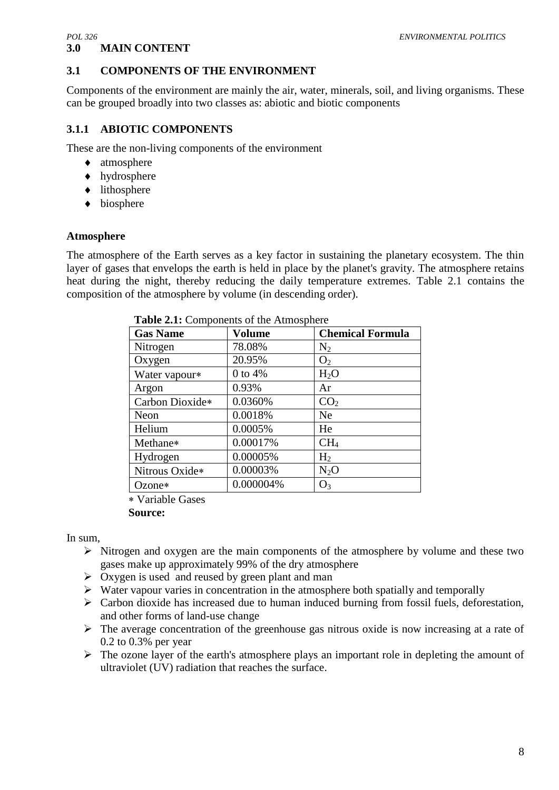### **3.0 MAIN CONTENT**

### **3.1 COMPONENTS OF THE ENVIRONMENT**

Components of the environment are mainly the air, water, minerals, soil, and living organisms. These can be grouped broadly into two classes as: abiotic and biotic components

### **3.1.1 ABIOTIC COMPONENTS**

These are the non-living components of the [environment](http://en.mimi.hu/environment/environment.html)

- ◆ atmosphere
- hydrosphere
- lithosphere
- $\bullet$  biosphere

#### **Atmosphere**

The atmosphere of the Earth serves as a key factor in sustaining the planetary ecosystem. The thin layer of [gases](http://en.wikipedia.org/wiki/Gas) that envelops the earth is held in place by the planet's gravity. The atmosphere retains heat during the night, thereby reducing the daily temperature extremes. Table 2.1 contains the composition of the atmosphere by volume (in descending order).

| <b>Tuble 2011</b> Components of the <i>Extensioners</i> |               |                         |  |  |
|---------------------------------------------------------|---------------|-------------------------|--|--|
| <b>Gas Name</b>                                         | <b>Volume</b> | <b>Chemical Formula</b> |  |  |
| Nitrogen                                                | 78.08%        | $N_2$                   |  |  |
| Oxygen                                                  | 20.95%        | O <sub>2</sub>          |  |  |
| Water vapour*                                           | $0$ to $4%$   | $H_2O$                  |  |  |
| Argon                                                   | 0.93%         | Ar                      |  |  |
| Carbon Dioxide*                                         | 0.0360%       | CO <sub>2</sub>         |  |  |
| Neon                                                    | 0.0018%       | Ne.                     |  |  |
| Helium                                                  | 0.0005%       | He                      |  |  |
| Methane*                                                | 0.00017%      | CH <sub>4</sub>         |  |  |
| Hydrogen                                                | 0.00005%      | H <sub>2</sub>          |  |  |
| Nitrous Oxide*                                          | 0.00003%      | $N_2O$                  |  |  |
| Ozone*                                                  | 0.000004%     | $O_3$                   |  |  |

**Table 2.1:** Components of the Atmosphere

Variable Gases

**Source:**

In sum,

- $\triangleright$  Nitrogen and oxygen are the main components of the atmosphere by volume and these two gases make up approximately 99% of the dry atmosphere
- $\triangleright$  Oxygen is used and reused by green plant and man
- $\triangleright$  Water vapour varies in concentration in the atmosphere both spatially and temporally
- $\triangleright$  Carbon dioxide has increased due to human induced burning from fossil fuels, deforestation, and other forms of land-use change
- $\triangleright$  The average concentration of the greenhouse gas nitrous oxide is now increasing at a rate of 0.2 to 0.3% per year
- $\triangleright$  The [ozone layer](http://en.wikipedia.org/wiki/Ozone_layer) of the earth's atmosphere plays an important role in depleting the amount of [ultraviolet](http://en.wikipedia.org/wiki/Ultraviolet) (UV) radiation that reaches the surface.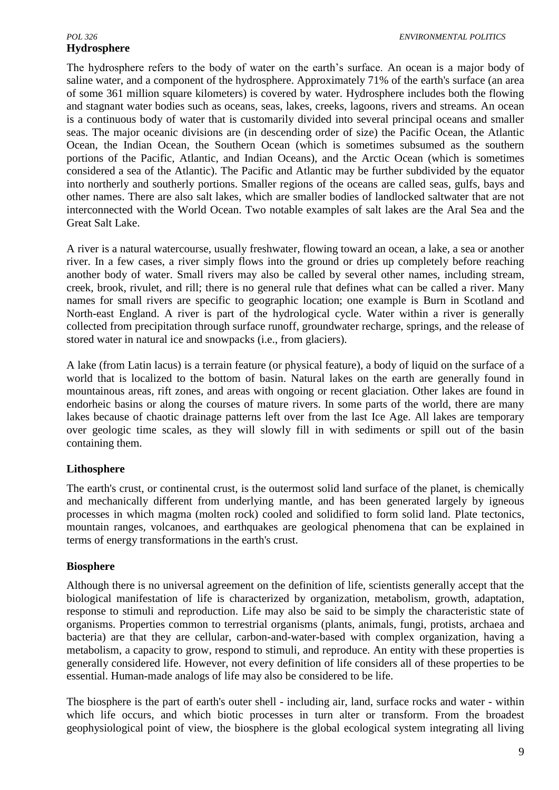# **Hydrosphere**

The hydrosphere refers to the body of water on the earth's surface. An [ocean](http://en.wikipedia.org/wiki/Ocean) is a major body of [saline water,](http://en.wikipedia.org/wiki/Seawater) and a component of the hydrosphere. Approximately 71% of the earth's [surface](http://en.wikipedia.org/wiki/Surface) (an area of some 361 million square kilometers) is covered by water. Hydrosphere includes both the flowing and stagnant water bodies such as oceans, seas, lakes, creeks, lagoons, rivers and streams. An ocean is a [continuous body of water](http://en.wikipedia.org/wiki/World_Ocean) that is customarily divided into several principal oceans and smaller [seas.](http://en.wikipedia.org/wiki/Sea) The major oceanic divisions are (in descending order of size) the [Pacific Ocean,](http://en.wikipedia.org/wiki/Pacific_Ocean) the [Atlantic](http://en.wikipedia.org/wiki/Atlantic_Ocean)  [Ocean,](http://en.wikipedia.org/wiki/Atlantic_Ocean) the [Indian Ocean,](http://en.wikipedia.org/wiki/Indian_Ocean) the [Southern Ocean](http://en.wikipedia.org/wiki/Southern_Ocean) (which is sometimes subsumed as the southern portions of the Pacific, Atlantic, and Indian Oceans), and the [Arctic Ocean](http://en.wikipedia.org/wiki/Arctic_Ocean) (which is sometimes considered a [sea](http://en.wikipedia.org/wiki/Sea) of the Atlantic). The Pacific and Atlantic may be further subdivided by the [equator](http://en.wikipedia.org/wiki/Equator) into [northerly](http://en.wikipedia.org/wiki/North) and [southerly](http://en.wikipedia.org/wiki/South) portions. Smaller regions of the oceans are called [seas,](http://en.wikipedia.org/wiki/Sea) [gulfs,](http://en.wikipedia.org/wiki/Headlands_and_bays) [bays](http://en.wikipedia.org/wiki/Bay) and other names. There are also [salt lakes,](http://en.wikipedia.org/wiki/Salt_lake) which are smaller bodies of landlocked saltwater that are not interconnected with the World Ocean. Two notable examples of salt lakes are the [Aral Sea](http://en.wikipedia.org/wiki/Aral_Sea) and the [Great Salt Lake.](http://en.wikipedia.org/wiki/Great_Salt_Lake)

A [river](http://en.wikipedia.org/wiki/River) is a natural [watercourse,](http://en.wikipedia.org/wiki/Watercourse) usually [freshwater,](http://en.wikipedia.org/wiki/Freshwater) flowing toward an [ocean,](http://en.wikipedia.org/wiki/Ocean) a [lake,](http://en.wikipedia.org/wiki/Lake) a [sea](http://en.wikipedia.org/wiki/Sea) or another river. In a few cases, a river simply flows into the ground or dries up completely before reaching another body of water. Small rivers may also be called by several other names, including [stream,](http://en.wikipedia.org/wiki/Stream) creek, brook, rivulet, and rill; there is no general rule that defines what can be called a river. Many names for small rivers are specific to geographic location; one example is Burn in Scotland and North-east England. A river is part of the [hydrological cycle.](http://en.wikipedia.org/wiki/Hydrological_cycle) Water within a river is generally collected from [precipitation](http://en.wikipedia.org/wiki/Precipitation_(meteorology)) through [surface runoff,](http://en.wikipedia.org/wiki/Surface_runoff) [groundwater](http://en.wikipedia.org/wiki/Groundwater) recharge, [springs,](http://en.wikipedia.org/wiki/Spring_(hydrosphere)) and the release of stored water in natural ice and snowpacks (i.e., from [glaciers\)](http://en.wikipedia.org/wiki/Glacier).

A [lake](http://en.wikipedia.org/wiki/Lake) (from Latin lacus) is a [terrain feature](http://en.wikipedia.org/wiki/Terrain_feature) (or [physical feature\)](http://en.wikipedia.org/wiki/Physical_feature), a body of [liquid](http://en.wikipedia.org/wiki/Liquid) on the surface of a world that is localized to the bottom of [basin.](http://en.wikipedia.org/wiki/Basin) Natural lakes on the earth are generally found in mountainous areas, [rift zones,](http://en.wikipedia.org/wiki/Rift_zone) and areas with ongoing or recent [glaciation.](http://en.wikipedia.org/wiki/Glacier) Other lakes are found in [endorheic basins](http://en.wikipedia.org/wiki/Endorheic_basin) or along the courses of mature rivers. In some parts of the world, there are many lakes because of chaotic drainage patterns left over from the last [Ice Age.](http://en.wikipedia.org/wiki/Ice_Age) All lakes are temporary over geologic time scales, as they will slowly fill in with sediments or spill out of the basin containing them.

# **Lithosphere**

The earth's [crust,](http://en.wikipedia.org/wiki/Crust_(geology)) or [continental](http://en.wikipedia.org/wiki/Continental_crust) crust, is the outermost solid land surface of the planet, is chemically and mechanically different from underlying [mantle,](http://en.wikipedia.org/wiki/Mantle_(geology)) and has been generated largely by [igneous](http://en.wikipedia.org/wiki/Igneous) processes in which magma (molten rock) cooled and solidified to form solid land. [Plate tectonics,](http://en.wikipedia.org/wiki/Plate_tectonics) [mountain ranges,](http://en.wikipedia.org/wiki/Mountain) [volcanoes,](http://en.wikipedia.org/wiki/Volcano) and [earthquakes](http://en.wikipedia.org/wiki/Earthquake) are [geological phenomena](http://en.wikipedia.org/wiki/Geology) that can be explained in terms of [energy transformations](http://en.wikipedia.org/wiki/Energy_transformation) in the earth's crust.

# **Biosphere**

Although there is no universal agreement on the definition of life, scientists generally accept that the biological manifestation of life is characterized by [organization,](http://en.wikipedia.org/wiki/Organism) [metabolism,](http://en.wikipedia.org/wiki/Metabolism) [growth,](http://en.wikipedia.org/wiki/Cell_growth) [adaptation,](http://en.wikipedia.org/wiki/Adaptation) response to [stimuli](http://en.wikipedia.org/wiki/Stimulus_(physiology)) and [reproduction.](http://en.wikipedia.org/wiki/Reproduction) Life may also be said to be simply the characteristic state of [organisms.](http://en.wikipedia.org/wiki/Organism) Properties common to terrestrial organisms [\(plants,](http://en.wikipedia.org/wiki/Plant) [animals,](http://en.wikipedia.org/wiki/Animal) [fungi,](http://en.wikipedia.org/wiki/Fungi) [protists,](http://en.wikipedia.org/wiki/Protist) [archaea](http://en.wikipedia.org/wiki/Archaea) and [bacteria\)](http://en.wikipedia.org/wiki/Bacteria) are that they are [cellular,](http://en.wikipedia.org/wiki/Cell_biology) carbon-and-water-based with complex organization, having a [metabolism,](http://en.wikipedia.org/wiki/Metabolism) a capacity to [grow,](http://en.wikipedia.org/wiki/Growth) respond to [stimuli,](http://en.wikipedia.org/wiki/Stimulus_(physiology)) and [reproduce.](http://en.wikipedia.org/wiki/Reproduction) An entity with these properties is generally considered [life.](http://en.wikipedia.org/wiki/Life) However, not every definition of life considers all of these properties to be essential. Human-made [analogs of life](http://en.wikipedia.org/wiki/Artificial_life) may also be considered to be life.

The [biosphere](http://en.wikipedia.org/wiki/Biosphere) is the part of earth's outer shell - including air, land, surface rocks and water - within which life occurs, and which [biotic](http://en.wikipedia.org/wiki/Biotic) processes in turn alter or transform. From the broadest [geophysiological](http://en.wikipedia.org/wiki/Geophysiology) point of view, the biosphere is the global ecological system integrating all living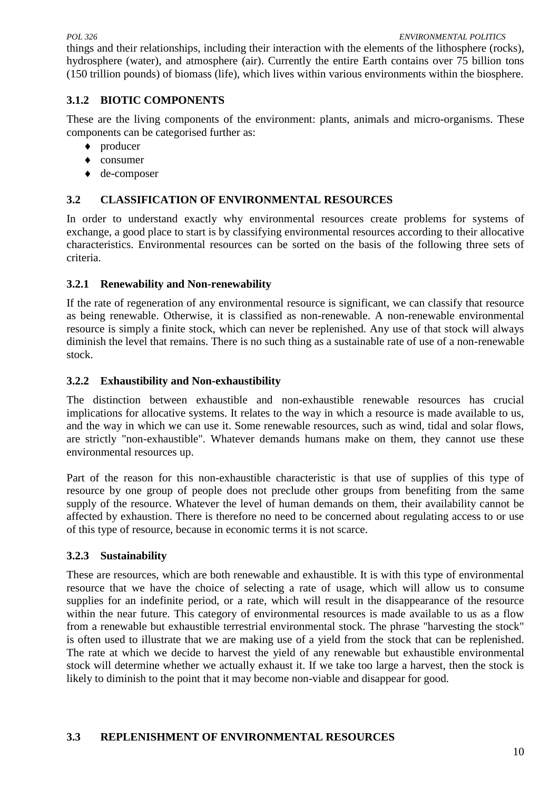things and their relationships, including their interaction with the elements of the [lithosphere](http://en.wikipedia.org/wiki/Lithosphere) (rocks), [hydrosphere](http://en.wikipedia.org/wiki/Hydrosphere) (water), and [atmosphere](http://en.wikipedia.org/wiki/Atmosphere) (air). Currently the entire Earth contains over 75 billion tons (150 trillion pounds) of [biomass](http://en.wikipedia.org/wiki/Biomass_(ecology)) (life), which lives within various environments within the biosphere.

# **3.1.2 BIOTIC COMPONENTS**

These are the living components of the [environment:](http://en.mimi.hu/environment/environment.html) plants, animals and [micro-organisms.](http://en.mimi.hu/environment/microorganisms.html) These components can be categorised further as:

- ◆ producer
- ◆ consumer
- ◆ de-composer

# **3.2 CLASSIFICATION OF ENVIRONMENTAL RESOURCES**

In order to understand exactly why environmental resources create problems for systems of exchange, a good place to start is by classifying environmental resources according to their allocative characteristics. Environmental resources can be sorted on the basis of the following three sets of criteria.

# **3.2.1 Renewability and Non-renewability**

If the rate of regeneration of any environmental resource is significant, we can classify that resource as being renewable. Otherwise, it is classified as non-renewable. A non-renewable environmental resource is simply a finite stock, which can never be replenished. Any use of that stock will always diminish the level that remains. There is no such thing as a sustainable rate of use of a non-renewable stock.

# **3.2.2 Exhaustibility and Non-exhaustibility**

The distinction between exhaustible and non-exhaustible renewable resources has crucial implications for allocative systems. It relates to the way in which a resource is made available to us, and the way in which we can use it. Some renewable resources, such as wind, tidal and solar flows, are strictly "non-exhaustible". Whatever demands humans make on them, they cannot use these environmental resources up.

Part of the reason for this non-exhaustible characteristic is that use of supplies of this type of resource by one group of people does not preclude other groups from benefiting from the same supply of the resource. Whatever the level of human demands on them, their availability cannot be affected by exhaustion. There is therefore no need to be concerned about regulating access to or use of this type of resource, because in economic terms it is not scarce.

# **3.2.3 Sustainability**

These are resources, which are both renewable and exhaustible. It is with this type of environmental resource that we have the choice of selecting a rate of usage, which will allow us to consume supplies for an indefinite period, or a rate, which will result in the disappearance of the resource within the near future. This category of environmental resources is made available to us as a flow from a renewable but exhaustible terrestrial environmental stock. The phrase "harvesting the stock" is often used to illustrate that we are making use of a yield from the stock that can be replenished. The rate at which we decide to harvest the yield of any renewable but exhaustible environmental stock will determine whether we actually exhaust it. If we take too large a harvest, then the stock is likely to diminish to the point that it may become non-viable and disappear for good.

# **3.3 REPLENISHMENT OF ENVIRONMENTAL RESOURCES**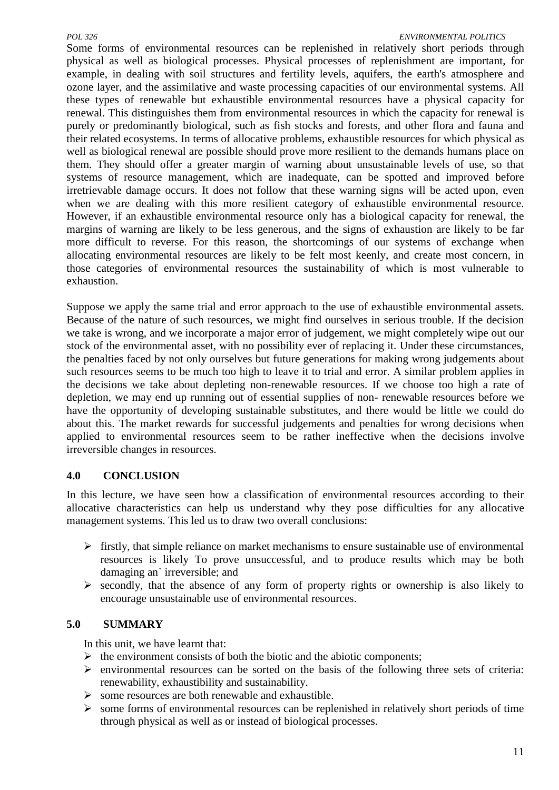#### *POL 326 ENVIRONMENTAL POLITICS*

Some forms of environmental resources can be replenished in relatively short periods through physical as well as biological processes. Physical processes of replenishment are important, for example, in dealing with soil structures and fertility levels, aquifers, the earth's atmosphere and ozone layer, and the assimilative and waste processing capacities of our environmental systems. All these types of renewable but exhaustible environmental resources have a physical capacity for renewal. This distinguishes them from environmental resources in which the capacity for renewal is purely or predominantly biological, such as fish stocks and forests, and other flora and fauna and their related ecosystems. In terms of allocative problems, exhaustible resources for which physical as well as biological renewal are possible should prove more resilient to the demands humans place on them. They should offer a greater margin of warning about unsustainable levels of use, so that systems of resource management, which are inadequate, can be spotted and improved before irretrievable damage occurs. It does not follow that these warning signs will be acted upon, even when we are dealing with this more resilient category of exhaustible environmental resource. However, if an exhaustible environmental resource only has a biological capacity for renewal, the margins of warning are likely to be less generous, and the signs of exhaustion are likely to be far more difficult to reverse. For this reason, the shortcomings of our systems of exchange when allocating environmental resources are likely to be felt most keenly, and create most concern, in those categories of environmental resources the sustainability of which is most vulnerable to exhaustion.

Suppose we apply the same trial and error approach to the use of exhaustible environmental assets. Because of the nature of such resources, we might find ourselves in serious trouble. If the decision we take is wrong, and we incorporate a major error of judgement, we might completely wipe out our stock of the environmental asset, with no possibility ever of replacing it. Under these circumstances, the penalties faced by not only ourselves but future generations for making wrong judgements about such resources seems to be much too high to leave it to trial and error. A similar problem applies in the decisions we take about depleting non-renewable resources. If we choose too high a rate of depletion, we may end up running out of essential supplies of non- renewable resources before we have the opportunity of developing sustainable substitutes, and there would be little we could do about this. The market rewards for successful judgements and penalties for wrong decisions when applied to environmental resources seem to be rather ineffective when the decisions involve irreversible changes in resources.

# **4.0 CONCLUSION**

In this lecture, we have seen how a classification of environmental resources according to their allocative characteristics can help us understand why they pose difficulties for any allocative management systems. This led us to draw two overall conclusions:

- $\triangleright$  firstly, that simple reliance on market mechanisms to ensure sustainable use of environmental resources is likely To prove unsuccessful, and to produce results which may be both damaging an` irreversible; and
- $\triangleright$  secondly, that the absence of any form of property rights or ownership is also likely to encourage unsustainable use of environmental resources.

# **5.0 SUMMARY**

In this unit, we have learnt that:

- $\triangleright$  the environment consists of both the biotic and the abiotic components;
- $\triangleright$  environmental resources can be sorted on the basis of the following three sets of criteria: renewability, exhaustibility and sustainability.
- $\triangleright$  some resources are both renewable and exhaustible.
- $\triangleright$  some forms of environmental resources can be replenished in relatively short periods of time through physical as well as or instead of biological processes.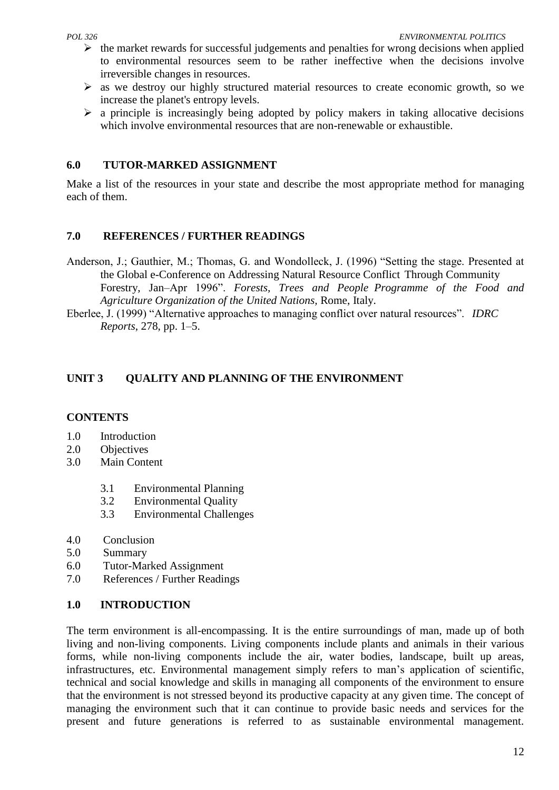- $\triangleright$  the market rewards for successful judgements and penalties for wrong decisions when applied to environmental resources seem to be rather ineffective when the decisions involve irreversible changes in resources.
- $\triangleright$  as we destroy our highly structured material resources to create economic growth, so we increase the planet's entropy levels.
- $\triangleright$  a principle is increasingly being adopted by policy makers in taking allocative decisions which involve environmental resources that are non-renewable or exhaustible.

# **6.0 TUTOR-MARKED ASSIGNMENT**

Make a list of the resources in your state and describe the most appropriate method for managing each of them.

# **7.0 REFERENCES / FURTHER READINGS**

- Anderson, J.; Gauthier, M.; Thomas, G. and Wondolleck, J. (1996) "Setting the stage. Presented at the Global e-Conference on Addressing Natural Resource Conflict Through Community Forestry, Jan–Apr 1996". *Forests, Trees and People Programme of the Food and Agriculture Organization of the United Nations,* Rome, Italy.
- Eberlee, J. (1999) "Alternative approaches to managing conflict over natural resources". *IDRC Reports*, 278, pp. 1–5.

# UNIT 3 OUALITY AND PLANNING OF THE ENVIRONMENT

# **CONTENTS**

- 1.0 Introduction
- 2.0 Objectives
- 3.0 Main Content
	- 3.1 Environmental Planning
	- 3.2 Environmental Quality
	- 3.3 Environmental Challenges
- 4.0 Conclusion
- 5.0 Summary
- 6.0 Tutor-Marked Assignment
- 7.0 References / Further Readings

# **1.0 INTRODUCTION**

The term environment is all-encompassing. It is the entire surroundings of man, made up of both living and non-living components. Living components include plants and animals in their various forms, while non-living components include the air, water bodies, landscape, built up areas, infrastructures, etc. Environmental management simply refers to man's application of scientific, technical and social knowledge and skills in managing all components of the environment to ensure that the environment is not stressed beyond its productive capacity at any given time. The concept of managing the environment such that it can continue to provide basic needs and services for the present and future generations is referred to as sustainable environmental management.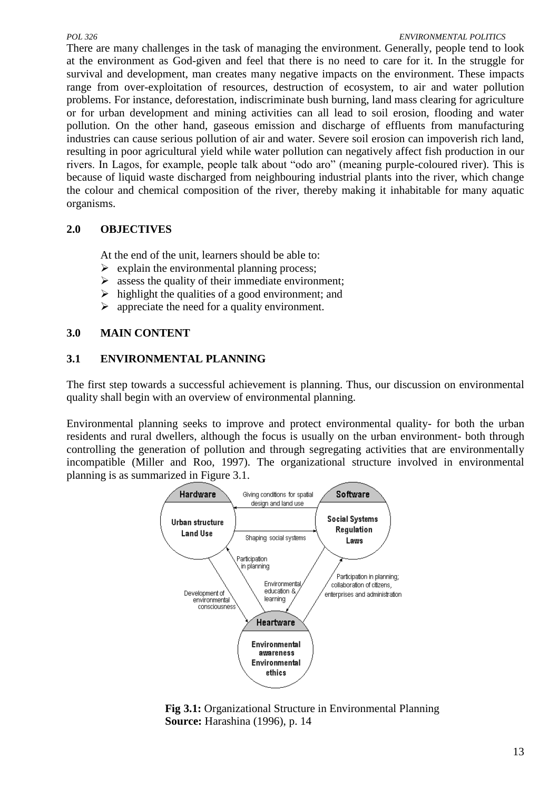#### *POL 326 ENVIRONMENTAL POLITICS*

There are many challenges in the task of managing the environment. Generally, people tend to look at the environment as God-given and feel that there is no need to care for it. In the struggle for survival and development, man creates many negative impacts on the environment. These impacts range from over-exploitation of resources, destruction of ecosystem, to air and water pollution problems. For instance, deforestation, indiscriminate bush burning, land mass clearing for agriculture or for urban development and mining activities can all lead to soil erosion, flooding and water pollution. On the other hand, gaseous emission and discharge of effluents from manufacturing industries can cause serious pollution of air and water. Severe soil erosion can impoverish rich land, resulting in poor agricultural yield while water pollution can negatively affect fish production in our rivers. In Lagos, for example, people talk about "odo aro" (meaning purple-coloured river). This is because of liquid waste discharged from neighbouring industrial plants into the river, which change the colour and chemical composition of the river, thereby making it inhabitable for many aquatic organisms.

# **2.0 OBJECTIVES**

At the end of the unit, learners should be able to:

- $\triangleright$  explain the environmental planning process;
- $\triangleright$  assess the quality of their immediate environment;
- $\triangleright$  highlight the qualities of a good environment; and
- $\triangleright$  appreciate the need for a quality environment.

# **3.0 MAIN CONTENT**

# **3.1 ENVIRONMENTAL PLANNING**

The first step towards a successful achievement is planning. Thus, our discussion on environmental quality shall begin with an overview of environmental planning.

Environmental planning seeks to improve and protect environmental quality- for both the urban residents and rural dwellers, although the focus is usually on the urban environment- both through controlling the generation of pollution and through segregating activities that are environmentally incompatible (Miller and Roo, 1997). The organizational structure involved in environmental planning is as summarized in Figure 3.1.



 **Fig 3.1:** Organizational Structure in Environmental Planning **Source:** Harashina (1996), p. 14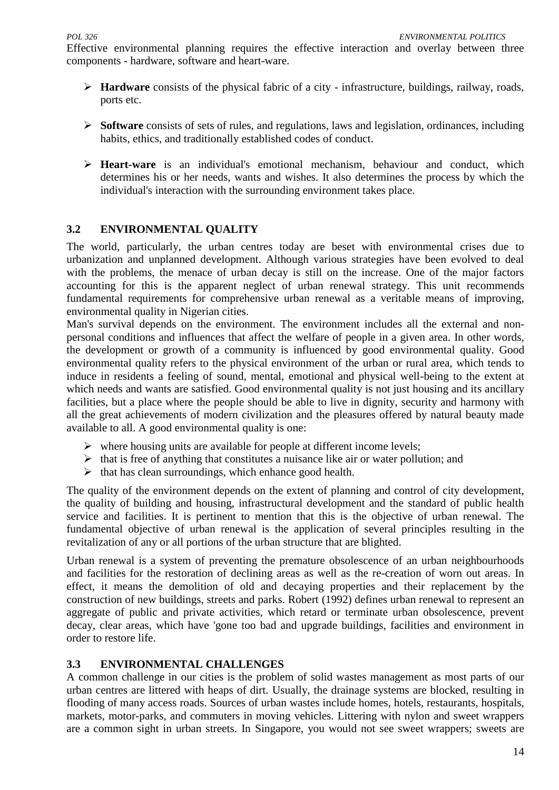Effective environmental planning requires the effective interaction and overlay between three components - hardware, software and heart-ware.

- **Hardware** consists of the physical fabric of a city infrastructure, buildings, railway, roads, ports etc.
- **Software** consists of sets of rules, and regulations, laws and legislation, ordinances, including habits, ethics, and traditionally established codes of conduct.
- **Heart-ware** is an individual's emotional mechanism, behaviour and conduct, which determines his or her needs, wants and wishes. It also determines the process by which the individual's interaction with the surrounding environment takes place.

# **3.2 ENVIRONMENTAL QUALITY**

The world, particularly, the urban centres today are beset with environmental crises due to urbanization and unplanned development. Although various strategies have been evolved to deal with the problems, the menace of urban decay is still on the increase. One of the major factors accounting for this is the apparent neglect of urban renewal strategy. This unit recommends fundamental requirements for comprehensive urban renewal as a veritable means of improving, environmental quality in Nigerian cities.

Man's survival depends on the environment. The environment includes all the external and nonpersonal conditions and influences that affect the welfare of people in a given area. In other words, the development or growth of a community is influenced by good environmental quality. Good environmental quality refers to the physical environment of the urban or rural area, which tends to induce in residents a feeling of sound, mental, emotional and physical well-being to the extent at which needs and wants are satisfied. Good environmental quality is not just housing and its ancillary facilities, but a place where the people should be able to live in dignity, security and harmony with all the great achievements of modern civilization and the pleasures offered by natural beauty made available to all. A good environmental quality is one:

- $\triangleright$  where housing units are available for people at different income levels;
- $\triangleright$  that is free of anything that constitutes a nuisance like air or water pollution; and
- $\triangleright$  that has clean surroundings, which enhance good health.

The quality of the environment depends on the extent of planning and control of city development, the quality of building and housing, infrastructural development and the standard of public health service and facilities. It is pertinent to mention that this is the objective of urban renewal. The fundamental objective of urban renewal is the application of several principles resulting in the revitalization of any or all portions of the urban structure that are blighted.

Urban renewal is a system of preventing the premature obsolescence of an urban neighbourhoods and facilities for the restoration of declining areas as well as the re-creation of worn out areas. In effect, it means the demolition of old and decaying properties and their replacement by the construction of new buildings, streets and parks. Robert (1992) defines urban renewal to represent an aggregate of public and private activities, which retard or terminate urban obsolescence, prevent decay, clear areas, which have 'gone too bad and upgrade buildings, facilities and environment in order to restore life.

#### **3.3 ENVIRONMENTAL CHALLENGES**

A common challenge in our cities is the problem of solid wastes management as most parts of our urban centres are littered with heaps of dirt. Usually, the drainage systems are blocked, resulting in flooding of many access roads. Sources of urban wastes include homes, hotels, restaurants, hospitals, markets, motor-parks, and commuters in moving vehicles. Littering with nylon and sweet wrappers are a common sight in urban streets. In Singapore, you would not see sweet wrappers; sweets are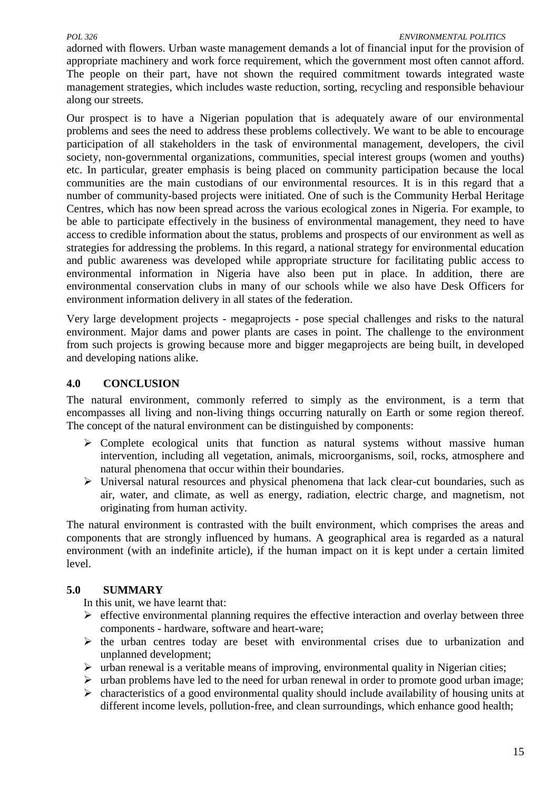#### *POL 326 ENVIRONMENTAL POLITICS*

adorned with flowers. Urban waste management demands a lot of financial input for the provision of appropriate machinery and work force requirement, which the government most often cannot afford. The people on their part, have not shown the required commitment towards integrated waste management strategies, which includes waste reduction, sorting, recycling and responsible behaviour along our streets.

Our prospect is to have a Nigerian population that is adequately aware of our environmental problems and sees the need to address these problems collectively. We want to be able to encourage participation of all stakeholders in the task of environmental management, developers, the civil society, non-governmental organizations, communities, special interest groups (women and youths) etc. In particular, greater emphasis is being placed on community participation because the local communities are the main custodians of our environmental resources. It is in this regard that a number of community-based projects were initiated. One of such is the Community Herbal Heritage Centres, which has now been spread across the various ecological zones in Nigeria. For example, to be able to participate effectively in the business of environmental management, they need to have access to credible information about the status, problems and prospects of our environment as well as strategies for addressing the problems. In this regard, a national strategy for environmental education and public awareness was developed while appropriate structure for facilitating public access to environmental information in Nigeria have also been put in place. In addition, there are environmental conservation clubs in many of our schools while we also have Desk Officers for environment information delivery in all states of the federation.

Very large development projects - [megaprojects](http://en.wikipedia.org/wiki/Megaprojects) - pose special challenges and risks to the natural environment. Major dams and power plants are cases in point. The challenge to the environment from such projects is growing because more and bigger megaprojects are being built, in developed and developing nations alike.

### **4.0 CONCLUSION**

The natural environment, commonly referred to simply as the environment, is a term that encompasses all [living](http://en.wikipedia.org/wiki/Life) and non-living things occurring [naturally](http://en.wikipedia.org/wiki/Nature) on [Earth](http://en.wikipedia.org/wiki/Earth) or some region thereof. The concept of the natural environment can be distinguished by components:

- $\triangleright$  Complete [ecological](http://en.wikipedia.org/wiki/Ecological) units that function as [natural](http://en.wikipedia.org/wiki/Nature) systems without massive [human](http://en.wikipedia.org/wiki/People) intervention, including all [vegetation,](http://en.wikipedia.org/wiki/Vegetation) animals, [microorganisms,](http://en.wikipedia.org/wiki/Microorganisms) [soil,](http://en.wikipedia.org/wiki/Soil) [rocks,](http://en.wikipedia.org/wiki/Rock_(geology)) [atmosphere](http://en.wikipedia.org/wiki/Atmosphere) and [natural phenomena](http://en.wikipedia.org/wiki/Natural_phenomenon) that occur within their boundaries.
- $\triangleright$  Universal natural [resources](http://en.wikipedia.org/wiki/Natural_resource) and [physical phenomena](http://en.wikipedia.org/wiki/Physical_phenomena) that lack clear-cut boundaries, such as [air,](http://en.wikipedia.org/wiki/Air) [water,](http://en.wikipedia.org/wiki/Water) and [climate,](http://en.wikipedia.org/wiki/Climate) as well as [energy,](http://en.wikipedia.org/wiki/Energy) [radiation,](http://en.wikipedia.org/wiki/Radiation) [electric charge,](http://en.wikipedia.org/wiki/Electric_charge) and [magnetism,](http://en.wikipedia.org/wiki/Magnetism) not originating from human activity.

The natural environment is contrasted with the [built environment,](http://en.wikipedia.org/wiki/Built_environment) which comprises the areas and components that are strongly influenced by humans. A geographical area is regarded as a natural environment (with an [indefinite article\)](http://en.wikipedia.org/wiki/Indefinite_article), if the human impact on it is kept under a certain limited level.

#### **5.0 SUMMARY**

In this unit, we have learnt that:

- $\triangleright$  effective environmental planning requires the effective interaction and overlay between three components - hardware, software and heart-ware;
- $\triangleright$  the urban centres today are beset with environmental crises due to urbanization and unplanned development;
- $\triangleright$  urban renewal is a veritable means of improving, environmental quality in Nigerian cities;
- $\triangleright$  urban problems have led to the need for urban renewal in order to promote good urban image;
- $\triangleright$  characteristics of a good environmental quality should include availability of housing units at different income levels, pollution-free, and clean surroundings, which enhance good health;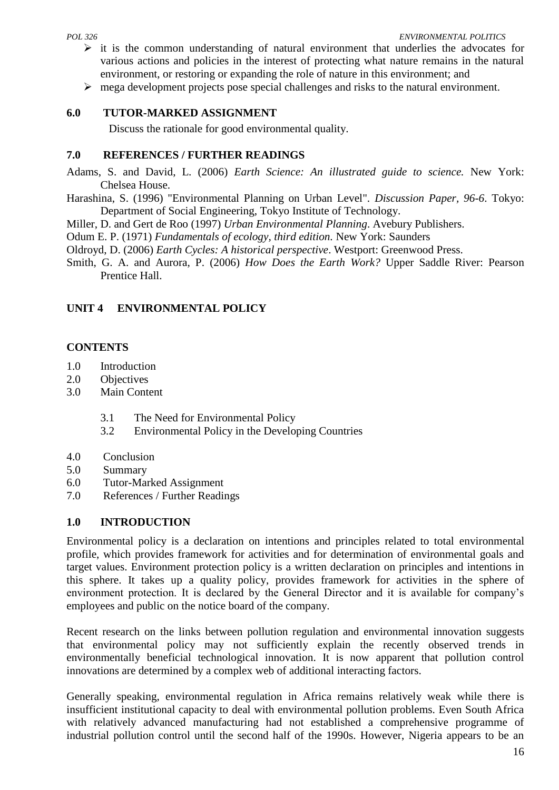- $\triangleright$  it is the common understanding of natural environment that underlies the advocates for various actions and policies in the interest of protecting what nature remains in the natural environment, or restoring or expanding the role of nature in this environment; and
- $\triangleright$  mega development projects pose special challenges and risks to the natural environment.

# **6.0 TUTOR-MARKED ASSIGNMENT**

Discuss the rationale for good environmental quality.

### **7.0 REFERENCES / FURTHER READINGS**

- Adams, S. and David, L. (2006) *Earth Science: An illustrated guide to science.* New York: Chelsea House.
- Harashina, S. (1996) "Environmental Planning on Urban Level". *Discussion Paper, 96-6*. Tokyo: Department of Social Engineering, Tokyo Institute of Technology.
- Miller, D. and Gert de Roo (1997) *Urban Environmental Planning*. Avebury Publishers.
- Odum E. P. (1971) *Fundamentals of ecology, third edition.* New York: Saunders
- Oldroyd, D. (2006) *Earth Cycles: A historical perspective*. Westport: Greenwood Press.
- Smith, G. A. and Aurora, P. (2006) *How Does the Earth Work?* Upper Saddle River: Pearson Prentice Hall.

# **UNIT 4 ENVIRONMENTAL POLICY**

### **CONTENTS**

- 1.0 Introduction
- 2.0 Objectives
- 3.0 Main Content
	- 3.1 The Need for Environmental Policy
	- 3.2 Environmental Policy in the Developing Countries
- 4.0 Conclusion
- 5.0 Summary
- 6.0 Tutor-Marked Assignment
- 7.0 References / Further Readings

# **1.0 INTRODUCTION**

Environmental policy is a declaration on intentions and principles related to total environmental profile, which provides framework for activities and for determination of environmental goals and target values. Environment protection policy is a written declaration on principles and intentions in this sphere. It takes up a quality policy, provides framework for activities in the sphere of environment protection. It is declared by the General Director and it is available for company's employees and public on the notice board of the company.

Recent research on the links between pollution regulation and environmental innovation suggests that environmental policy may not sufficiently explain the recently observed trends in environmentally beneficial technological innovation. It is now apparent that pollution control innovations are determined by a complex web of additional interacting factors.

Generally speaking, environmental regulation in Africa remains relatively weak while there is insufficient institutional capacity to deal with environmental pollution problems. Even South Africa with relatively advanced manufacturing had not established a comprehensive programme of industrial pollution control until the second half of the 1990s. However, Nigeria appears to be an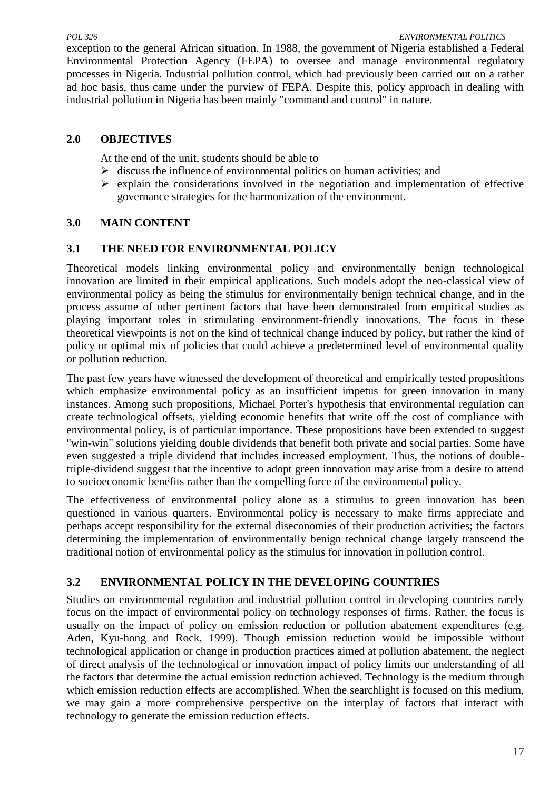exception to the general African situation. In 1988, the government of Nigeria established a Federal Environmental Protection Agency (FEPA) to oversee and manage environmental regulatory processes in Nigeria. Industrial pollution control, which had previously been carried out on a rather ad hoc basis, thus came under the purview of FEPA. Despite this, policy approach in dealing with industrial pollution in Nigeria has been mainly "command and control" in nature.

# **2.0 OBJECTIVES**

At the end of the unit, students should be able to

- $\triangleright$  discuss the influence of environmental politics on human activities; and
- $\triangleright$  explain the considerations involved in the negotiation and implementation of effective governance strategies for the harmonization of the environment.

# **3.0 MAIN CONTENT**

# **3.1 THE NEED FOR ENVIRONMENTAL POLICY**

Theoretical models linking environmental policy and environmentally benign technological innovation are limited in their empirical applications. Such models adopt the neo-classical view of environmental policy as being the stimulus for environmentally benign technical change, and in the process assume of other pertinent factors that have been demonstrated from empirical studies as playing important roles in stimulating environment-friendly innovations. The focus in these theoretical viewpoints is not on the kind of technical change induced by policy, but rather the kind of policy or optimal mix of policies that could achieve a predetermined level of environmental quality or pollution reduction.

The past few years have witnessed the development of theoretical and empirically tested propositions which emphasize environmental policy as an insufficient impetus for green innovation in many instances. Among such propositions, Michael Porter's hypothesis that environmental regulation can create technological offsets, yielding economic benefits that write off the cost of compliance with environmental policy, is of particular importance. These propositions have been extended to suggest "win-win" solutions yielding double dividends that benefit both private and social parties. Some have even suggested a triple dividend that includes increased employment. Thus, the notions of doubletriple-dividend suggest that the incentive to adopt green innovation may arise from a desire to attend to socioeconomic benefits rather than the compelling force of the environmental policy.

The effectiveness of environmental policy alone as a stimulus to green innovation has been questioned in various quarters. Environmental policy is necessary to make firms appreciate and perhaps accept responsibility for the external diseconomies of their production activities; the factors determining the implementation of environmentally benign technical change largely transcend the traditional notion of environmental policy as the stimulus for innovation in pollution control.

# **3.2 ENVIRONMENTAL POLICY IN THE DEVELOPING COUNTRIES**

Studies on environmental regulation and industrial pollution control in developing countries rarely focus on the impact of environmental policy on technology responses of firms. Rather, the focus is usually on the impact of policy on emission reduction or pollution abatement expenditures (e.g. Aden, Kyu-hong and Rock, 1999). Though emission reduction would be impossible without technological application or change in production practices aimed at pollution abatement, the neglect of direct analysis of the technological or innovation impact of policy limits our understanding of all the factors that determine the actual emission reduction achieved. Technology is the medium through which emission reduction effects are accomplished. When the searchlight is focused on this medium, we may gain a more comprehensive perspective on the interplay of factors that interact with technology to generate the emission reduction effects.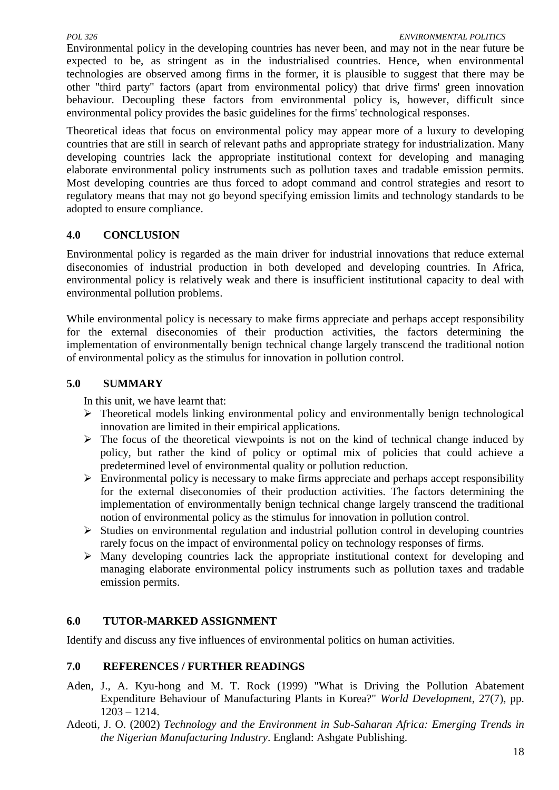Environmental policy in the developing countries has never been, and may not in the near future be expected to be, as stringent as in the industrialised countries. Hence, when environmental technologies are observed among firms in the former, it is plausible to suggest that there may be other "third party" factors (apart from environmental policy) that drive firms' green innovation behaviour. Decoupling these factors from environmental policy is, however, difficult since environmental policy provides the basic guidelines for the firms' technological responses.

Theoretical ideas that focus on environmental policy may appear more of a luxury to developing countries that are still in search of relevant paths and appropriate strategy for industrialization. Many developing countries lack the appropriate institutional context for developing and managing elaborate environmental policy instruments such as pollution taxes and tradable emission permits. Most developing countries are thus forced to adopt command and control strategies and resort to regulatory means that may not go beyond specifying emission limits and technology standards to be adopted to ensure compliance.

# **4.0 CONCLUSION**

Environmental policy is regarded as the main driver for industrial innovations that reduce external diseconomies of industrial production in both developed and developing countries. In Africa, environmental policy is relatively weak and there is insufficient institutional capacity to deal with environmental pollution problems.

While environmental policy is necessary to make firms appreciate and perhaps accept responsibility for the external diseconomies of their production activities, the factors determining the implementation of environmentally benign technical change largely transcend the traditional notion of environmental policy as the stimulus for innovation in pollution control.

# **5.0 SUMMARY**

In this unit, we have learnt that:

- $\triangleright$  Theoretical models linking environmental policy and environmentally benign technological innovation are limited in their empirical applications.
- $\triangleright$  The focus of the theoretical viewpoints is not on the kind of technical change induced by policy, but rather the kind of policy or optimal mix of policies that could achieve a predetermined level of environmental quality or pollution reduction.
- $\triangleright$  Environmental policy is necessary to make firms appreciate and perhaps accept responsibility for the external diseconomies of their production activities. The factors determining the implementation of environmentally benign technical change largely transcend the traditional notion of environmental policy as the stimulus for innovation in pollution control.
- $\triangleright$  Studies on environmental regulation and industrial pollution control in developing countries rarely focus on the impact of environmental policy on technology responses of firms.
- $\triangleright$  Many developing countries lack the appropriate institutional context for developing and managing elaborate environmental policy instruments such as pollution taxes and tradable emission permits.

# **6.0 TUTOR-MARKED ASSIGNMENT**

Identify and discuss any five influences of environmental politics on human activities.

# **7.0 REFERENCES / FURTHER READINGS**

- Aden, J., A. Kyu-hong and M. T. Rock (1999) "What is Driving the Pollution Abatement Expenditure Behaviour of Manufacturing Plants in Korea?" *World Development*, 27(7), pp. 1203 – 1214.
- Adeoti, J. O. (2002) *Technology and the Environment in Sub-Saharan Africa: Emerging Trends in the Nigerian Manufacturing Industry*. England: Ashgate Publishing.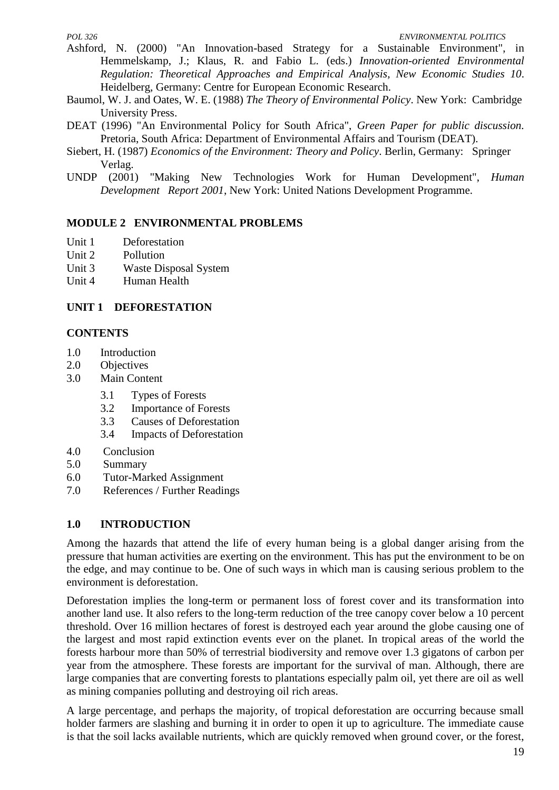- Ashford, N. (2000) "An Innovation-based Strategy for a Sustainable Environment", in Hemmelskamp, J.; Klaus, R. and Fabio L. (eds.) *Innovation-oriented Environmental Regulation: Theoretical Approaches and Empirical Analysis, New Economic Studies 10*. Heidelberg, Germany: Centre for European Economic Research.
- Baumol, W. J. and Oates, W. E. (1988) *The Theory of Environmental Policy*. New York: Cambridge University Press.
- DEAT (1996) "An Environmental Policy for South Africa", *Green Paper for public discussion.* Pretoria, South Africa: Department of Environmental Affairs and Tourism (DEAT).
- Siebert, H. (1987) *Economics of the Environment: Theory and Policy*. Berlin, Germany: Springer Verlag.
- UNDP (2001) "Making New Technologies Work for Human Development", *Human Development Report 2001*, New York: United Nations Development Programme.

# **MODULE 2 ENVIRONMENTAL PROBLEMS**

- Unit 1 Deforestation<br>Unit 2 Pollution
- Pollution
- Unit 3 Waste Disposal System
- Unit 4 Human Health

### **UNIT 1 DEFORESTATION**

### **CONTENTS**

- 1.0 Introduction
- 2.0 Objectives
- 3.0 Main Content
	- 3.1 Types of Forests
	- 3.2 Importance of Forests
	- 3.3 Causes of Deforestation
	- 3.4 Impacts of Deforestation
- 4.0 Conclusion
- 5.0 Summary
- 6.0 Tutor-Marked Assignment
- 7.0 References / Further Readings

# **1.0 INTRODUCTION**

Among the hazards that attend the life of every human being is a global danger arising from the pressure that human activities are exerting on the environment. This has put the environment to be on the edge, and may continue to be. One of such ways in which man is causing serious problem to the environment is deforestation.

Deforestation implies the long-term or permanent loss of forest cover and its transformation into another land use. It also refers to the long-term reduction of the tree canopy cover below a 10 percent threshold. Over 16 million hectares of forest is destroyed each year around the globe causing one of the largest and most rapid extinction events ever on the planet. In tropical areas of the world the forests harbour more than 50% of terrestrial biodiversity and remove over 1.3 gigatons of carbon per year from the atmosphere. These forests are important for the survival of man. Although, there are large companies that are converting forests to plantations especially palm oil, yet there are oil as well as mining companies polluting and destroying oil rich areas.

A large percentage, and perhaps the majority, of tropical deforestation are occurring because small holder farmers are slashing and burning it in order to open it up to agriculture. The immediate cause is that the soil lacks available nutrients, which are quickly removed when ground cover, or the forest,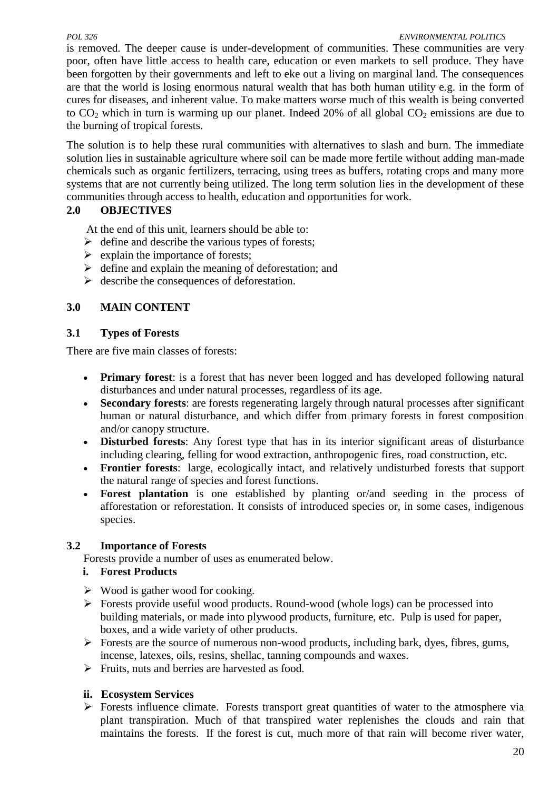#### *POL 326 ENVIRONMENTAL POLITICS*

is removed. The deeper cause is under-development of communities. These communities are very poor, often have little access to health care, education or even markets to sell produce. They have been forgotten by their governments and left to eke out a living on marginal land. The consequences are that the world is losing enormous natural wealth that has both human utility e.g. in the form of cures for diseases, and inherent value. To make matters worse much of this wealth is being converted to  $CO<sub>2</sub>$  which in turn is warming up our planet. Indeed 20% of all global  $CO<sub>2</sub>$  emissions are due to the burning of tropical forests.

The solution is to help these rural communities with alternatives to slash and burn. The immediate solution lies in sustainable agriculture where soil can be made more fertile without adding man-made chemicals such as organic fertilizers, terracing, using trees as buffers, rotating crops and many more systems that are not currently being utilized. The long term solution lies in the development of these communities through access to health, education and opportunities for work.

# **2.0 OBJECTIVES**

At the end of this unit, learners should be able to:

- $\triangleright$  define and describe the various types of forests;
- $\triangleright$  explain the importance of forests;
- $\triangleright$  define and explain the meaning of deforestation; and
- $\triangleright$  describe the consequences of deforestation.

# **3.0 MAIN CONTENT**

# **3.1 Types of Forests**

There are five main classes of forests:

- **Primary forest**: is a forest that has never been logged and has developed following natural disturbances and under natural processes, regardless of its age.
- **Secondary forests**: are forests regenerating largely through natural processes after significant human or natural disturbance, and which differ from primary forests in forest composition and/or canopy structure.
- **Disturbed forests**: Any forest type that has in its interior significant areas of disturbance including clearing, felling for wood extraction, anthropogenic fires, road construction, etc.
- **Frontier forests**: large, ecologically intact, and relatively undisturbed forests that support the natural range of species and forest functions.
- **Forest plantation** is one established by planting or/and seeding in the process of afforestation or reforestation. It consists of introduced species or, in some cases, indigenous species.

# **3.2 Importance of Forests**

Forests provide a number of uses as enumerated below.

# **i. Forest Products**

- $\triangleright$  Wood is gather wood for cooking.
- $\triangleright$  Forests provide useful wood products. Round-wood (whole logs) can be processed into building materials, or made into plywood products, furniture, etc. Pulp is used for paper, boxes, and a wide variety of other products.
- $\triangleright$  Forests are the source of numerous non-wood products, including bark, dyes, fibres, gums, incense, latexes, oils, resins, shellac, tanning compounds and waxes.
- $\triangleright$  Fruits, nuts and berries are harvested as food.

# **ii. Ecosystem Services**

 $\triangleright$  Forests influence climate. Forests transport great quantities of water to the atmosphere via plant transpiration. Much of that transpired water replenishes the clouds and rain that maintains the forests. If the forest is cut, much more of that rain will become river water,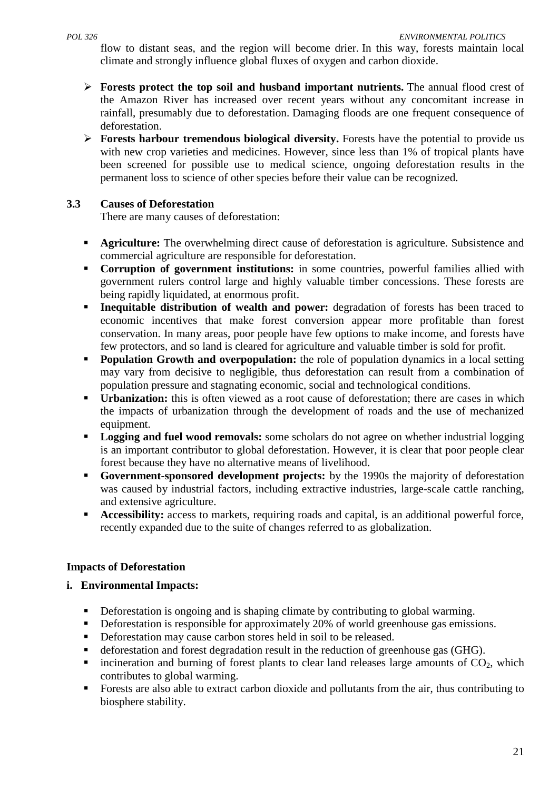flow to distant seas, and the region will become drier. In this way, forests maintain local climate and strongly influence global fluxes of oxygen and carbon dioxide.

- **Forests protect the top soil and husband important nutrients.** The annual flood crest of the Amazon River has increased over recent years without any concomitant increase in rainfall, presumably due to deforestation. Damaging floods are one frequent consequence of deforestation.
- **Forests harbour tremendous biological diversity.** Forests have the potential to provide us with new crop varieties and medicines. However, since less than 1% of tropical plants have been screened for possible use to medical science, ongoing deforestation results in the permanent loss to science of other species before their value can be recognized.

# **3.3 Causes of Deforestation**

There are many causes of deforestation:

- **Agriculture:** The overwhelming direct cause of deforestation is agriculture. Subsistence and commercial agriculture are responsible for deforestation.
- **[Corruption](http://en.wikipedia.org/wiki/Political_corruption) of government institutions:** in some countries, powerful families allied with government rulers control large and highly valuable timber concessions. These forests are being rapidly liquidated, at enormous profit.
- **[Inequitable](http://en.wikipedia.org/wiki/International_inequality) distribution of wealth and power:** degradation of forests has been traced to economic incentives that make forest conversion appear more profitable than forest conservation. In many areas, poor people have few options to make income, and forests have few protectors, and so land is cleared for agriculture and valuable timber is sold for profit.
- **[Population Growth](http://en.wikipedia.org/wiki/Population_growth) and [overpopulation:](http://en.wikipedia.org/wiki/Overpopulation)** the role of population dynamics in a local setting may vary from decisive to negligible, thus deforestation can result from a combination of population pressure and stagnating economic, social and technological conditions.
- **[Urbanization:](http://en.wikipedia.org/wiki/Urbanization)** [this](http://en.wikipedia.org/wiki/Globalization) is often viewed as a root cause of deforestation; there are cases in which the impacts of urbanization through the development of roads and the use of mechanized equipment.
- **Logging and fuel wood removals:** some scholars do not agree on whether industrial logging is an important contributor to global deforestation. However, it is clear that poor people clear forest because they have no alternative means of livelihood.
- **Government-sponsored development projects:** by the 1990s the majority of deforestation was caused by industrial factors, including extractive industries, large-scale cattle ranching, and extensive agriculture.
- **Accessibility:** access to markets, requiring roads and capital, is an additional powerful force, recently expanded due to the suite of changes referred to as globalization.

# **Impacts of Deforestation**

# **i. Environmental Impacts:**

- Deforestation is ongoing and is shaping [climate](http://en.wikipedia.org/wiki/Climate) by contributing to [global warming.](http://en.wikipedia.org/wiki/Global_warming)
- Deforestation is responsible for approximately 20% of world greenhouse gas emissions.
- Deforestation may cause carbon stores held in soil to be released.
- deforestation and forest degradation result in the reduction of greenhouse gas (GHG).
- incineration and burning of forest plants to clear land releases large amounts of  $CO<sub>2</sub>$ , which contributes to global warming.
- Forests are also able to extract [carbon dioxide](http://en.wikipedia.org/wiki/Carbon_dioxide) and [pollutants](http://en.wikipedia.org/wiki/Pollutant) from the air, thus contributing to biosphere stability.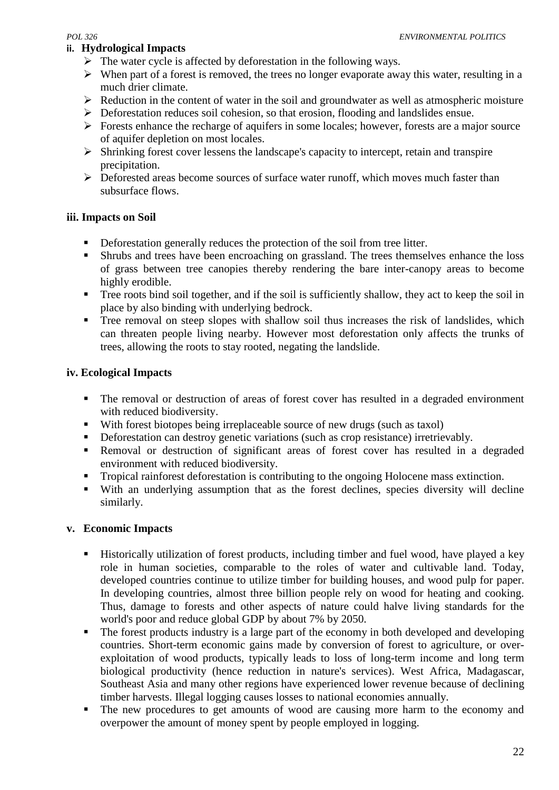# **ii. Hydrological Impacts**

- $\triangleright$  The water cycle is affected by deforestation in the following ways.
- $\triangleright$  When part of a forest is removed, the trees no longer evaporate away this water, resulting in a much drier climate.
- $\triangleright$  Reduction in the content of water in the soil and groundwater as well as atmospheric moisture
- $\triangleright$  Deforestation reduces soil cohesion, so that [erosion,](http://en.wikipedia.org/wiki/Soil_erosion) flooding and [landslides](http://en.wikipedia.org/wiki/Landslide) ensue.
- $\triangleright$  Forests enhance the recharge of [aquifers](http://en.wikipedia.org/wiki/Aquifer) in some locales; however, forests are a major source of aquifer depletion on most locales.
- $\triangleright$  Shrinking forest cover lessens the landscape's capacity to intercept, retain and [transpire](http://en.wikipedia.org/wiki/Transpiration) precipitation.
- > Deforested areas become sources of surface water runoff, which moves much faster than subsurface flows.

# **iii. Impacts on Soil**

- Deforestation generally reduces the protection of the soil from tree litter.
- **Shrubs and trees have been encroaching on grassland. The trees themselves enhance the loss** of grass between tree canopies thereby rendering the bare inter-canopy areas to become highly erodible.
- Tree roots bind soil together, and if the soil is sufficiently shallow, they act to keep the soil in place by also binding with underlying [bedrock.](http://en.wikipedia.org/wiki/Bedrock)
- Tree removal on steep slopes with shallow soil thus increases the risk of [landslides,](http://en.wikipedia.org/wiki/Landslide) which can threaten people living nearby. However most deforestation only affects the trunks of trees, allowing the roots to stay rooted, negating the landslide.

# **iv. Ecological Impacts**

- The removal or destruction of areas of forest cover has resulted in a degraded environment with reduced [biodiversity.](http://en.wikipedia.org/wiki/Biodiversity)
- With forest biotopes being irreplaceable source of new drugs (such as [taxol\)](http://en.wikipedia.org/wiki/Paclitaxel)
- Deforestation can destroy [genetic](http://en.wikipedia.org/wiki/Genetics) variations (such as crop resistance) irretrievably.
- Removal or destruction of significant areas of forest cover has resulted in a [degraded](http://en.wikipedia.org/wiki/Soil_degradation) environment with reduced biodiversity.
- **Tropical rainforest deforestation is contributing to the ongoing [Holocene mass extinction.](http://en.wikipedia.org/wiki/Holocene_mass_extinction)**
- With an underlying assumption that as the forest declines, species diversity will decline similarly.

# **v. Economic Impacts**

- Historically utilization of forest products, including timber and fuel wood, have played a key role in human societies, comparable to the roles of water and cultivable land. Today, developed countries continue to utilize timber for building houses, and wood pulp for [paper.](http://en.wikipedia.org/wiki/Paper) In developing countries, almost three billion people rely on wood for heating and cooking. Thus, damage to forests and other aspects of nature could halve [living standards](http://en.wikipedia.org/wiki/Living_standard) for the world's [poor](http://en.wikipedia.org/wiki/Poverty) and reduce global [GDP](http://en.wikipedia.org/wiki/GDP) by about 7% by 2050.
- The forest products industry is a large part of the economy in both developed and developing countries. Short-term economic gains made by conversion of forest to agriculture, or [over](http://en.wikipedia.org/wiki/Over-exploitation)[exploitation](http://en.wikipedia.org/wiki/Over-exploitation) of wood products, typically leads to loss of long-term income and long term biological productivity (hence reduction in [nature's services\)](http://en.wikipedia.org/wiki/Nature%27s_services). [West Africa,](http://en.wikipedia.org/wiki/West_Africa) [Madagascar,](http://en.wikipedia.org/wiki/Madagascar) [Southeast Asia](http://en.wikipedia.org/wiki/Southeast_Asia) and many other regions have experienced lower revenue because of declining timber harvests. Illegal logging causes losses to national economies annually.
- The new procedures to get amounts of wood are causing more harm to the economy and overpower the amount of money spent by people employed in logging.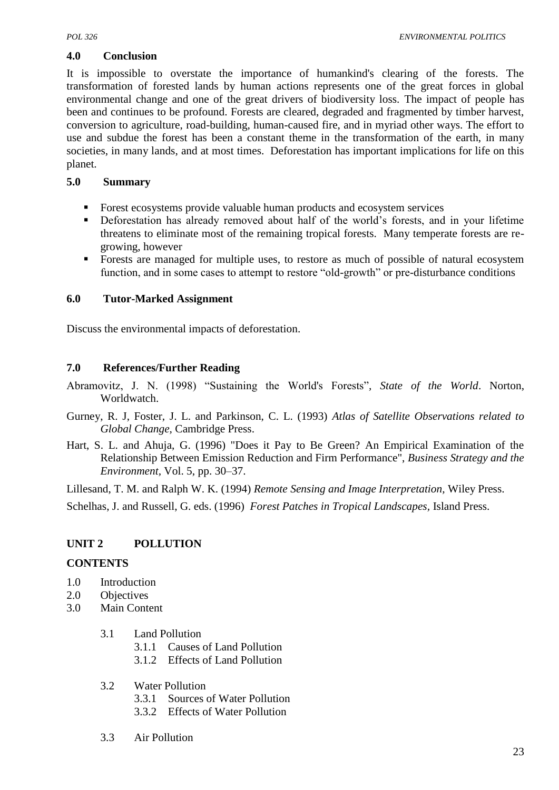### **4.0 Conclusion**

It is impossible to overstate the importance of humankind's clearing of the forests. The transformation of forested lands by human actions represents one of the great forces in global environmental change and one of the great drivers of biodiversity loss. The impact of people has been and continues to be profound. Forests are cleared, degraded and fragmented by timber harvest, conversion to agriculture, road-building, human-caused fire, and in myriad other ways. The effort to use and subdue the forest has been a constant theme in the transformation of the earth, in many societies, in many lands, and at most times. Deforestation has important implications for life on this planet.

# **5.0 Summary**

- Forest ecosystems provide valuable human products and ecosystem services
- Deforestation has already removed about half of the world's forests, and in your lifetime threatens to eliminate most of the remaining tropical forests. Many temperate forests are regrowing, however
- Forests are managed for multiple uses, to restore as much of possible of natural ecosystem function, and in some cases to attempt to restore "old-growth" or pre-disturbance conditions

### **6.0 Tutor-Marked Assignment**

Discuss the environmental impacts of deforestation.

# **7.0 References/Further Reading**

Abramovitz, J. N. (1998) "Sustaining the World's Forests"*, State of the World*. Norton, Worldwatch.

- Gurney, R. J, Foster, J. L. and Parkinson, C. L. (1993) *Atlas of Satellite Observations related to Global Change,* Cambridge Press.
- Hart, S. L. and Ahuja, G. (1996) "Does it Pay to Be Green? An Empirical Examination of the Relationship Between Emission Reduction and Firm Performance", *Business Strategy and the Environment,* Vol. 5, pp. 30–37.

Lillesand, T. M. and Ralph W. K. (1994) *Remote Sensing and Image Interpretation,* Wiley Press.

Schelhas, J. and Russell, G. eds. (1996) *Forest Patches in Tropical Landscapes,* Island Press.

# **UNIT 2 POLLUTION**

#### **CONTENTS**

- 1.0 Introduction
- 2.0 Objectives
- 3.0 Main Content
	- 3.1 Land Pollution
		- 3.1.1 Causes of Land Pollution
		- 3.1.2 Effects of Land Pollution
	- 3.2 Water Pollution
		- 3.3.1 Sources of Water Pollution
		- 3.3.2 Effects of Water Pollution
	- 3.3 Air Pollution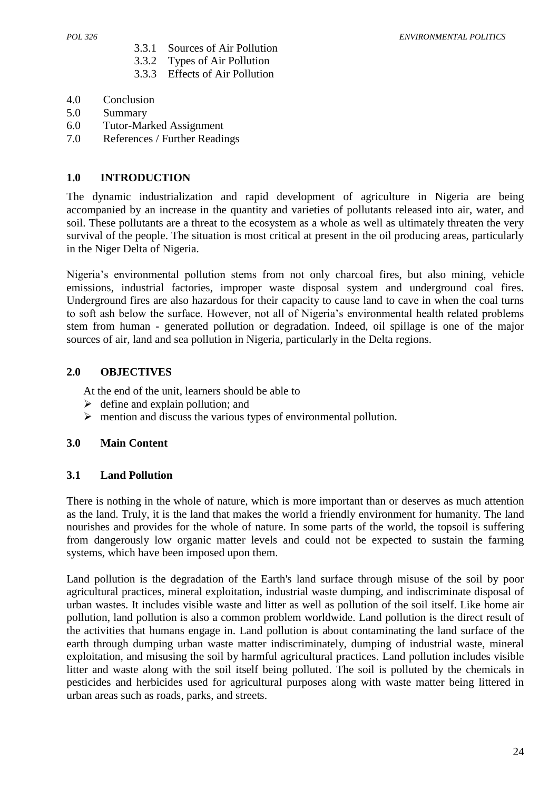- 3.3.1 Sources of Air Pollution
- 3.3.2 Types of Air Pollution
- 3.3.3 Effects of Air Pollution
- 4.0 Conclusion
- 5.0 Summary
- 6.0 Tutor-Marked Assignment
- 7.0 References / Further Readings

# **1.0 INTRODUCTION**

The dynamic industrialization and rapid development of agriculture in Nigeria are being accompanied by an increase in the quantity and varieties of pollutants released into air, water, and soil. These pollutants are a threat to the ecosystem as a whole as well as ultimately threaten the very survival of the people. The situation is most critical at present in the oil producing areas, particularly in the Niger Delta of Nigeria.

Nigeria's environmental pollution stems from not only charcoal fires, but also mining, vehicle emissions, industrial factories, improper waste disposal system and underground coal fires. Underground fires are also hazardous for their capacity to cause land to cave in when the coal turns to soft ash below the surface. However, not all of Nigeria's environmental health related problems stem from human - generated pollution or degradation. Indeed, oil spillage is one of the major sources of air, land and sea pollution in Nigeria, particularly in the Delta regions.

# **2.0 OBJECTIVES**

At the end of the unit, learners should be able to

- $\triangleright$  define and explain pollution; and
- $\triangleright$  mention and discuss the various types of environmental pollution.

# **3.0 Main Content**

# **3.1 Land Pollution**

There is nothing in the whole of nature, which is more important than or deserves as much attention as the land. Truly, it is the land that makes the world a friendly environment for humanity. The land nourishes and provides for the whole of nature. In some parts of the world, the topsoil is suffering from dangerously low organic matter levels and could not be expected to sustain the farming systems, which have been imposed upon them.

Land pollution is the degradation of the Earth's land surface through misuse of the soil by poor agricultural practices, mineral exploitation, industrial waste dumping, and indiscriminate disposal of urban wastes. It includes visible waste and litter as well as pollution of the soil itself. Like [home air](http://scipeeps.com/home-air-pollution/)  [pollution,](http://scipeeps.com/home-air-pollution/) land pollution is also a common problem worldwide. Land pollution is the direct result of the activities that humans engage in. Land pollution is about contaminating the land surface of the earth through dumping urban waste matter indiscriminately, dumping of industrial waste, mineral exploitation, and misusing the soil by harmful agricultural practices. Land pollution includes visible litter and waste along with the soil itself being polluted. The soil is polluted by the chemicals in pesticides and herbicides used for agricultural purposes along with waste matter being littered in urban areas such as roads, parks, and streets.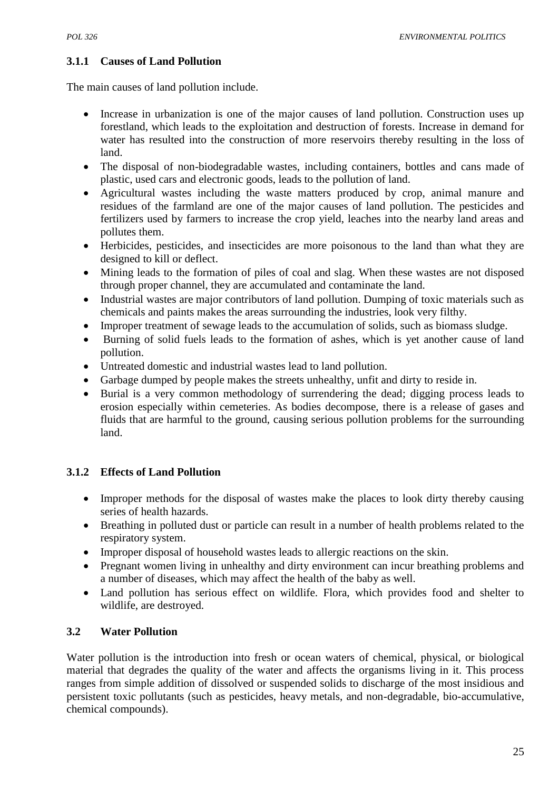# **3.1.1 Causes of Land Pollution**

The main causes of land pollution include.

- Increase in urbanization is one of the major causes of land pollution. Construction uses up forestland, which leads to the exploitation and destruction of forests. Increase in demand for water has resulted into the construction of more reservoirs thereby resulting in the loss of land.
- The disposal of non-biodegradable wastes, including containers, bottles and cans made of plastic, used cars and electronic goods, leads to the pollution of land.
- Agricultural wastes including the waste matters produced by crop, animal manure and residues of the farmland are one of the major causes of land pollution. The pesticides and fertilizers used by farmers to increase the crop yield, leaches into the nearby land areas and pollutes them.
- Herbicides, pesticides, and insecticides are more poisonous to the land than what they are designed to kill or deflect.
- Mining leads to the formation of piles of coal and slag. When these wastes are not disposed through proper channel, they are accumulated and contaminate the land.
- Industrial wastes are major contributors of land pollution. Dumping of toxic materials such as chemicals and paints makes the areas surrounding the industries, look very filthy.
- Improper treatment of sewage leads to the accumulation of solids, such as biomass sludge.
- Burning of solid fuels leads to the formation of ashes, which is yet another cause of land pollution.
- Untreated domestic and industrial wastes lead to land pollution.
- Garbage dumped by people makes the streets unhealthy, unfit and dirty to reside in.
- Burial is a very common methodology of surrendering the dead; digging process leads to erosion especially within cemeteries. As bodies decompose, there is a release of gases and fluids that are harmful to the ground, causing serious pollution problems for the surrounding land.

# **3.1.2 Effects of Land Pollution**

- Improper methods for the disposal of wastes make the places to look dirty thereby causing series of health hazards.
- Breathing in polluted dust or particle can result in a number of health problems related to the respiratory system.
- Improper disposal of household wastes leads to allergic reactions on the skin.
- Pregnant women living in unhealthy and dirty environment can incur breathing problems and a number of diseases, which may affect the health of the baby as well.
- Land pollution has serious effect on wildlife. Flora, which provides food and shelter to wildlife, are destroyed.

# **3.2 Water Pollution**

Water pollution is the introduction into fresh or ocean waters of chemical, physical, or biological material that degrades the quality of the water and affects the organisms living in it. This process ranges from simple addition of dissolved or suspended solids to discharge of the most insidious and persistent toxic pollutants (such as pesticides, heavy metals, and non-degradable, bio-accumulative, chemical compounds).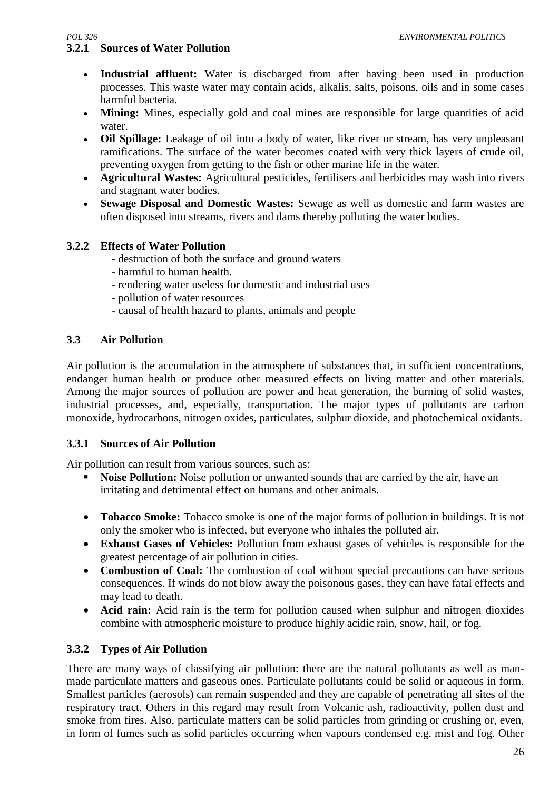# **3.2.1 Sources of Water Pollution**

- **Industrial affluent:** Water is discharged from after having been used in production processes. This waste water may contain acids, alkalis, salts, poisons, oils and in some cases harmful bacteria.
- **Mining:** Mines, especially gold and coal mines are responsible for large quantities of acid water.
- **Oil Spillage:** Leakage of oil into a body of water, like river or stream, has very unpleasant ramifications. The surface of the water becomes coated with very thick layers of crude oil, preventing oxygen from getting to the fish or other marine life in the water.
- **Agricultural Wastes:** Agricultural pesticides, fertilisers and herbicides may wash into rivers and stagnant water bodies.
- **Sewage Disposal and Domestic Wastes:** Sewage as well as domestic and farm wastes are often disposed into streams, rivers and dams thereby polluting the water bodies.

# **3.2.2 Effects of Water Pollution**

- destruction of both the surface and ground waters
- harmful to human health.
- rendering water useless for domestic and industrial uses
- pollution of water resources
- causal of health hazard to plants, animals and people

# **3.3 Air Pollution**

Air pollution is the accumulation in the atmosphere of substances that, in sufficient concentrations, endanger human health or produce other measured effects on living matter and other materials. Among the major sources of pollution are power and heat generation, the burning of solid wastes, industrial processes, and, especially, transportation. The major types of pollutants are carbon monoxide, hydrocarbons, nitrogen oxides, particulates, sulphur dioxide, and photochemical oxidants.

# **3.3.1 Sources of Air Pollution**

Air pollution can result from various sources, such as:

- **Noise Pollution:** Noise pollution or unwanted sounds that are carried by the air, have an irritating and detrimental effect on humans and other animals.
- **Tobacco Smoke:** Tobacco smoke is one of the major forms of pollution in buildings. It is not only the smoker who is infected, but everyone who inhales the polluted air.
- **Exhaust Gases of Vehicles:** Pollution from exhaust gases of vehicles is responsible for the greatest percentage of air pollution in cities.
- **Combustion of Coal:** The combustion of coal without special precautions can have serious consequences. If winds do not blow away the poisonous gases, they can have fatal effects and may lead to death.
- **Acid rain:** Acid rain is the term for pollution caused when sulphur and nitrogen dioxides combine with atmospheric moisture to produce highly acidic rain, snow, hail, or fog.

# **3.3.2 Types of Air Pollution**

There are many ways of classifying air pollution: there are the natural pollutants as well as manmade particulate matters and gaseous ones. Particulate pollutants could be solid or aqueous in form. Smallest particles (aerosols) can remain suspended and they are capable of penetrating all sites of the respiratory tract. Others in this regard may result from Volcanic ash, radioactivity, pollen dust and smoke from fires. Also, particulate matters can be solid particles from grinding or crushing or, even, in form of fumes such as solid particles occurring when vapours condensed e.g. mist and fog. Other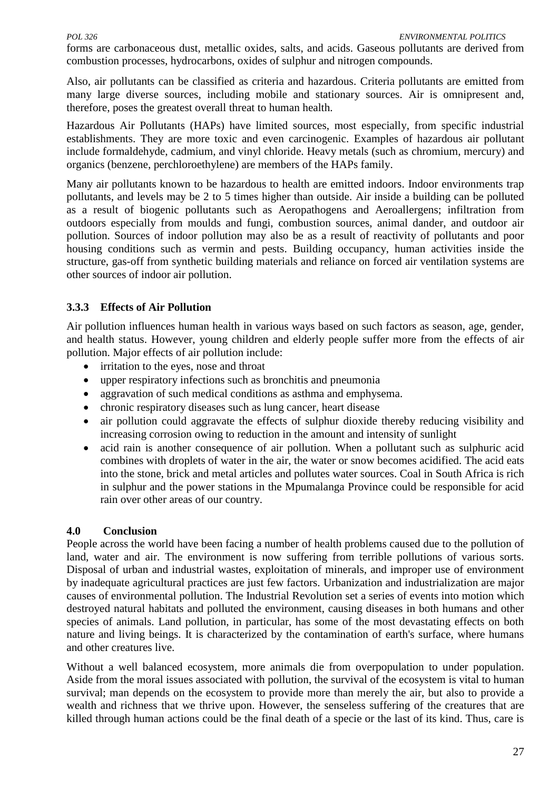forms are carbonaceous dust, metallic oxides, salts, and acids. Gaseous pollutants are derived from combustion processes, hydrocarbons, oxides of sulphur and nitrogen compounds.

Also, air pollutants can be classified as criteria and hazardous. Criteria pollutants are emitted from many large diverse sources, including mobile and stationary sources. Air is omnipresent and, therefore, poses the greatest overall threat to human health.

Hazardous Air Pollutants (HAPs) have limited sources, most especially, from specific industrial establishments. They are more toxic and even carcinogenic. Examples of hazardous air pollutant include formaldehyde, cadmium, and vinyl chloride. Heavy metals (such as chromium, mercury) and organics (benzene, perchloroethylene) are members of the HAPs family.

Many air pollutants known to be hazardous to health are emitted indoors. Indoor environments trap pollutants, and levels may be 2 to 5 times higher than outside. Air inside a building can be polluted as a result of biogenic pollutants such as Aeropathogens and Aeroallergens; infiltration from outdoors especially from moulds and fungi, combustion sources, animal dander, and outdoor air pollution. Sources of indoor pollution may also be as a result of reactivity of pollutants and poor housing conditions such as vermin and pests. Building occupancy, human activities inside the structure, gas-off from synthetic building materials and reliance on forced air ventilation systems are other sources of indoor air pollution.

# **3.3.3 Effects of Air Pollution**

Air pollution influences human health in various ways based on such factors as season, age, gender, and health status. However, young children and elderly people suffer more from the effects of air pollution. Major effects of air pollution include:

- irritation to the eyes, nose and throat
- upper respiratory infections such as bronchitis and pneumonia
- aggravation of such medical conditions as asthma and emphysema.
- chronic respiratory diseases such as lung cancer, heart disease
- air pollution could aggravate the effects of sulphur dioxide thereby reducing visibility and increasing corrosion owing to reduction in the amount and intensity of sunlight
- acid rain is another consequence of air pollution. When a pollutant such as sulphuric acid combines with droplets of water in the air, the water or snow becomes acidified. The acid eats into the stone, brick and metal articles and pollutes water sources. Coal in South Africa is rich in sulphur and the power stations in the Mpumalanga Province could be responsible for acid rain over other areas of our country.

# **4.0 Conclusion**

People across the world have been facing a number of health problems caused due to the pollution of land, water and air. The environment is now suffering from terrible pollutions of various sorts. Disposal of urban and industrial wastes, exploitation of minerals, and improper use of environment by inadequate agricultural practices are just few factors. [Urbanization](http://en.wikipedia.org/wiki/Urbanization) and [industrialization](http://en.wikipedia.org/wiki/Industrialisation) are major causes of environmental pollution. The Industrial Revolution set a series of events into motion which destroyed natural habitats and polluted the environment, causing diseases in both humans and other species of animals. Land pollution, in particular, has some of the most devastating effects on both nature and living beings. It is characterized by the contamination of earth's surface, where humans and other creatures live.

Without a well balanced ecosystem, more animals die from overpopulation to under population. Aside from the moral issues associated with pollution, the survival of the ecosystem is vital to human survival; man depends on the ecosystem to provide more than merely the air, but also to provide a wealth and richness that we thrive upon. However, the senseless suffering of the creatures that are killed through human actions could be the final death of a specie or the last of its kind. Thus, care is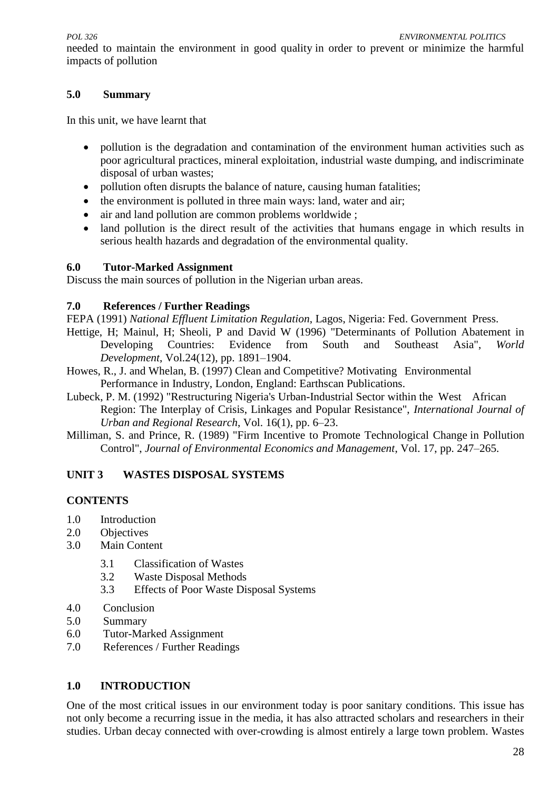needed to maintain the environment in good quality in order to prevent or minimize the harmful impacts of pollution

# **5.0 Summary**

In this unit, we have learnt that

- pollution is the degradation and contamination of the environment human activities such as poor agricultural practices, mineral exploitation, industrial waste dumping, and indiscriminate disposal of urban wastes;
- pollution often disrupts the balance of nature, causing human fatalities;
- the environment is polluted in three main ways: land, water and air;
- [air and](http://scipeeps.com/home-air-pollution/) land pollution are common problems worldwide ;
- land pollution is the direct result of the activities that humans engage in which results in serious health hazards and degradation of the environmental quality.

# **6.0 Tutor-Marked Assignment**

Discuss the main sources of pollution in the Nigerian urban areas.

# **7.0 References / Further Readings**

FEPA (1991) *National Effluent Limitation Regulation*, Lagos, Nigeria: Fed. Government Press.

- Hettige, H; Mainul, H; Sheoli, P and David W (1996) "Determinants of Pollution Abatement in Developing Countries: Evidence from South and Southeast Asia", *World Development*, Vol.24(12), pp. 1891–1904.
- Howes, R., J. and Whelan, B. (1997) Clean and Competitive? Motivating Environmental Performance in Industry, London, England: Earthscan Publications.
- Lubeck, P. M. (1992) "Restructuring Nigeria's Urban-Industrial Sector within the West African Region: The Interplay of Crisis, Linkages and Popular Resistance", *International Journal of Urban and Regional Research*, Vol. 16(1), pp. 6–23.
- Milliman, S. and Prince, R. (1989) "Firm Incentive to Promote Technological Change in Pollution Control", *Journal of Environmental Economics and Management*, Vol. 17, pp. 247–265.

# **UNIT 3 WASTES DISPOSAL SYSTEMS**

# **CONTENTS**

- 1.0 Introduction
- 2.0 Objectives
- 3.0 Main Content
	- 3.1 [Classification](http://www.thefreemanonline.org/featured/chemical-hysteria-and-environmental-politics/) of Wastes
	- 3.2 Waste Disposal Methods
	- 3.3 Effects of Poor Waste Disposal Systems
- 4.0 Conclusion
- 5.0 Summary
- 6.0 Tutor-Marked Assignment
- 7.0 References / Further Readings

# **1.0 INTRODUCTION**

One of the most critical issues in our environment today is poor sanitary conditions. This issue has not only become a recurring issue in the media, it has also attracted scholars and researchers in their studies. Urban decay connected with over-crowding is almost entirely a large town problem. Wastes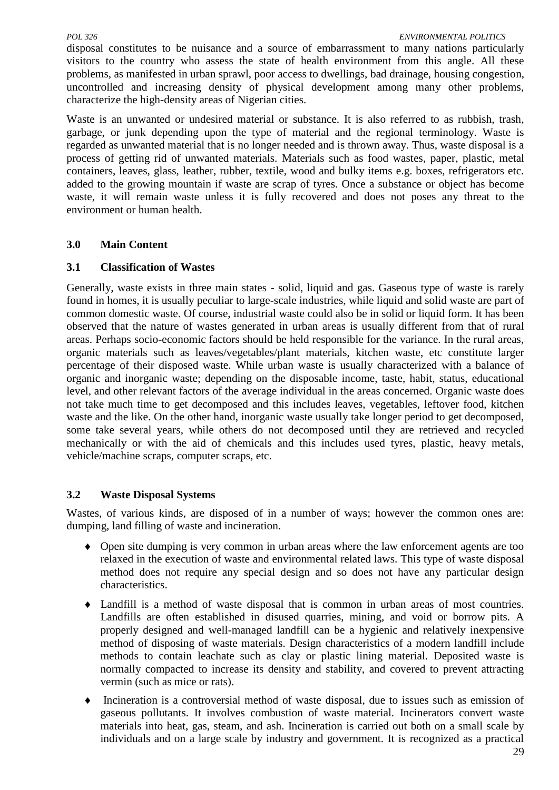disposal constitutes to be nuisance and a source of embarrassment to many nations particularly visitors to the country who assess the state of health environment from this angle. All these problems, as manifested in urban sprawl, poor access to dwellings, bad drainage, housing congestion, uncontrolled and increasing density of physical development among many other problems, characterize the high-density areas of Nigerian cities.

Waste is an unwanted or undesired material or substance. It is also referred to as rubbish, trash, garbage, or junk depending upon the type of material and the regional terminology. Waste is regarded as unwanted material that is no longer needed and is thrown away. Thus, waste disposal is a process of getting rid of unwanted materials. Materials such as food wastes, paper, plastic, metal containers, leaves, glass, leather, rubber, textile, wood and bulky items e.g. boxes, refrigerators etc. added to the growing mountain if waste are scrap of tyres. Once a substance or object has become waste, it will remain waste unless it is fully recovered and does not poses any threat to the environment or human health.

# **3.0 Main Content**

### **3.1 Classification of Wastes**

Generally, waste exists in three main states - solid, liquid and gas. Gaseous type of waste is rarely found in homes, it is usually peculiar to large-scale industries, while liquid and solid waste are part of common domestic waste. Of course, industrial waste could also be in solid or liquid form. It has been observed that the nature of wastes generated in urban areas is usually different from that of rural areas. Perhaps socio-economic factors should be held responsible for the variance. In the rural areas, organic materials such as leaves/vegetables/plant materials, kitchen waste, etc constitute larger percentage of their disposed waste. While urban waste is usually characterized with a balance of organic and inorganic waste; depending on the disposable income, taste, habit, status, educational level, and other relevant factors of the average individual in the areas concerned. Organic waste does not take much time to get decomposed and this includes leaves, vegetables, leftover food, kitchen waste and the like. On the other hand, inorganic waste usually take longer period to get decomposed, some take several years, while others do not decomposed until they are retrieved and recycled mechanically or with the aid of chemicals and this includes used tyres, plastic, heavy metals, vehicle/machine scraps, computer scraps, etc.

# **3.2 Waste Disposal Systems**

Wastes, of various kinds, are disposed of in a number of ways; however the common ones are: dumping, land filling of waste and incineration.

- Open site dumping is very common in urban areas where the law enforcement agents are too relaxed in the execution of waste and environmental related laws. This type of waste disposal method does not require any special design and so does not have any particular design characteristics.
- Landfill is a method of waste disposal that is common in urban areas of most countries. Landfills are often established in disused quarries, mining, and void or borrow pits. A properly designed and well-managed landfill can be a hygienic and relatively inexpensive method of disposing of waste materials. Design characteristics of a modern landfill include methods to contain leachate such as clay or plastic lining material. Deposited waste is normally compacted to increase its density and stability, and covered to prevent attracting vermin (such as mice or rats).
- Incineration is a controversial method of waste disposal, due to issues such as emission of gaseous pollutants. It involves combustion of waste material. Incinerators convert waste materials into heat, gas, steam, and ash. Incineration is carried out both on a small scale by individuals and on a large scale by industry and government. It is recognized as a practical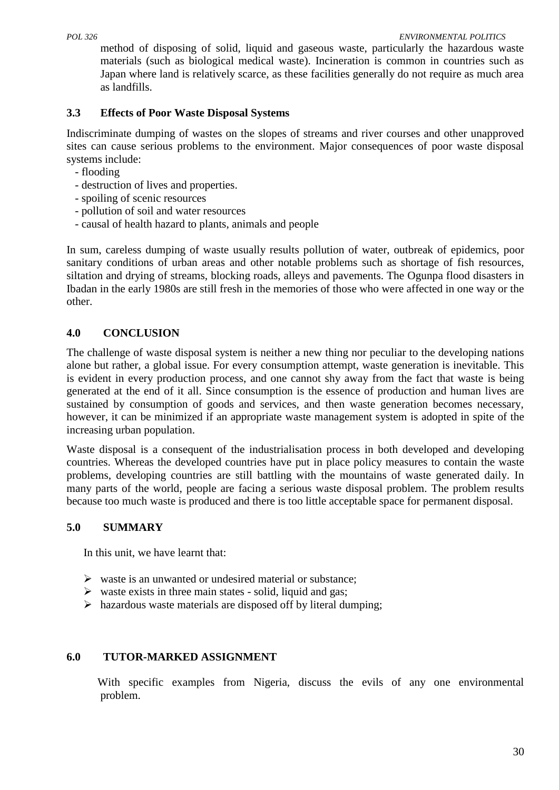method of disposing of solid, liquid and gaseous waste, particularly the hazardous waste materials (such as biological medical waste). Incineration is common in countries such as Japan where land is relatively scarce, as these facilities generally do not require as much area as landfills.

# **3.3 Effects of Poor Waste Disposal Systems**

Indiscriminate dumping of wastes on the slopes of streams and river courses and other unapproved sites can cause serious problems to the environment. Major consequences of poor waste disposal systems include:

- flooding
- destruction of lives and properties.
- spoiling of scenic resources
- pollution of soil and water resources
- causal of health hazard to plants, animals and people

In sum, careless dumping of waste usually results pollution of water, outbreak of epidemics, poor sanitary conditions of urban areas and other notable problems such as shortage of fish resources, siltation and drying of streams, blocking roads, alleys and pavements. The Ogunpa flood disasters in Ibadan in the early 1980s are still fresh in the memories of those who were affected in one way or the other.

# **4.0 CONCLUSION**

The challenge of waste disposal system is neither a new thing nor peculiar to the developing nations alone but rather, a global issue. For every consumption attempt, waste generation is inevitable. This is evident in every production process, and one cannot shy away from the fact that waste is being generated at the end of it all. Since consumption is the essence of production and human lives are sustained by consumption of goods and services, and then waste generation becomes necessary, however, it can be minimized if an appropriate waste management system is adopted in spite of the increasing urban population.

Waste disposal is a consequent of the industrialisation process in both developed and developing countries. Whereas the developed countries have put in place policy measures to contain the waste problems, developing countries are still battling with the mountains of waste generated daily. In many parts of the world, people are facing a serious waste disposal problem. The problem results because too much waste is produced and there is too little acceptable space for permanent disposal.

# **5.0 SUMMARY**

In this unit, we have learnt that:

- $\triangleright$  waste is an unwanted or undesired material or substance;
- $\triangleright$  waste exists in three main states solid, liquid and gas;
- $\triangleright$  hazardous waste materials are disposed off by literal dumping;

# **6.0 TUTOR-MARKED ASSIGNMENT**

 With specific examples from Nigeria, discuss the evils of any one environmental problem.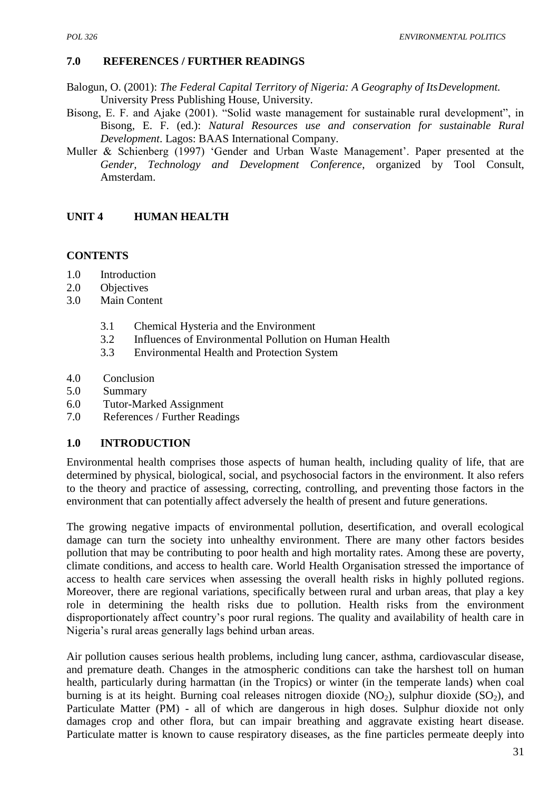# **7.0 REFERENCES / FURTHER READINGS**

- Balogun, O. (2001): *The Federal Capital Territory of Nigeria: A Geography of ItsDevelopment.* University Press Publishing House, University.
- Bisong, E. F. and Ajake (2001). "Solid waste management for sustainable rural development", in Bisong, E. F. (ed.): *Natural Resources use and conservation for sustainable Rural Development*. Lagos: BAAS International Company.
- Muller & Schienberg (1997) 'Gender and Urban Waste Management'. Paper presented at the *Gender, Technology and Development Conference*, organized by Tool Consult, Amsterdam.

### **UNIT 4 HUMAN HEALTH**

#### **CONTENTS**

- 1.0 Introduction
- 2.0 Objectives<br>3.0 Main Conte
- Main Content
	- 3.1 [Chemical Hysteria and the Environment](http://www.thefreemanonline.org/featured/chemical-hysteria-and-environmental-politics/)
	- 3.2 Influences of Environmental Pollution on Human Health
	- 3.3 Environmental Health and Protection System
- 4.0 Conclusion
- 5.0 Summary
- 6.0 Tutor-Marked Assignment
- 7.0 References / Further Readings

#### **1.0 INTRODUCTION**

Environmental health comprises those aspects of human health, including quality of life, that are determined by physical, biological, social, and psychosocial factors in the environment. It also refers to the theory and practice of assessing, correcting, controlling, and preventing those factors in the environment that can potentially affect adversely the health of present and future generations.

The growing negative impacts of environmental pollution, desertification, and overall ecological damage can turn the society into unhealthy environment. There are many other factors besides pollution that may be contributing to poor health and high mortality rates. Among these are poverty, climate conditions, and access to health care. World Health Organisation stressed the importance of access to health care services when assessing the overall health risks in highly polluted regions. Moreover, there are regional variations, specifically between rural and urban areas, that play a key role in determining the health risks due to pollution. Health risks from the environment disproportionately affect country's poor rural regions. The quality and availability of health care in Nigeria's rural areas generally lags behind urban areas.

Air pollution causes serious health problems, including lung cancer, asthma, cardiovascular disease, and premature death. Changes in the atmospheric conditions can take the harshest toll on human health, particularly during harmattan (in the Tropics) or winter (in the temperate lands) when coal burning is at its height. Burning coal releases nitrogen dioxide  $(NO_2)$ , sulphur dioxide  $(SO_2)$ , and Particulate Matter (PM) - all of which are dangerous in high doses. Sulphur dioxide not only damages crop and other flora, but can impair breathing and aggravate existing heart disease. Particulate matter is known to cause respiratory diseases, as the fine particles permeate deeply into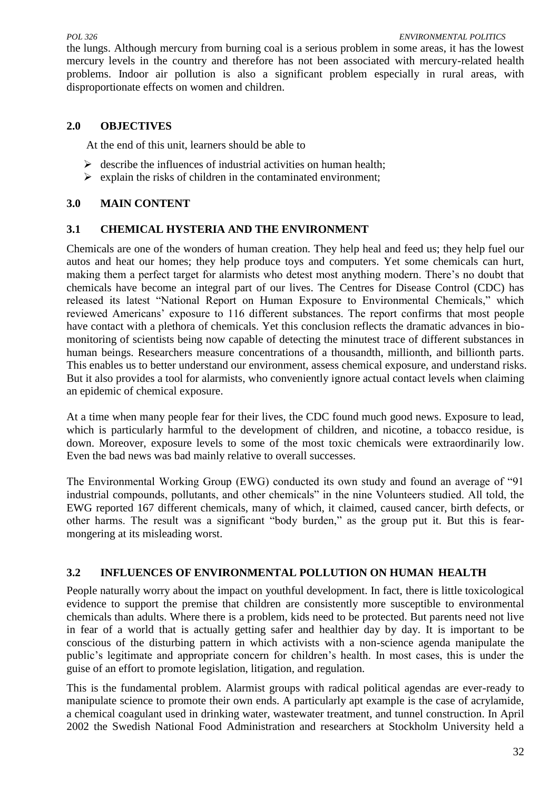the lungs. Although mercury from burning coal is a serious problem in some areas, it has the lowest mercury levels in the country and therefore has not been associated with mercury-related health problems. Indoor air pollution is also a significant problem especially in rural areas, with disproportionate effects on women and children.

### **2.0 OBJECTIVES**

At the end of this unit, learners should be able to

- $\triangleright$  describe the influences of industrial activities on human healt[h;](http://www.thefreemanonline.org/featured/chemical-hysteria-and-environmental-politics/)
- $\triangleright$  explain the risks of children in the contaminated environment;

# **3.0 MAIN CONTENT**

### **3.1 [CHEMICAL HYSTERIA AND THE ENVIRONMENT](http://www.thefreemanonline.org/featured/chemical-hysteria-and-environmental-politics/)**

Chemicals are one of the wonders of human creation. They help heal and feed us; they help fuel our autos and heat our homes; they help produce toys and computers. Yet some chemicals can hurt, making them a perfect target for alarmists who detest most anything modern. There's no doubt that chemicals have become an integral part of our lives. The Centres for Disease Control (CDC) has released its latest "National Report on Human Exposure to Environmental Chemicals," which reviewed Americans' exposure to 116 different substances. The report confirms that most people have contact with a plethora of chemicals. Yet this conclusion reflects the dramatic advances in biomonitoring of scientists being now capable of detecting the minutest trace of different substances in human beings. Researchers measure concentrations of a thousandth, millionth, and billionth parts. This enables us to better understand our environment, assess chemical exposure, and understand risks. But it also provides a tool for alarmists, who conveniently ignore actual contact levels when claiming an epidemic of chemical exposure.

At a time when many people fear for their lives, the CDC found much good news. Exposure to lead, which is particularly harmful to the development of children, and nicotine, a tobacco residue, is down. Moreover, exposure levels to some of the most toxic chemicals were extraordinarily low. Even the bad news was bad mainly relative to overall successes.

The Environmental Working Group (EWG) conducted its own study and found an average of "91 industrial compounds, pollutants, and other chemicals" in the nine Volunteers studied. All told, the EWG reported 167 different chemicals, many of which, it claimed, caused cancer, birth defects, or other harms. The result was a significant "body burden," as the group put it. But this is fearmongering at its misleading worst.

# **3.2 INFLUENCES OF ENVIRONMENTAL POLLUTION ON HUMAN HEALTH**

People naturally worry about the impact on youthful development. In fact, there is little toxicological evidence to support the premise that children are consistently more susceptible to environmental chemicals than adults. Where there is a problem, kids need to be protected. But parents need not live in fear of a world that is actually getting safer and healthier day by day. It is important to be conscious of the disturbing pattern in which activists with a non-science agenda manipulate the public's legitimate and appropriate concern for children's health. In most cases, this is under the guise of an effort to promote legislation, litigation, and regulation.

This is the fundamental problem. Alarmist groups with radical political agendas are ever-ready to manipulate science to promote their own ends. A particularly apt example is the case of acrylamide, a chemical coagulant used in drinking water, wastewater treatment, and tunnel construction. In April 2002 the Swedish National Food Administration and researchers at Stockholm University held a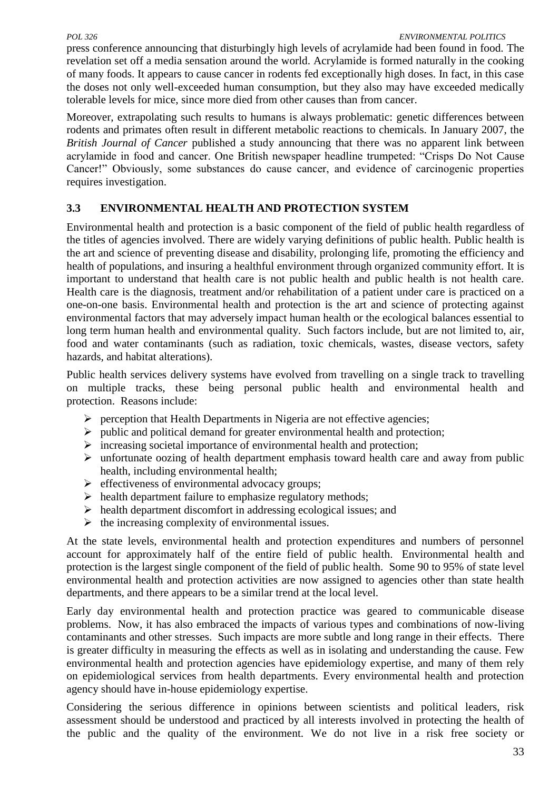press conference announcing that disturbingly high levels of acrylamide had been found in food. The revelation set off a media sensation around the world. Acrylamide is formed naturally in the cooking of many foods. It appears to cause cancer in rodents fed exceptionally high doses. In fact, in this case the doses not only well-exceeded human consumption, but they also may have exceeded medically tolerable levels for mice, since more died from other causes than from cancer.

Moreover, extrapolating such results to humans is always problematic: genetic differences between rodents and primates often result in different metabolic reactions to chemicals. In January 2007, the *British Journal of Cancer* published a study announcing that there was no apparent link between acrylamide in food and cancer. One British newspaper headline trumpeted: "Crisps Do Not Cause Cancer!" Obviously, some substances do cause cancer, and evidence of carcinogenic properties requires investigation.

# **3.3 ENVIRONMENTAL HEALTH AND PROTECTION SYSTEM**

Environmental health and protection is a basic component of the field of public health regardless of the titles of agencies involved. There are widely varying definitions of public health. Public health is the art and science of preventing disease and disability, prolonging life, promoting the efficiency and health of populations, and insuring a healthful environment through organized community effort. It is important to understand that health care is not public health and public health is not health care. Health care is the diagnosis, treatment and/or rehabilitation of a patient under care is practiced on a one-on-one basis. Environmental health and protection is the art and science of protecting against environmental factors that may adversely impact human health or the ecological balances essential to long term human health and environmental quality. Such factors include, but are not limited to, air, food and water contaminants (such as radiation, toxic chemicals, wastes, disease vectors, safety hazards, and habitat alterations).

Public health services delivery systems have evolved from travelling on a single track to travelling on multiple tracks, these being personal public health and environmental health and protection. Reasons include:

- $\triangleright$  perception that Health Departments in Nigeria are not effective agencies;
- $\triangleright$  public and political demand for greater environmental health and protection;
- $\triangleright$  increasing societal importance of environmental health and protection;
- $\triangleright$  unfortunate oozing of health department emphasis toward health care and away from public health, including environmental health;
- $\triangleright$  effectiveness of environmental advocacy groups;
- $\triangleright$  health department failure to emphasize regulatory methods;
- $\triangleright$  health department discomfort in addressing ecological issues; and
- $\triangleright$  the increasing complexity of environmental issues.

At the state levels, environmental health and protection expenditures and numbers of personnel account for approximately half of the entire field of public health. Environmental health and protection is the largest single component of the field of public health. Some 90 to 95% of state level environmental health and protection activities are now assigned to agencies other than state health departments, and there appears to be a similar trend at the local level.

Early day environmental health and protection practice was geared to communicable disease problems. Now, it has also embraced the impacts of various types and combinations of now-living contaminants and other stresses. Such impacts are more subtle and long range in their effects. There is greater difficulty in measuring the effects as well as in isolating and understanding the cause. Few environmental health and protection agencies have epidemiology expertise, and many of them rely on epidemiological services from health departments. Every environmental health and protection agency should have in-house epidemiology expertise.

Considering the serious difference in opinions between scientists and political leaders, risk assessment should be understood and practiced by all interests involved in protecting the health of the public and the quality of the environment. We do not live in a risk free society or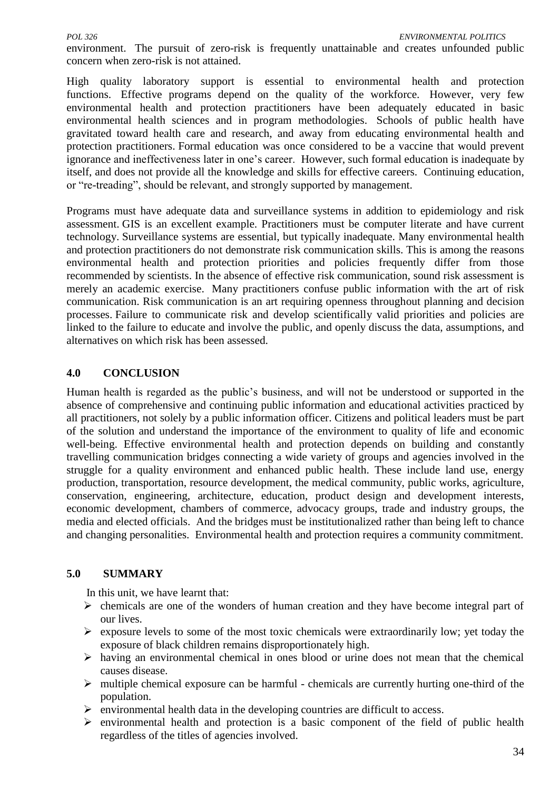environment. The pursuit of zero-risk is frequently unattainable and creates unfounded public concern when zero-risk is not attained.

High quality laboratory support is essential to environmental health and protection functions. Effective programs depend on the quality of the workforce. However, very few environmental health and protection practitioners have been adequately educated in basic environmental health sciences and in program methodologies. Schools of public health have gravitated toward health care and research, and away from educating environmental health and protection practitioners. Formal education was once considered to be a vaccine that would prevent ignorance and ineffectiveness later in one's career. However, such formal education is inadequate by itself, and does not provide all the knowledge and skills for effective careers. Continuing education, or "re-treading", should be relevant, and strongly supported by management.

Programs must have adequate data and surveillance systems in addition to epidemiology and risk assessment. GIS is an excellent example. Practitioners must be computer literate and have current technology. Surveillance systems are essential, but typically inadequate. Many environmental health and protection practitioners do not demonstrate risk communication skills. This is among the reasons environmental health and protection priorities and policies frequently differ from those recommended by scientists. In the absence of effective risk communication, sound risk assessment is merely an academic exercise. Many practitioners confuse public information with the art of risk communication. Risk communication is an art requiring openness throughout planning and decision processes. Failure to communicate risk and develop scientifically valid priorities and policies are linked to the failure to educate and involve the public, and openly discuss the data, assumptions, and alternatives on which risk has been assessed.

# **4.0 CONCLUSION**

Human health is regarded as the public's business, and will not be understood or supported in the absence of comprehensive and continuing public information and educational activities practiced by all practitioners, not solely by a public information officer. Citizens and political leaders must be part of the solution and understand the importance of the environment to quality of life and economic well-being. Effective environmental health and protection depends on building and constantly travelling communication bridges connecting a wide variety of groups and agencies involved in the struggle for a quality environment and enhanced public health. These include land use, energy production, transportation, resource development, the medical community, public works, agriculture, conservation, engineering, architecture, education, product design and development interests, economic development, chambers of commerce, advocacy groups, trade and industry groups, the media and elected officials. And the bridges must be institutionalized rather than being left to chance and changing personalities. Environmental health and protection requires a community commitment.

# **5.0 SUMMARY**

In this unit, we have learnt that:

- $\triangleright$  chemicals are one of the wonders of human creation and they have become integral part of our lives.
- $\triangleright$  exposure levels to some of the most toxic chemicals were extraordinarily low; yet today the exposure of black children remains disproportionately high.
- $\triangleright$  having an environmental chemical in ones blood or urine does not mean that the chemical causes disease.
- $\triangleright$  multiple chemical exposure can be harmful chemicals are currently hurting one-third of the population.
- $\triangleright$  environmental health data in the developing countries are difficult to access.
- $\triangleright$  environmental health and protection is a basic component of the field of public health regardless of the titles of agencies involved.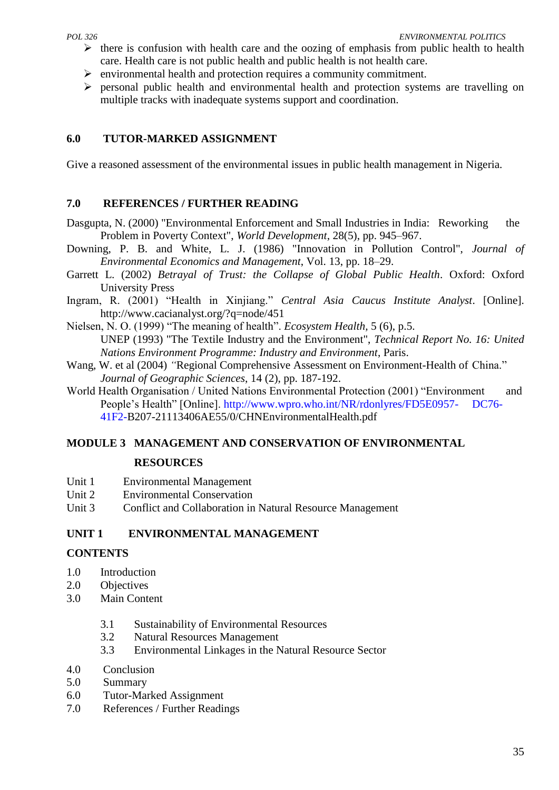- $\triangleright$  there is confusion with health care and the oozing of emphasis from public health to health care. Health care is not public health and public health is not health care.
- $\triangleright$  environmental health and protection requires a community commitment.
- $\triangleright$  personal public health and environmental health and protection systems are travelling on multiple tracks with inadequate systems support and coordination.

# **6.0 TUTOR-MARKED ASSIGNMENT**

Give a reasoned assessment of the environmental issues in public health management in Nigeria.

# **7.0 REFERENCES / FURTHER READING**

- Dasgupta, N. (2000) "Environmental Enforcement and Small Industries in India: Reworking the Problem in Poverty Context", *World Development*, 28(5), pp. 945–967.
- Downing, P. B. and White, L. J. (1986) "Innovation in Pollution Control", *Journal of Environmental Economics and Management*, Vol. 13, pp. 18–29.
- Garrett L. (2002) *Betrayal of Trust: the Collapse of Global Public Health*. Oxford: Oxford University Press
- Ingram, R. (2001) "Health in Xinjiang." *Central Asia Caucus Institute Analyst*. [Online]. http://www.cacianalyst.org/?q=node/451
- Nielsen, N. O. (1999) "The meaning of health". *Ecosystem Health,* 5 (6), p.5.

UNEP (1993) "The Textile Industry and the Environment", *Technical Report No. 16: United Nations Environment Programme: Industry and Environment*, Paris.

- Wang, W. et al (2004) *"*Regional Comprehensive Assessment on Environment-Health of China." *Journal of Geographic Sciences*, 14 (2), pp. 187-192.
- World Health Organisation / United Nations Environmental Protection (2001) "Environment and People's Health" [Online]. [http://www.wpro.who.int/NR/rdonlyres/FD5E0957-](http://www.wpro.who.int/NR/rdonlyres/FD5E0957-DC76-41F2-) DC76- [41F2-B](http://www.wpro.who.int/NR/rdonlyres/FD5E0957-DC76-41F2-)207-21113406AE55/0/CHNEnvironmentalHealth.pdf

# **MODULE 3 MANAGEMENT AND CONSERVATION OF ENVIRONMENTAL**

# **RESOURCES**

- Unit 1 Environmental Management
- Unit 2 Environmental Conservation
- Unit 3 Conflict and Collaboration in Natural Resource Management

# **UNIT 1 ENVIRONMENTAL MANAGEMENT**

# **CONTENTS**

- 1.0 Introduction
- 2.0 Objectives
- 3.0 Main Content
	- 3.1 Sustainability of Environmental Resources
	- 3.2 Natural Resources Management
	- 3.3 Environmental Linkages in the Natural Resource Sector
- 4.0 Conclusion
- 5.0 Summary
- 6.0 Tutor-Marked Assignment
- 7.0 References / Further Readings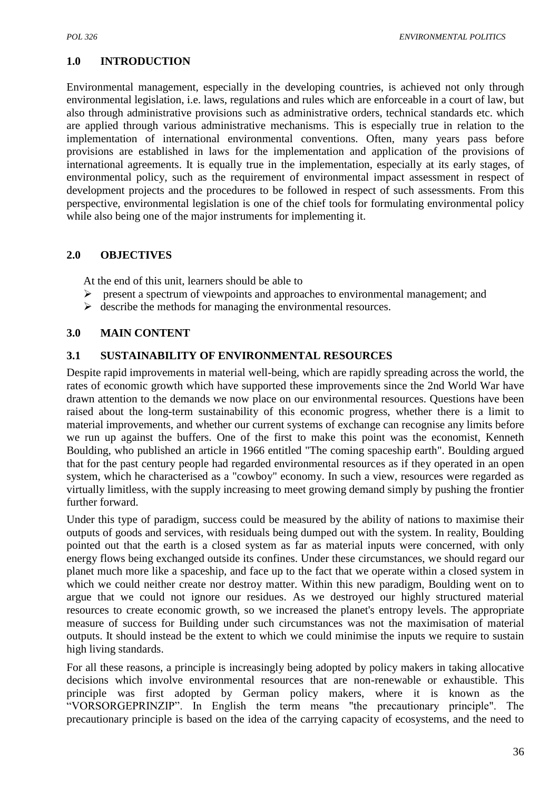# **1.0 INTRODUCTION**

Environmental management, especially in the developing countries, is achieved not only through environmental legislation, i.e. laws, regulations and rules which are enforceable in a court of law, but also through administrative provisions such as administrative orders, technical standards etc. which are applied through various administrative mechanisms. This is especially true in relation to the implementation of international environmental conventions. Often, many years pass before provisions are established in laws for the implementation and application of the provisions of international agreements. It is equally true in the implementation, especially at its early stages, of environmental policy, such as the requirement of environmental impact assessment in respect of development projects and the procedures to be followed in respect of such assessments. From this perspective, environmental legislation is one of the chief tools for formulating environmental policy while also being one of the major instruments for implementing it.

# **2.0 OBJECTIVES**

At the end of this unit, learners should be able to

- $\triangleright$  present a spectrum of viewpoints and approaches to environmental management; and
- $\triangleright$  describe the methods for managing the environmental resources.

# **3.0 MAIN CONTENT**

# **3.1 SUSTAINABILITY OF ENVIRONMENTAL RESOURCES**

Despite rapid improvements in material well-being, which are rapidly spreading across the world, the rates of economic growth which have supported these improvements since the 2nd World War have drawn attention to the demands we now place on our environmental resources. Questions have been raised about the long-term sustainability of this economic progress, whether there is a limit to material improvements, and whether our current systems of exchange can recognise any limits before we run up against the buffers. One of the first to make this point was the economist, Kenneth Boulding, who published an article in 1966 entitled "The coming spaceship earth". Boulding argued that for the past century people had regarded environmental resources as if they operated in an open system, which he characterised as a "cowboy" economy. In such a view, resources were regarded as virtually limitless, with the supply increasing to meet growing demand simply by pushing the frontier further forward.

Under this type of paradigm, success could be measured by the ability of nations to maximise their outputs of goods and services, with residuals being dumped out with the system. In reality, Boulding pointed out that the earth is a closed system as far as material inputs were concerned, with only energy flows being exchanged outside its confines. Under these circumstances, we should regard our planet much more like a spaceship, and face up to the fact that we operate within a closed system in which we could neither create nor destroy matter. Within this new paradigm, Boulding went on to argue that we could not ignore our residues. As we destroyed our highly structured material resources to create economic growth, so we increased the planet's entropy levels. The appropriate measure of success for Building under such circumstances was not the maximisation of material outputs. It should instead be the extent to which we could minimise the inputs we require to sustain high living standards.

For all these reasons, a principle is increasingly being adopted by policy makers in taking allocative decisions which involve environmental resources that are non-renewable or exhaustible. This principle was first adopted by German policy makers, where it is known as the "VORSORGEPRINZIP". In English the term means "the precautionary principle". The precautionary principle is based on the idea of the carrying capacity of ecosystems, and the need to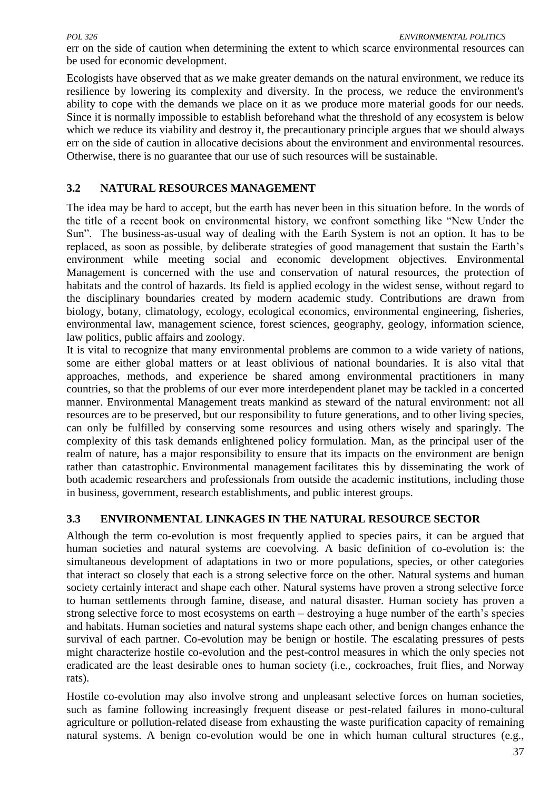err on the side of caution when determining the extent to which scarce environmental resources can be used for economic development.

Ecologists have observed that as we make greater demands on the natural environment, we reduce its resilience by lowering its complexity and diversity. In the process, we reduce the environment's ability to cope with the demands we place on it as we produce more material goods for our needs. Since it is normally impossible to establish beforehand what the threshold of any ecosystem is below which we reduce its viability and destroy it, the precautionary principle argues that we should always err on the side of caution in allocative decisions about the environment and environmental resources. Otherwise, there is no guarantee that our use of such resources will be sustainable.

# **3.2 NATURAL RESOURCES MANAGEMENT**

The idea may be hard to accept, but the earth has never been in this situation before. In the words of the title of a recent book on environmental history, we confront something like "New Under the Sun". The business-as-usual way of dealing with the Earth System is not an option. It has to be replaced, as soon as possible, by deliberate strategies of good management that sustain the Earth's environment while meeting social and economic development objectives. Environmental Management is concerned with the use and conservation of natural resources, the protection of habitats and the control of hazards. Its field is applied ecology in the widest sense, without regard to the disciplinary boundaries created by modern academic study. Contributions are drawn from biology, botany, climatology, ecology, ecological economics, environmental engineering, fisheries, environmental law, management science, forest sciences, geography, geology, information science, law politics, public affairs and zoology.

It is vital to recognize that many environmental problems are common to a wide variety of nations, some are either global matters or at least oblivious of national boundaries. It is also vital that approaches, methods, and experience be shared among environmental practitioners in many countries, so that the problems of our ever more interdependent planet may be tackled in a concerted manner. Environmental Management treats mankind as steward of the natural environment: not all resources are to be preserved, but our responsibility to future generations, and to other living species, can only be fulfilled by conserving some resources and using others wisely and sparingly. The complexity of this task demands enlightened policy formulation. Man, as the principal user of the realm of nature, has a major responsibility to ensure that its impacts on the environment are benign rather than catastrophic. Environmental management facilitates this by disseminating the work of both academic researchers and professionals from outside the academic institutions, including those in business, government, research establishments, and public interest groups.

# **3.3 ENVIRONMENTAL LINKAGES IN THE NATURAL RESOURCE SECTOR**

Although the term co-evolution is most frequently applied to species pairs, it can be argued that human societies and natural systems are coevolving. A basic definition of co-evolution is: the simultaneous development of adaptations in two or more populations, species, or other categories that interact so closely that each is a strong selective force on the other. Natural systems and human society certainly interact and shape each other. Natural systems have proven a strong selective force to human settlements through famine, disease, and natural disaster. Human society has proven a strong selective force to most ecosystems on earth – destroying a huge number of the earth's species and habitats. Human societies and natural systems shape each other, and benign changes enhance the survival of each partner. Co-evolution may be benign or hostile. The escalating pressures of pests might characterize hostile co-evolution and the pest-control measures in which the only species not eradicated are the least desirable ones to human society (i.e., cockroaches, fruit flies, and Norway rats).

Hostile co-evolution may also involve strong and unpleasant selective forces on human societies, such as famine following increasingly frequent disease or pest-related failures in mono-cultural agriculture or pollution-related disease from exhausting the waste purification capacity of remaining natural systems. A benign co-evolution would be one in which human cultural structures (e.g.,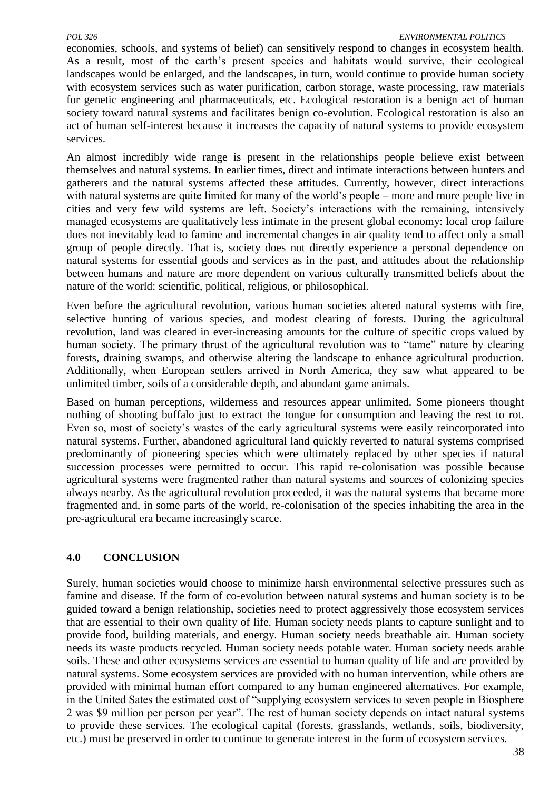#### *POL 326 ENVIRONMENTAL POLITICS*

economies, schools, and systems of belief) can sensitively respond to changes in ecosystem health. As a result, most of the earth's present species and habitats would survive, their ecological landscapes would be enlarged, and the landscapes, in turn, would continue to provide human society with ecosystem services such as water purification, carbon storage, waste processing, raw materials for genetic engineering and pharmaceuticals, etc. Ecological restoration is a benign act of human society toward natural systems and facilitates benign co-evolution. Ecological restoration is also an act of human self-interest because it increases the capacity of natural systems to provide ecosystem services.

An almost incredibly wide range is present in the relationships people believe exist between themselves and natural systems. In earlier times, direct and intimate interactions between hunters and gatherers and the natural systems affected these attitudes. Currently, however, direct interactions with natural systems are quite limited for many of the world's people – more and more people live in cities and very few wild systems are left. Society's interactions with the remaining, intensively managed ecosystems are qualitatively less intimate in the present global economy: local crop failure does not inevitably lead to famine and incremental changes in air quality tend to affect only a small group of people directly. That is, society does not directly experience a personal dependence on natural systems for essential goods and services as in the past, and attitudes about the relationship between humans and nature are more dependent on various culturally transmitted beliefs about the nature of the world: scientific, political, religious, or philosophical.

Even before the agricultural revolution, various human societies altered natural systems with fire, selective hunting of various species, and modest clearing of forests. During the agricultural revolution, land was cleared in ever-increasing amounts for the culture of specific crops valued by human society. The primary thrust of the agricultural revolution was to "tame" nature by clearing forests, draining swamps, and otherwise altering the landscape to enhance agricultural production. Additionally, when European settlers arrived in North America, they saw what appeared to be unlimited timber, soils of a considerable depth, and abundant game animals.

Based on human perceptions, wilderness and resources appear unlimited. Some pioneers thought nothing of shooting buffalo just to extract the tongue for consumption and leaving the rest to rot. Even so, most of society's wastes of the early agricultural systems were easily reincorporated into natural systems. Further, abandoned agricultural land quickly reverted to natural systems comprised predominantly of pioneering species which were ultimately replaced by other species if natural succession processes were permitted to occur. This rapid re-colonisation was possible because agricultural systems were fragmented rather than natural systems and sources of colonizing species always nearby. As the agricultural revolution proceeded, it was the natural systems that became more fragmented and, in some parts of the world, re-colonisation of the species inhabiting the area in the pre-agricultural era became increasingly scarce.

# **4.0 CONCLUSION**

Surely, human societies would choose to minimize harsh environmental selective pressures such as famine and disease. If the form of co-evolution between natural systems and human society is to be guided toward a benign relationship, societies need to protect aggressively those ecosystem services that are essential to their own quality of life. Human society needs plants to capture sunlight and to provide food, building materials, and energy. Human society needs breathable air. Human society needs its waste products recycled. Human society needs potable water. Human society needs arable soils. These and other ecosystems services are essential to human quality of life and are provided by natural systems. Some ecosystem services are provided with no human intervention, while others are provided with minimal human effort compared to any human engineered alternatives. For example, in the United Sates the estimated cost of "supplying ecosystem services to seven people in Biosphere 2 was \$9 million per person per year". The rest of human society depends on intact natural systems to provide these services. The ecological capital (forests, grasslands, wetlands, soils, biodiversity, etc.) must be preserved in order to continue to generate interest in the form of ecosystem services.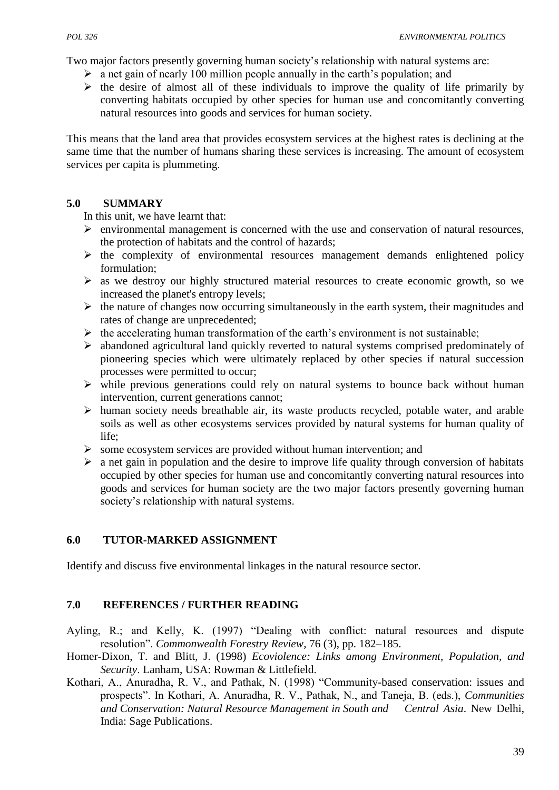Two major factors presently governing human society's relationship with natural systems are:

- $\triangleright$  a net gain of nearly 100 million people annually in the earth's population; and
- $\triangleright$  the desire of almost all of these individuals to improve the quality of life primarily by converting habitats occupied by other species for human use and concomitantly converting natural resources into goods and services for human society.

This means that the land area that provides ecosystem services at the highest rates is declining at the same time that the number of humans sharing these services is increasing. The amount of ecosystem services per capita is plummeting.

# **5.0 SUMMARY**

In this unit, we have learnt that:

- $\triangleright$  environmental management is concerned with the use and conservation of natural resources, the protection of habitats and the control of hazards;
- $\triangleright$  the complexity of environmental resources management demands enlightened policy formulation;
- $\triangleright$  as we destroy our highly structured material resources to create economic growth, so we increased the planet's entropy levels;
- $\triangleright$  the nature of changes now occurring simultaneously in the earth system, their magnitudes and rates of change are unprecedented;
- $\triangleright$  the accelerating human transformation of the earth's environment is not sustainable;
- abandoned agricultural land quickly reverted to natural systems comprised predominately of pioneering species which were ultimately replaced by other species if natural succession processes were permitted to occur;
- $\triangleright$  while previous generations could rely on natural systems to bounce back without human intervention, current generations cannot;
- $\triangleright$  human society needs breathable air, its waste products recycled, potable water, and arable soils as well as other ecosystems services provided by natural systems for human quality of life;
- $\triangleright$  some ecosystem services are provided without human intervention; and
- $\triangleright$  a net gain in population and the desire to improve life quality through conversion of habitats occupied by other species for human use and concomitantly converting natural resources into goods and services for human society are the two major factors presently governing human society's relationship with natural systems.

# **6.0 TUTOR-MARKED ASSIGNMENT**

Identify and discuss five environmental linkages in the natural resource sector.

# **7.0 REFERENCES / FURTHER READING**

- Ayling, R.; and Kelly, K. (1997) "Dealing with conflict: natural resources and dispute resolution". *Commonwealth Forestry Review*, 76 (3), pp. 182–185.
- Homer-Dixon, T. and Blitt, J. (1998) *Ecoviolence: Links among Environment, Population, and Security*. Lanham, USA: Rowman & Littlefield.
- Kothari, A., Anuradha, R. V., and Pathak, N. (1998) "Community-based conservation: issues and prospects". In Kothari, A. Anuradha, R. V., Pathak, N., and Taneja, B. (eds.), *Communities and Conservation: Natural Resource Management in South and Central Asia*. New Delhi, India: Sage Publications.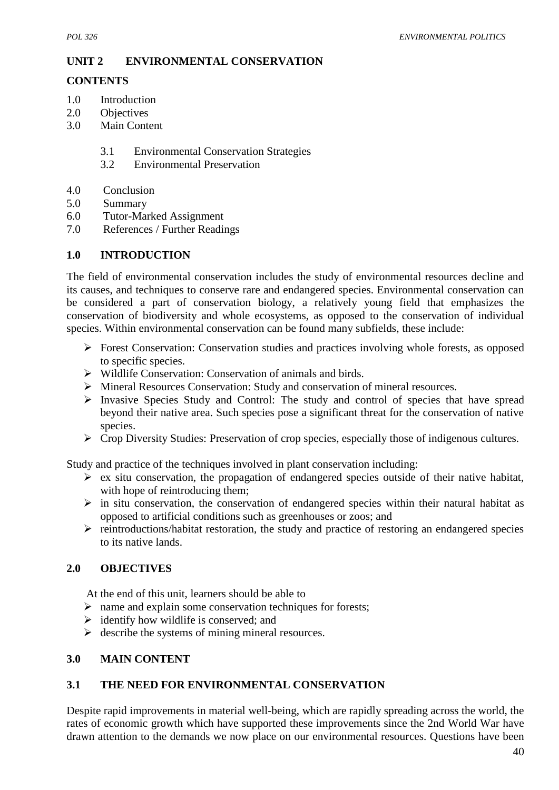# **UNIT 2 ENVIRONMENTAL CONSERVATION**

# **CONTENTS**

- 1.0 Introduction
- 2.0 Objectives
- 3.0 Main Content
	- 3.1 Environmental Conservation Strategies
	- 3.2 Environmental Preservation
- 4.0 Conclusion
- 5.0 Summary
- 6.0 Tutor-Marked Assignment
- 7.0 References / Further Readings

# **1.0 INTRODUCTION**

The field of environmental conservation includes the study of environmental resources decline and its causes, and techniques to conserve rare and endangered species. Environmental conservation can be considered a part of conservation biology, a relatively young field that emphasizes the conservation of biodiversity and whole ecosystems, as opposed to the conservation of individual species. Within environmental conservation can be found many subfields, these include:

- Forest Conservation: Conservation studies and practices involving whole forests, as opposed to specific species.
- Wildlife Conservation: Conservation of animals and birds.
- Mineral Resources Conservation: Study and conservation of mineral resources.
- $\triangleright$  Invasive Species Study and Control: The study and control of species that have spread beyond their native area. Such species pose a significant threat for the conservation of native species.
- Crop Diversity Studies: Preservation of crop species, especially those of indigenous cultures.

Study and practice of the techniques involved in plant conservation including:

- $\triangleright$  ex situ conservation, the propagation of endangered species outside of their native habitat, with hope of reintroducing them;
- $\triangleright$  in situ conservation, the conservation of endangered species within their natural habitat as opposed to artificial conditions such as greenhouses or zoos; and
- $\triangleright$  reintroductions/habitat restoration, the study and practice of restoring an endangered species to its native lands.

# **2.0 OBJECTIVES**

At the end of this unit, learners should be able to

- $\triangleright$  name and explain some conservation techniques for forests;
- $\triangleright$  identify how wildlife is conserved; and
- $\triangleright$  describe the systems of mining mineral resources.

# **3.0 MAIN CONTENT**

# **3.1 THE NEED FOR ENVIRONMENTAL CONSERVATION**

Despite rapid improvements in material well-being, which are rapidly spreading across the world, the rates of economic growth which have supported these improvements since the 2nd World War have drawn attention to the demands we now place on our environmental resources. Questions have been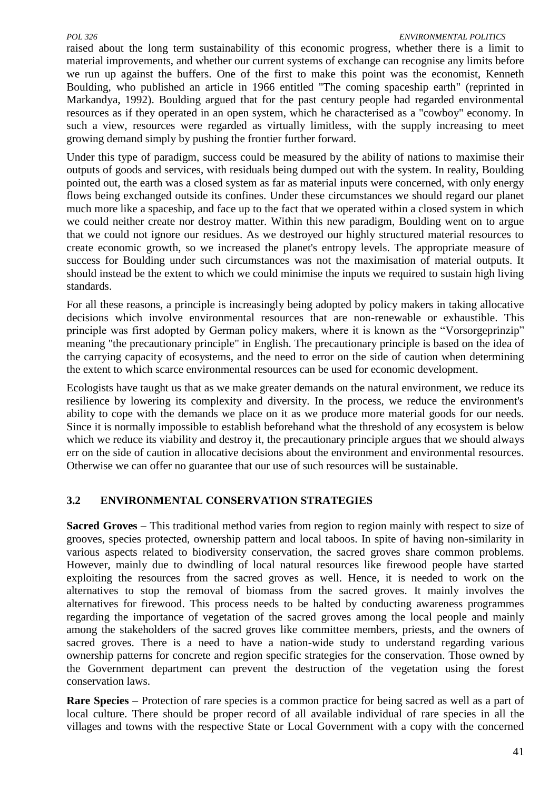raised about the long term sustainability of this economic progress, whether there is a limit to material improvements, and whether our current systems of exchange can recognise any limits before we run up against the buffers. One of the first to make this point was the economist, Kenneth Boulding, who published an article in 1966 entitled "The coming spaceship earth" (reprinted in Markandya, 1992). Boulding argued that for the past century people had regarded environmental resources as if they operated in an open system, which he characterised as a "cowboy" economy. In such a view, resources were regarded as virtually limitless, with the supply increasing to meet growing demand simply by pushing the frontier further forward.

Under this type of paradigm, success could be measured by the ability of nations to maximise their outputs of goods and services, with residuals being dumped out with the system. In reality, Boulding pointed out, the earth was a closed system as far as material inputs were concerned, with only energy flows being exchanged outside its confines. Under these circumstances we should regard our planet much more like a spaceship, and face up to the fact that we operated within a closed system in which we could neither create nor destroy matter. Within this new paradigm, Boulding went on to argue that we could not ignore our residues. As we destroyed our highly structured material resources to create economic growth, so we increased the planet's entropy levels. The appropriate measure of success for Boulding under such circumstances was not the maximisation of material outputs. It should instead be the extent to which we could minimise the inputs we required to sustain high living standards.

For all these reasons, a principle is increasingly being adopted by policy makers in taking allocative decisions which involve environmental resources that are non-renewable or exhaustible. This principle was first adopted by German policy makers, where it is known as the "Vorsorgeprinzip" meaning "the precautionary principle" in English. The precautionary principle is based on the idea of the carrying capacity of ecosystems, and the need to error on the side of caution when determining the extent to which scarce environmental resources can be used for economic development.

Ecologists have taught us that as we make greater demands on the natural environment, we reduce its resilience by lowering its complexity and diversity. In the process, we reduce the environment's ability to cope with the demands we place on it as we produce more material goods for our needs. Since it is normally impossible to establish beforehand what the threshold of any ecosystem is below which we reduce its viability and destroy it, the precautionary principle argues that we should always err on the side of caution in allocative decisions about the environment and environmental resources. Otherwise we can offer no guarantee that our use of such resources will be sustainable.

# **3.2 ENVIRONMENTAL CONSERVATION STRATEGIES**

**Sacred Groves –** This traditional method varies from region to region mainly with respect to size of grooves, species protected, ownership pattern and local taboos. In spite of having non-similarity in various aspects related to biodiversity conservation, the sacred groves share common problems. However, mainly due to dwindling of local natural resources like firewood people have started exploiting the resources from the sacred groves as well. Hence, it is needed to work on the alternatives to stop the removal of biomass from the sacred groves. It mainly involves the alternatives for firewood. This process needs to be halted by conducting awareness programmes regarding the importance of vegetation of the sacred groves among the local people and mainly among the stakeholders of the sacred groves like committee members, priests, and the owners of sacred groves. There is a need to have a nation-wide study to understand regarding various ownership patterns for concrete and region specific strategies for the conservation. Those owned by the Government department can prevent the destruction of the vegetation using the forest conservation laws.

**Rare Species –** Protection of rare species is a common practice for being sacred as well as a part of local culture. There should be proper record of all available individual of rare species in all the villages and towns with the respective State or Local Government with a copy with the concerned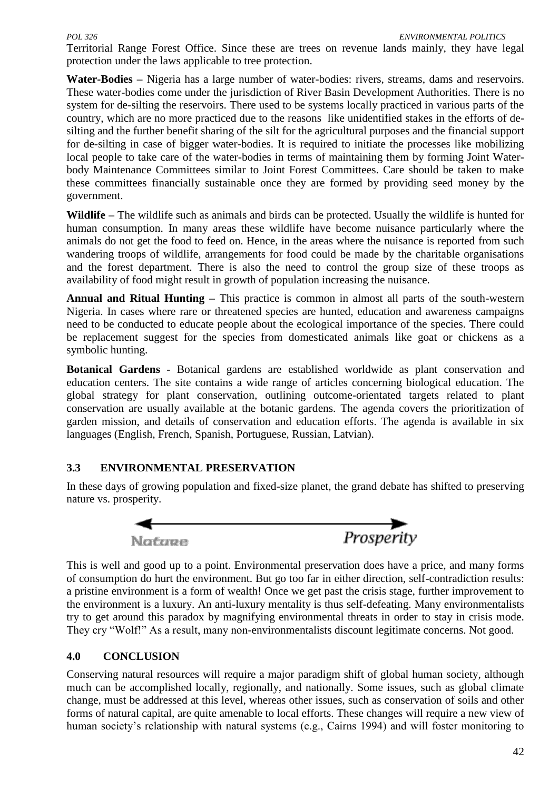Territorial Range Forest Office. Since these are trees on revenue lands mainly, they have legal protection under the laws applicable to tree protection.

**Water-Bodies –** Nigeria has a large number of water-bodies: rivers, streams, dams and reservoirs. These water-bodies come under the jurisdiction of River Basin Development Authorities. There is no system for de-silting the reservoirs. There used to be systems locally practiced in various parts of the country, which are no more practiced due to the reasons like unidentified stakes in the efforts of desilting and the further benefit sharing of the silt for the agricultural purposes and the financial support for de-silting in case of bigger water-bodies. It is required to initiate the processes like mobilizing local people to take care of the water-bodies in terms of maintaining them by forming Joint Waterbody Maintenance Committees similar to Joint Forest Committees. Care should be taken to make these committees financially sustainable once they are formed by providing seed money by the government.

**Wildlife –** The wildlife such as animals and birds can be protected. Usually the wildlife is hunted for human consumption. In many areas these wildlife have become nuisance particularly where the animals do not get the food to feed on. Hence, in the areas where the nuisance is reported from such wandering troops of wildlife, arrangements for food could be made by the charitable organisations and the forest department. There is also the need to control the group size of these troops as availability of food might result in growth of population increasing the nuisance.

**Annual and Ritual Hunting –** This practice is common in almost all parts of the south-western Nigeria. In cases where rare or threatened species are hunted, education and awareness campaigns need to be conducted to educate people about the ecological importance of the species. There could be replacement suggest for the species from domesticated animals like goat or chickens as a symbolic hunting.

**Botanical Gardens** - Botanical gardens are established worldwide as plant conservation and education centers. The site contains a wide range of articles concerning biological education. The global strategy for plant conservation*,* outlining outcome-orientated targets related to plant conservation are usually available at the botanic gardens. The agenda covers the prioritization of garden mission, and details of conservation and education efforts. The agenda is available in six languages (English, French, Spanish, Portuguese, Russian, Latvian).

# **3.3 ENVIRONMENTAL PRESERVATION**

In these days of growing population and fixed-size planet, the grand debate has shifted to preserving nature vs. prosperity.



This is well and good up to a point. Environmental preservation does have a price, and many forms of consumption do hurt the environment. But go too far in either direction, self-contradiction results: a pristine environment is a form of wealth! Once we get past the crisis stage, further improvement to the environment is a luxury. An anti-luxury mentality is thus self-defeating. Many environmentalists try to get around this paradox by magnifying environmental threats in order to stay in crisis mode. They cry "Wolf!" As a result, many non-environmentalists discount legitimate concerns. Not good.

# **4.0 CONCLUSION**

Conserving natural resources will require a major paradigm shift of global human society, although much can be accomplished locally, regionally, and nationally. Some issues, such as global climate change, must be addressed at this level, whereas other issues, such as conservation of soils and other forms of natural capital, are quite amenable to local efforts. These changes will require a new view of human society's relationship with natural systems (e.g., Cairns 1994) and will foster monitoring to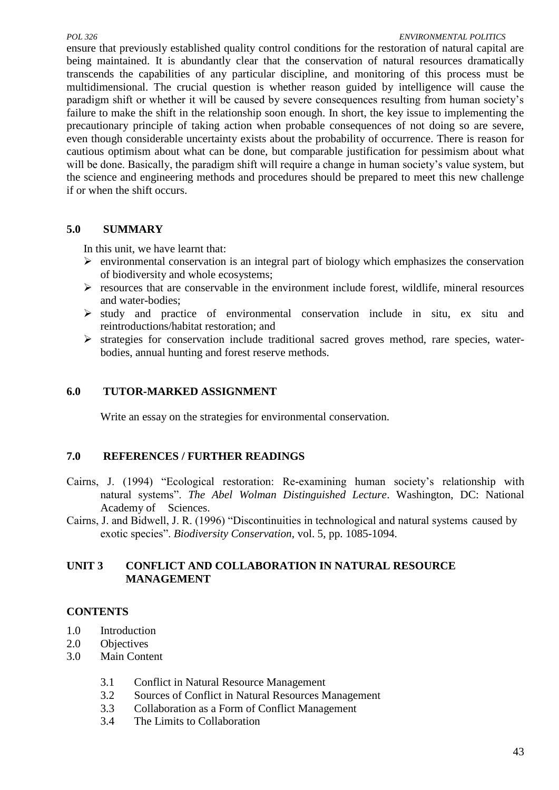#### *POL 326 ENVIRONMENTAL POLITICS*

ensure that previously established quality control conditions for the restoration of natural capital are being maintained. It is abundantly clear that the conservation of natural resources dramatically transcends the capabilities of any particular discipline, and monitoring of this process must be multidimensional. The crucial question is whether reason guided by intelligence will cause the paradigm shift or whether it will be caused by severe consequences resulting from human society's failure to make the shift in the relationship soon enough. In short, the key issue to implementing the precautionary principle of taking action when probable consequences of not doing so are severe, even though considerable uncertainty exists about the probability of occurrence. There is reason for cautious optimism about what can be done, but comparable justification for pessimism about what will be done. Basically, the paradigm shift will require a change in human society's value system, but the science and engineering methods and procedures should be prepared to meet this new challenge if or when the shift occurs.

### **5.0 SUMMARY**

In this unit, we have learnt that:

- $\triangleright$  environmental conservation is an integral part of biology which emphasizes the conservation of biodiversity and whole ecosystems;
- $\triangleright$  resources that are conservable in the environment include forest, wildlife, mineral resources and water-bodies;
- $\triangleright$  study and practice of environmental conservation include in situ, ex situ and reintroductions/habitat restoration; and
- $\triangleright$  strategies for conservation include traditional sacred groves method, rare species, waterbodies, annual hunting and forest reserve methods.

#### **6.0 TUTOR-MARKED ASSIGNMENT**

Write an essay on the strategies for environmental conservation.

#### **7.0 REFERENCES / FURTHER READINGS**

- Cairns, J. (1994) "Ecological restoration: Re-examining human society's relationship with natural systems". *The Abel Wolman Distinguished Lecture*. Washington, DC: National Academy of Sciences.
- Cairns, J. and Bidwell, J. R. (1996) "Discontinuities in technological and natural systems caused by exotic species". *Biodiversity Conservation*, vol. 5, pp. 1085-1094.

### **UNIT 3 CONFLICT AND COLLABORATION IN NATURAL RESOURCE MANAGEMENT**

### **CONTENTS**

- 1.0 Introduction
- 2.0 Objectives
- 3.0 Main Content
	- 3.1 Conflict in Natural Resource Management
	- 3.2 Sources of Conflict in Natural Resources Management
	- 3.3 Collaboration as a Form of Conflict Management
	- 3.4 The Limits to Collaboration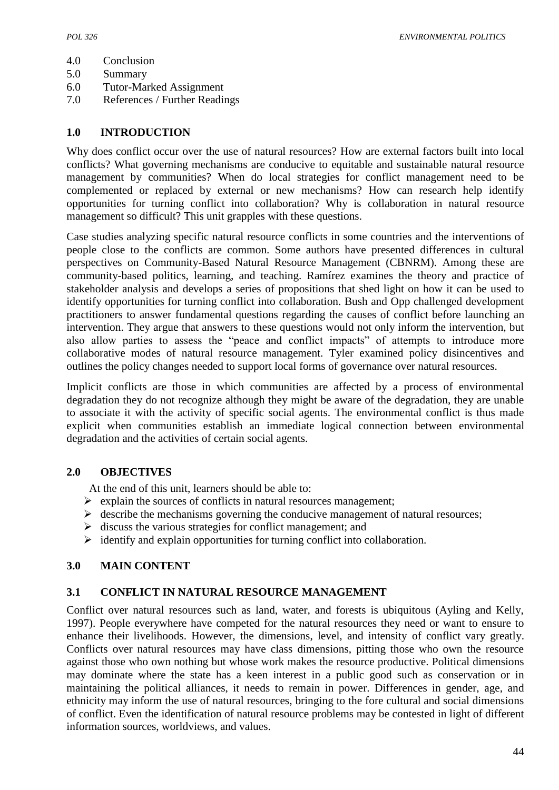- 4.0 Conclusion
- 5.0 Summary
- 6.0 Tutor-Marked Assignment<br>7.0 References / Further Readi
- References / Further Readings

# **1.0 INTRODUCTION**

Why does conflict occur over the use of natural resources? How are external factors built into local conflicts? What governing mechanisms are conducive to equitable and sustainable natural resource management by communities? When do local strategies for conflict management need to be complemented or replaced by external or new mechanisms? How can research help identify opportunities for turning conflict into collaboration? Why is collaboration in natural resource management so difficult? This unit grapples with these questions.

Case studies analyzing specific natural resource conflicts in some countries and the interventions of people close to the conflicts are common. Some authors have presented differences in cultural perspectives on Community-Based Natural Resource Management (CBNRM). Among these are community-based politics, learning, and teaching. Ramírez examines the theory and practice of stakeholder analysis and develops a series of propositions that shed light on how it can be used to identify opportunities for turning conflict into collaboration. Bush and Opp challenged development practitioners to answer fundamental questions regarding the causes of conflict before launching an intervention. They argue that answers to these questions would not only inform the intervention, but also allow parties to assess the "peace and conflict impacts" of attempts to introduce more collaborative modes of natural resource management. Tyler examined policy disincentives and outlines the policy changes needed to support local forms of governance over natural resources.

Implicit conflicts are those in which communities are affected by a process of environmental degradation they do not recognize although they might be aware of the degradation, they are unable to associate it with the activity of specific social agents. The environmental conflict is thus made explicit when communities establish an immediate logical connection between environmental degradation and the activities of certain social agents.

# **2.0 OBJECTIVES**

At the end of this unit, learners should be able to:

- $\triangleright$  explain the sources of conflicts in natural resources management;
- $\triangleright$  describe the mechanisms governing the conducive management of natural resources;
- $\triangleright$  discuss the various strategies for conflict management; and
- $\triangleright$  identify and explain opportunities for turning conflict into collaboration.

# **3.0 MAIN CONTENT**

#### **3.1 CONFLICT IN NATURAL RESOURCE MANAGEMENT**

Conflict over natural resources such as land, water, and forests is ubiquitous (Ayling and Kelly, 1997). People everywhere have competed for the natural resources they need or want to ensure to enhance their livelihoods. However, the dimensions, level, and intensity of conflict vary greatly. Conflicts over natural resources may have class dimensions, pitting those who own the resource against those who own nothing but whose work makes the resource productive. Political dimensions may dominate where the state has a keen interest in a public good such as conservation or in maintaining the political alliances, it needs to remain in power. Differences in gender, age, and ethnicity may inform the use of natural resources, bringing to the fore cultural and social dimensions of conflict. Even the identification of natural resource problems may be contested in light of different information sources, worldviews, and values.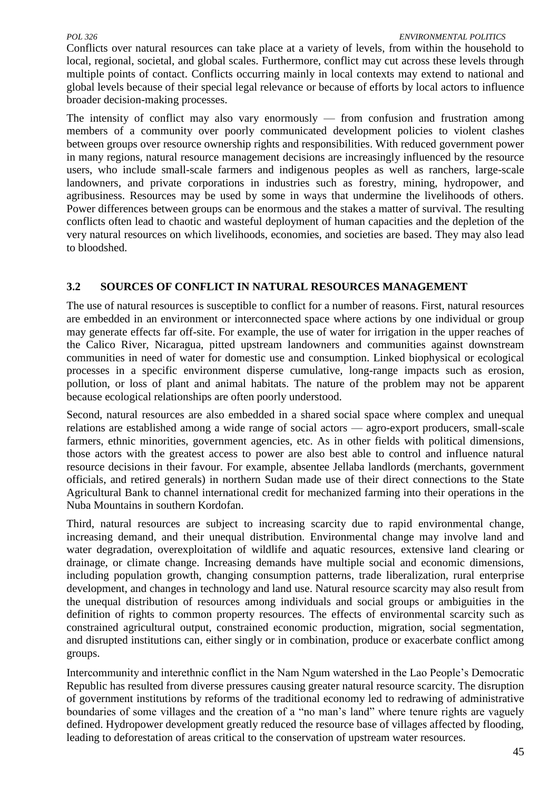#### *POL 326 ENVIRONMENTAL POLITICS*

Conflicts over natural resources can take place at a variety of levels, from within the household to local, regional, societal, and global scales. Furthermore, conflict may cut across these levels through multiple points of contact. Conflicts occurring mainly in local contexts may extend to national and global levels because of their special legal relevance or because of efforts by local actors to influence broader decision-making processes.

The intensity of conflict may also vary enormously — from confusion and frustration among members of a community over poorly communicated development policies to violent clashes between groups over resource ownership rights and responsibilities. With reduced government power in many regions, natural resource management decisions are increasingly influenced by the resource users, who include small-scale farmers and indigenous peoples as well as ranchers, large-scale landowners, and private corporations in industries such as forestry, mining, hydropower, and agribusiness. Resources may be used by some in ways that undermine the livelihoods of others. Power differences between groups can be enormous and the stakes a matter of survival. The resulting conflicts often lead to chaotic and wasteful deployment of human capacities and the depletion of the very natural resources on which livelihoods, economies, and societies are based. They may also lead to bloodshed.

# **3.2 SOURCES OF CONFLICT IN NATURAL RESOURCES MANAGEMENT**

The use of natural resources is susceptible to conflict for a number of reasons. First, natural resources are embedded in an environment or interconnected space where actions by one individual or group may generate effects far off-site. For example, the use of water for irrigation in the upper reaches of the Calico River, Nicaragua, pitted upstream landowners and communities against downstream communities in need of water for domestic use and consumption. Linked biophysical or ecological processes in a specific environment disperse cumulative, long-range impacts such as erosion, pollution, or loss of plant and animal habitats. The nature of the problem may not be apparent because ecological relationships are often poorly understood.

Second, natural resources are also embedded in a shared social space where complex and unequal relations are established among a wide range of social actors — agro-export producers, small-scale farmers, ethnic minorities, government agencies, etc. As in other fields with political dimensions, those actors with the greatest access to power are also best able to control and influence natural resource decisions in their favour. For example, absentee Jellaba landlords (merchants, government officials, and retired generals) in northern Sudan made use of their direct connections to the State Agricultural Bank to channel international credit for mechanized farming into their operations in the Nuba Mountains in southern Kordofan.

Third, natural resources are subject to increasing scarcity due to rapid environmental change, increasing demand, and their unequal distribution. Environmental change may involve land and water degradation, overexploitation of wildlife and aquatic resources, extensive land clearing or drainage, or climate change. Increasing demands have multiple social and economic dimensions, including population growth, changing consumption patterns, trade liberalization, rural enterprise development, and changes in technology and land use. Natural resource scarcity may also result from the unequal distribution of resources among individuals and social groups or ambiguities in the definition of rights to common property resources. The effects of environmental scarcity such as constrained agricultural output, constrained economic production, migration, social segmentation, and disrupted institutions can, either singly or in combination, produce or exacerbate conflict among groups.

Intercommunity and interethnic conflict in the Nam Ngum watershed in the Lao People's Democratic Republic has resulted from diverse pressures causing greater natural resource scarcity. The disruption of government institutions by reforms of the traditional economy led to redrawing of administrative boundaries of some villages and the creation of a "no man's land" where tenure rights are vaguely defined. Hydropower development greatly reduced the resource base of villages affected by flooding, leading to deforestation of areas critical to the conservation of upstream water resources.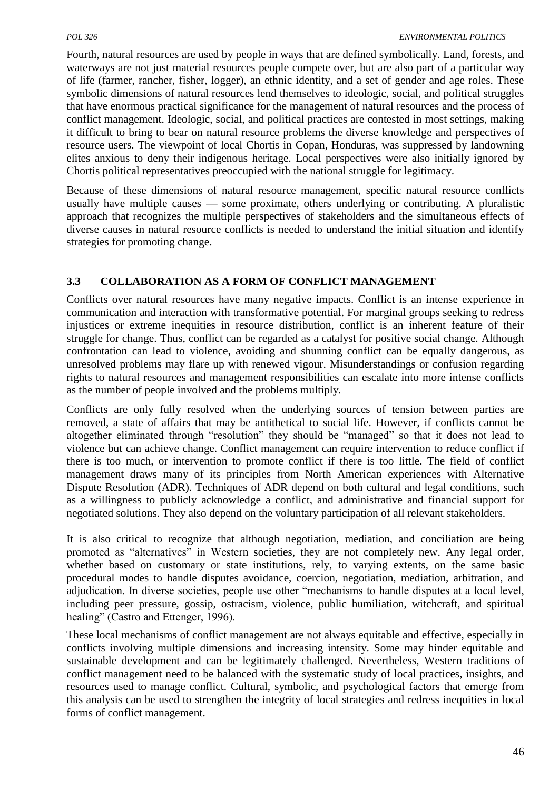Fourth, natural resources are used by people in ways that are defined symbolically. Land, forests, and waterways are not just material resources people compete over, but are also part of a particular way of life (farmer, rancher, fisher, logger), an ethnic identity, and a set of gender and age roles. These symbolic dimensions of natural resources lend themselves to ideologic, social, and political struggles that have enormous practical significance for the management of natural resources and the process of conflict management. Ideologic, social, and political practices are contested in most settings, making it difficult to bring to bear on natural resource problems the diverse knowledge and perspectives of resource users. The viewpoint of local Chortis in Copan, Honduras, was suppressed by landowning elites anxious to deny their indigenous heritage. Local perspectives were also initially ignored by Chortis political representatives preoccupied with the national struggle for legitimacy.

Because of these dimensions of natural resource management, specific natural resource conflicts usually have multiple causes — some proximate, others underlying or contributing. A pluralistic approach that recognizes the multiple perspectives of stakeholders and the simultaneous effects of diverse causes in natural resource conflicts is needed to understand the initial situation and identify strategies for promoting change.

# **3.3 COLLABORATION AS A FORM OF CONFLICT MANAGEMENT**

Conflicts over natural resources have many negative impacts. Conflict is an intense experience in communication and interaction with transformative potential. For marginal groups seeking to redress injustices or extreme inequities in resource distribution, conflict is an inherent feature of their struggle for change. Thus, conflict can be regarded as a catalyst for positive social change. Although confrontation can lead to violence, avoiding and shunning conflict can be equally dangerous, as unresolved problems may flare up with renewed vigour. Misunderstandings or confusion regarding rights to natural resources and management responsibilities can escalate into more intense conflicts as the number of people involved and the problems multiply.

Conflicts are only fully resolved when the underlying sources of tension between parties are removed, a state of affairs that may be antithetical to social life. However, if conflicts cannot be altogether eliminated through "resolution" they should be "managed" so that it does not lead to violence but can achieve change. Conflict management can require intervention to reduce conflict if there is too much, or intervention to promote conflict if there is too little. The field of conflict management draws many of its principles from North American experiences with Alternative Dispute Resolution (ADR). Techniques of ADR depend on both cultural and legal conditions, such as a willingness to publicly acknowledge a conflict, and administrative and financial support for negotiated solutions. They also depend on the voluntary participation of all relevant stakeholders.

It is also critical to recognize that although negotiation, mediation, and conciliation are being promoted as "alternatives" in Western societies, they are not completely new. Any legal order, whether based on customary or state institutions, rely, to varying extents, on the same basic procedural modes to handle disputes avoidance, coercion, negotiation, mediation, arbitration, and adjudication. In diverse societies, people use other "mechanisms to handle disputes at a local level, including peer pressure, gossip, ostracism, violence, public humiliation, witchcraft, and spiritual healing" (Castro and Ettenger, 1996).

These local mechanisms of conflict management are not always equitable and effective, especially in conflicts involving multiple dimensions and increasing intensity. Some may hinder equitable and sustainable development and can be legitimately challenged. Nevertheless, Western traditions of conflict management need to be balanced with the systematic study of local practices, insights, and resources used to manage conflict. Cultural, symbolic, and psychological factors that emerge from this analysis can be used to strengthen the integrity of local strategies and redress inequities in local forms of conflict management.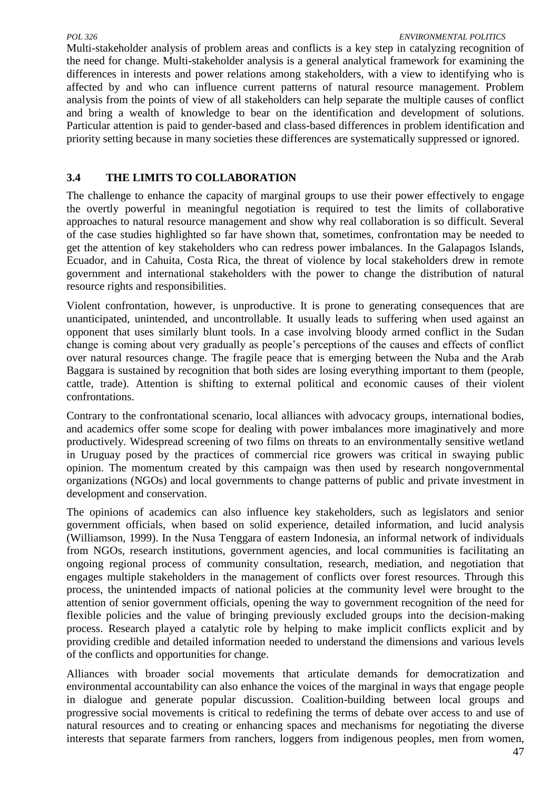Multi-stakeholder analysis of problem areas and conflicts is a key step in catalyzing recognition of the need for change. Multi-stakeholder analysis is a general analytical framework for examining the differences in interests and power relations among stakeholders, with a view to identifying who is affected by and who can influence current patterns of natural resource management. Problem analysis from the points of view of all stakeholders can help separate the multiple causes of conflict and bring a wealth of knowledge to bear on the identification and development of solutions. Particular attention is paid to gender-based and class-based differences in problem identification and priority setting because in many societies these differences are systematically suppressed or ignored.

# **3.4 THE LIMITS TO COLLABORATION**

The challenge to enhance the capacity of marginal groups to use their power effectively to engage the overtly powerful in meaningful negotiation is required to test the limits of collaborative approaches to natural resource management and show why real collaboration is so difficult. Several of the case studies highlighted so far have shown that, sometimes, confrontation may be needed to get the attention of key stakeholders who can redress power imbalances. In the Galapagos Islands, Ecuador, and in Cahuita, Costa Rica, the threat of violence by local stakeholders drew in remote government and international stakeholders with the power to change the distribution of natural resource rights and responsibilities.

Violent confrontation, however, is unproductive. It is prone to generating consequences that are unanticipated, unintended, and uncontrollable. It usually leads to suffering when used against an opponent that uses similarly blunt tools. In a case involving bloody armed conflict in the Sudan change is coming about very gradually as people's perceptions of the causes and effects of conflict over natural resources change. The fragile peace that is emerging between the Nuba and the Arab Baggara is sustained by recognition that both sides are losing everything important to them (people, cattle, trade). Attention is shifting to external political and economic causes of their violent confrontations.

Contrary to the confrontational scenario, local alliances with advocacy groups, international bodies, and academics offer some scope for dealing with power imbalances more imaginatively and more productively. Widespread screening of two films on threats to an environmentally sensitive wetland in Uruguay posed by the practices of commercial rice growers was critical in swaying public opinion. The momentum created by this campaign was then used by research nongovernmental organizations (NGOs) and local governments to change patterns of public and private investment in development and conservation.

The opinions of academics can also influence key stakeholders, such as legislators and senior government officials, when based on solid experience, detailed information, and lucid analysis (Williamson, 1999). In the Nusa Tenggara of eastern Indonesia, an informal network of individuals from NGOs, research institutions, government agencies, and local communities is facilitating an ongoing regional process of community consultation, research, mediation, and negotiation that engages multiple stakeholders in the management of conflicts over forest resources. Through this process, the unintended impacts of national policies at the community level were brought to the attention of senior government officials, opening the way to government recognition of the need for flexible policies and the value of bringing previously excluded groups into the decision-making process. Research played a catalytic role by helping to make implicit conflicts explicit and by providing credible and detailed information needed to understand the dimensions and various levels of the conflicts and opportunities for change.

Alliances with broader social movements that articulate demands for democratization and environmental accountability can also enhance the voices of the marginal in ways that engage people in dialogue and generate popular discussion. Coalition-building between local groups and progressive social movements is critical to redefining the terms of debate over access to and use of natural resources and to creating or enhancing spaces and mechanisms for negotiating the diverse interests that separate farmers from ranchers, loggers from indigenous peoples, men from women,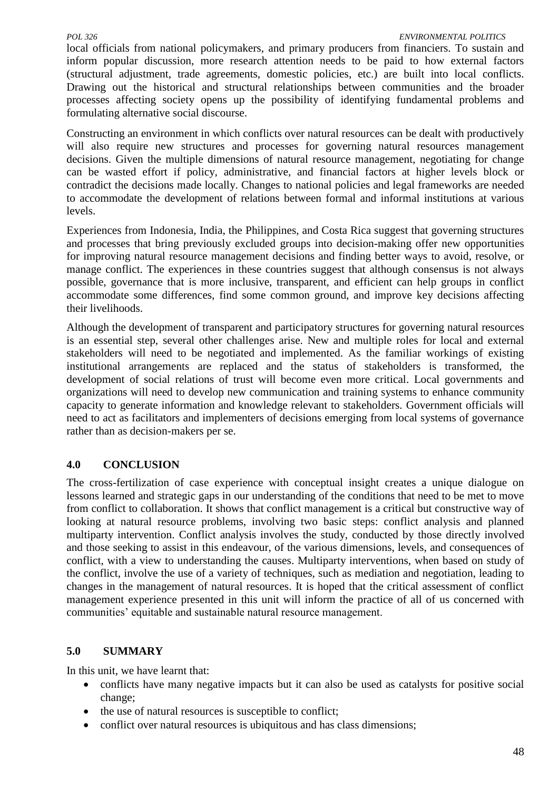#### *POL 326 ENVIRONMENTAL POLITICS*

local officials from national policymakers, and primary producers from financiers. To sustain and inform popular discussion, more research attention needs to be paid to how external factors (structural adjustment, trade agreements, domestic policies, etc.) are built into local conflicts. Drawing out the historical and structural relationships between communities and the broader processes affecting society opens up the possibility of identifying fundamental problems and formulating alternative social discourse.

Constructing an environment in which conflicts over natural resources can be dealt with productively will also require new structures and processes for governing natural resources management decisions. Given the multiple dimensions of natural resource management, negotiating for change can be wasted effort if policy, administrative, and financial factors at higher levels block or contradict the decisions made locally. Changes to national policies and legal frameworks are needed to accommodate the development of relations between formal and informal institutions at various levels.

Experiences from Indonesia, India, the Philippines, and Costa Rica suggest that governing structures and processes that bring previously excluded groups into decision-making offer new opportunities for improving natural resource management decisions and finding better ways to avoid, resolve, or manage conflict. The experiences in these countries suggest that although consensus is not always possible, governance that is more inclusive, transparent, and efficient can help groups in conflict accommodate some differences, find some common ground, and improve key decisions affecting their livelihoods.

Although the development of transparent and participatory structures for governing natural resources is an essential step, several other challenges arise. New and multiple roles for local and external stakeholders will need to be negotiated and implemented. As the familiar workings of existing institutional arrangements are replaced and the status of stakeholders is transformed, the development of social relations of trust will become even more critical. Local governments and organizations will need to develop new communication and training systems to enhance community capacity to generate information and knowledge relevant to stakeholders. Government officials will need to act as facilitators and implementers of decisions emerging from local systems of governance rather than as decision-makers per se.

# **4.0 CONCLUSION**

The cross-fertilization of case experience with conceptual insight creates a unique dialogue on lessons learned and strategic gaps in our understanding of the conditions that need to be met to move from conflict to collaboration. It shows that conflict management is a critical but constructive way of looking at natural resource problems, involving two basic steps: conflict analysis and planned multiparty intervention. Conflict analysis involves the study, conducted by those directly involved and those seeking to assist in this endeavour, of the various dimensions, levels, and consequences of conflict, with a view to understanding the causes. Multiparty interventions, when based on study of the conflict, involve the use of a variety of techniques, such as mediation and negotiation, leading to changes in the management of natural resources. It is hoped that the critical assessment of conflict management experience presented in this unit will inform the practice of all of us concerned with communities' equitable and sustainable natural resource management.

# **5.0 SUMMARY**

In this unit, we have learnt that:

- conflicts have many negative impacts but it can also be used as catalysts for positive social change;
- the use of natural resources is susceptible to conflict;
- conflict over natural resources is ubiquitous and has class dimensions;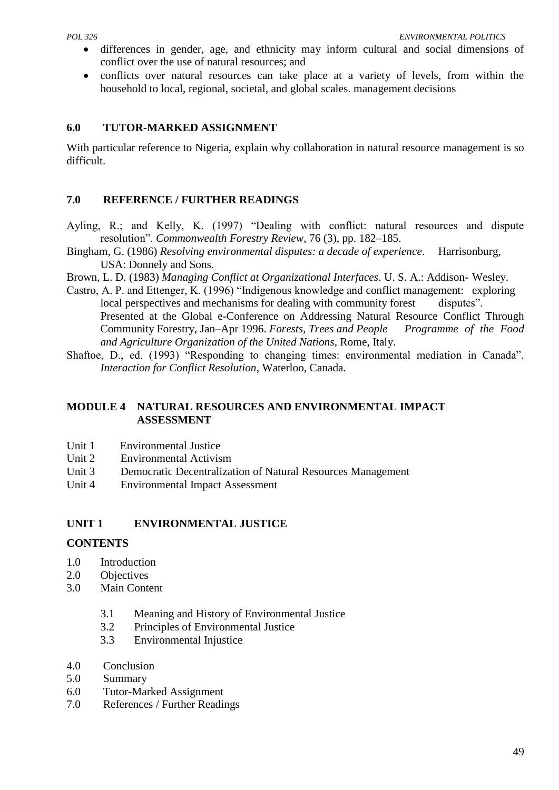- differences in gender, age, and ethnicity may inform cultural and social dimensions of conflict over the use of natural resources; and
- conflicts over natural resources can take place at a variety of levels, from within the household to local, regional, societal, and global scales. management decisions

# **6.0 TUTOR-MARKED ASSIGNMENT**

With particular reference to Nigeria, explain why collaboration in natural resource management is so difficult.

# **7.0 REFERENCE / FURTHER READINGS**

- Ayling, R.; and Kelly, K. (1997) "Dealing with conflict: natural resources and dispute resolution". *Commonwealth Forestry Review*, 76 (3), pp. 182–185.
- Bingham, G. (1986) *Resolving environmental disputes: a decade of experience*. Harrisonburg, USA: Donnely and Sons.
- Brown, L. D. (1983) *Managing Conflict at Organizational Interfaces*. U. S. A.: Addison- Wesley.
- Castro, A. P. and Ettenger, K. (1996) "Indigenous knowledge and conflict management: exploring local perspectives and mechanisms for dealing with community forest disputes". Presented at the Global e-Conference on Addressing Natural Resource Conflict Through Community Forestry, Jan–Apr 1996. *Forests, Trees and People Programme of the Food and Agriculture Organization of the United Nations*, Rome, Italy.
- Shaftoe, D., ed. (1993) "Responding to changing times: environmental mediation in Canada". *Interaction for Conflict Resolution*, Waterloo, Canada.

# **MODULE 4 NATURAL RESOURCES AND ENVIRONMENTAL IMPACT ASSESSMENT**

- Unit 1 Environmental Justice<br>Unit 2 Environmental Activis
- Environmental Activism
- Unit 3 Democratic Decentralization of Natural Resources Management
- Unit 4 Environmental Impact Assessment

# **UNIT 1 ENVIRONMENTAL JUSTICE**

# **CONTENTS**

- 1.0 Introduction
- 2.0 Objectives
- 3.0 Main Content
	- 3.1 Meaning and History of Environmental Justice
	- 3.2 Principles of Environmental Justice
	- 3.3 Environmental Injustice
- 4.0 Conclusion
- 5.0 Summary
- 6.0 Tutor-Marked Assignment
- 7.0 References / Further Readings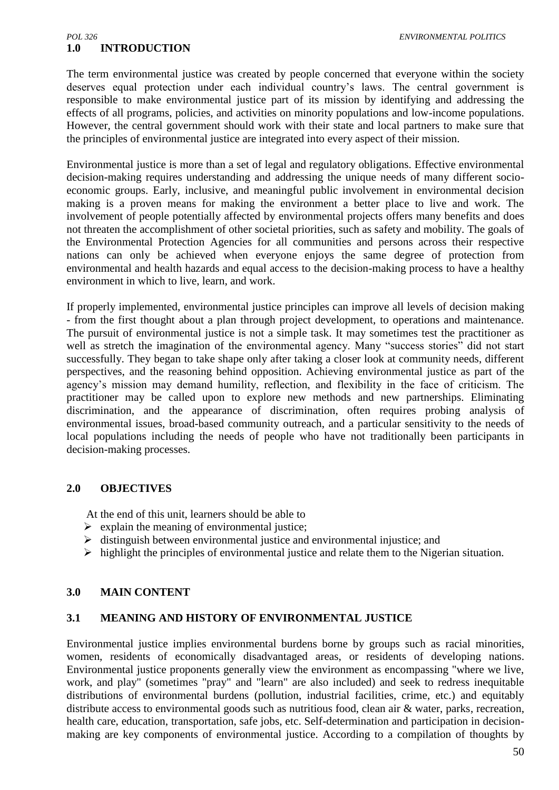#### *POL 326 ENVIRONMENTAL POLITICS* **1.0 INTRODUCTION**

The term environmental justice was created by people concerned that everyone within the society deserves equal protection under each individual country's laws. The central government is responsible to make environmental justice part of its mission by identifying and addressing the effects of all programs, policies, and activities on minority populations and low-income populations. However, the central government should work with their state and local partners to make sure that the principles of environmental justice are integrated into every aspect of their mission.

Environmental justice is more than a set of legal and regulatory obligations. Effective environmental decision-making requires understanding and addressing the unique needs of many different socioeconomic groups. Early, inclusive, and meaningful public involvement in environmental decision making is a proven means for making the environment a better place to live and work. The involvement of people potentially affected by environmental projects offers many benefits and does not threaten the accomplishment of other societal priorities, such as safety and mobility. The goals of the Environmental Protection Agencies for all communities and persons across their respective nations can only be achieved when everyone enjoys the same degree of protection from environmental and health hazards and equal access to the decision-making process to have a healthy environment in which to live, learn, and work.

If properly implemented, environmental justice principles can improve all levels of decision making - from the first thought about a plan through project development, to operations and maintenance. The pursuit of environmental justice is not a simple task. It may sometimes test the practitioner as well as stretch the imagination of the environmental agency. Many "success stories" did not start successfully. They began to take shape only after taking a closer look at community needs, different perspectives, and the reasoning behind opposition. Achieving environmental justice as part of the agency's mission may demand humility, reflection, and flexibility in the face of criticism. The practitioner may be called upon to explore new methods and new partnerships. Eliminating discrimination, and the appearance of discrimination, often requires probing analysis of environmental issues, broad-based community outreach, and a particular sensitivity to the needs of local populations including the needs of people who have not traditionally been participants in decision-making processes.

# **2.0 OBJECTIVES**

At the end of this unit, learners should be able to

- $\triangleright$  explain the meaning of environmental justice;
- $\triangleright$  distinguish between environmental justice and environmental injustice; and
- $\triangleright$  highlight the principles of environmental justice and relate them to the Nigerian situation.

# **3.0 MAIN CONTENT**

# **3.1 MEANING AND HISTORY OF ENVIRONMENTAL JUSTICE**

Environmental justice implies environmental burdens borne by groups such as [racial minorities,](http://en.wikipedia.org/wiki/Racial_minorities) [women,](http://en.wikipedia.org/wiki/Women) residents of [economically disadvantaged](http://en.wikipedia.org/wiki/Disadvantaged#Economically_disadvantaged) areas, or residents of [developing nations.](http://en.wikipedia.org/wiki/Developing_nations) Environmental justice proponents generally view the environment as encompassing "where we live, work, and play" (sometimes "pray" and "learn" are also included) and seek to redress inequitable distributions of environmental burdens (pollution, industrial facilities, crime, etc.) and equitably distribute access to environmental goods such as nutritious food, clean air & water, parks, recreation, health care, education, transportation, safe jobs, etc. Self-determination and participation in decisionmaking are key components of environmental justice. According to a compilation of thoughts by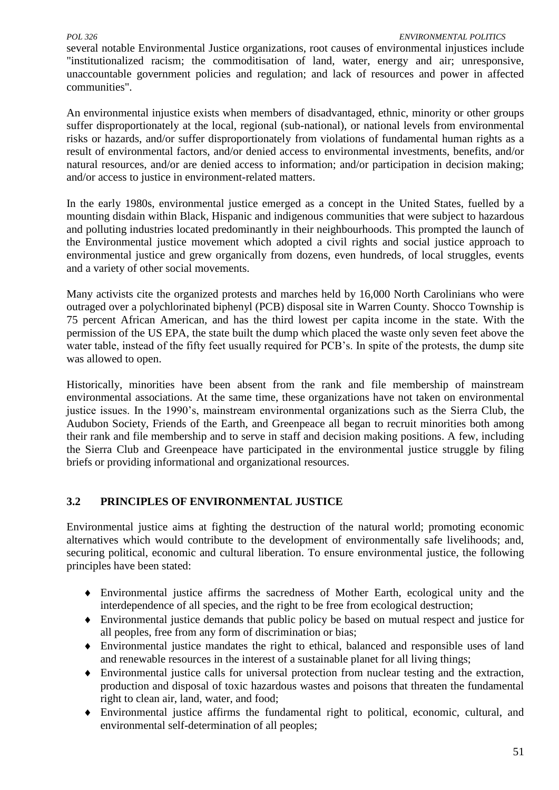#### *POL 326 ENVIRONMENTAL POLITICS*

several notable Environmental Justice organizations, root causes of environmental injustices include "institutionalized racism; the commoditisation of land, water, energy and air; unresponsive, unaccountable government policies and regulation; and lack of resources and power in affected communities".

An environmental injustice exists when members of disadvantaged, ethnic, minority or other groups suffer disproportionately at the local, regional (sub-national), or national levels from environmental risks or hazards, and/or suffer disproportionately from violations of fundamental human rights as a result of environmental factors, and/or denied access to environmental investments, benefits, and/or natural resources, and/or are denied access to information; and/or participation in decision making; and/or access to justice in environment-related matters.

In the early 1980s, environmental justice emerged as a concept in the [United States,](http://en.wikipedia.org/wiki/United_States) fuelled by a mounting disdain within Black, Hispanic and indigenous communities that were subject to hazardous and polluting industries located predominantly in their neighbourhoods. This prompted the launch of the [Environmental justice movement](http://en.wikipedia.org/wiki/Environmental_justice_movement) which adopted a civil rights and social justice approach to environmental justice and grew organically from dozens, even hundreds, of local struggles, events and a variety of other social movements.

Many activists cite the organized protests and marches held by 16,000 North Carolinians who were outraged over a polychlorinated biphenyl (PCB) disposal site in Warren County. Shocco Township is 75 percent African American, and has the third lowest per capita income in the state. With the permission of the US EPA, the state built the dump which placed the waste only seven feet above the water table, instead of the fifty feet usually required for PCB's. In spite of the protests, the dump site was allowed to open.

Historically, minorities have been absent from the rank and file membership of mainstream environmental associations. At the same time, these organizations have not taken on environmental justice issues. In the 1990's, mainstream environmental organizations such as the [Sierra Club,](http://en.wikipedia.org/wiki/Sierra_Club) the [Audubon Society,](http://en.wikipedia.org/wiki/Audubon_Society) [Friends of the Earth,](http://en.wikipedia.org/wiki/Friends_of_the_Earth) and [Greenpeace](http://en.wikipedia.org/wiki/Greenpeace) all began to recruit minorities both among their rank and file membership and to serve in staff and decision making positions. A few, including the Sierra Club and Greenpeace have participated in the environmental justice struggle by filing briefs or providing informational and organizational resources.

# **3.2 PRINCIPLES OF ENVIRONMENTAL JUSTICE**

Environmental justice aims at fighting the destruction of the natural world; promoting economic alternatives which would contribute to the development of environmentally safe livelihoods; and, securing political, economic and cultural liberation. To ensure environmental justice, the following principles have been stated:

- Environmental justice affirms the sacredness of Mother Earth, ecological unity and the interdependence of all species, and the right to be free from ecological destruction;
- Environmental justice demands that public policy be based on mutual respect and justice for all peoples, free from any form of discrimination or bias;
- Environmental justice mandates the right to ethical, balanced and responsible uses of land and renewable resources in the interest of a sustainable planet for all living things;
- Environmental justice calls for universal protection from nuclear testing and the extraction, production and disposal of toxic hazardous wastes and poisons that threaten the fundamental right to clean air, land, water, and food;
- Environmental justice affirms the fundamental right to political, economic, cultural, and environmental self-determination of all peoples;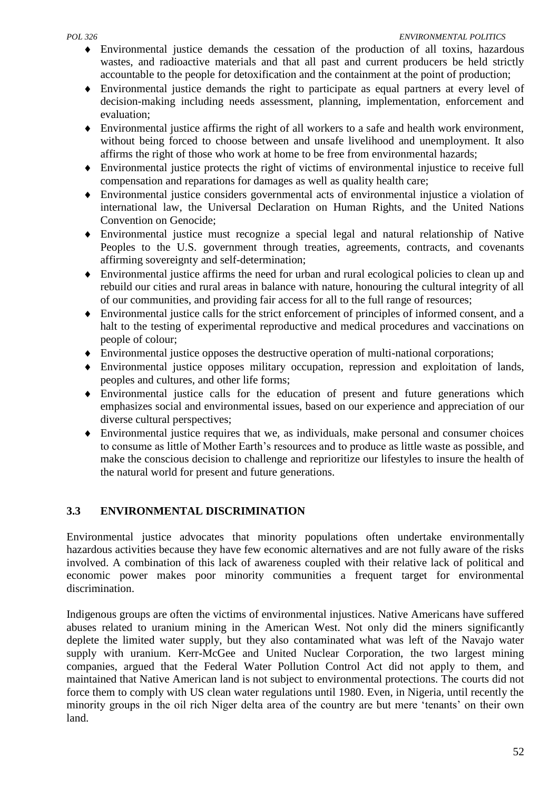- Environmental justice demands the cessation of the production of all toxins, hazardous wastes, and radioactive materials and that all past and current producers be held strictly accountable to the people for detoxification and the containment at the point of production;
- Environmental justice demands the right to participate as equal partners at every level of decision-making including needs assessment, planning, implementation, enforcement and evaluation;
- Environmental justice affirms the right of all workers to a safe and health work environment, without being forced to choose between and unsafe livelihood and unemployment. It also affirms the right of those who work at home to be free from environmental hazards;
- Environmental justice protects the right of victims of environmental injustice to receive full compensation and reparations for damages as well as quality health care;
- Environmental justice considers governmental acts of environmental injustice a violation of international law, the Universal Declaration on Human Rights, and the United Nations Convention on Genocide;
- Environmental justice must recognize a special legal and natural relationship of Native Peoples to the U.S. government through treaties, agreements, contracts, and covenants affirming sovereignty and self-determination;
- Environmental justice affirms the need for urban and rural ecological policies to clean up and rebuild our cities and rural areas in balance with nature, honouring the cultural integrity of all of our communities, and providing fair access for all to the full range of resources;
- Environmental justice calls for the strict enforcement of principles of informed consent, and a halt to the testing of experimental reproductive and medical procedures and vaccinations on people of colour;
- Environmental justice opposes the destructive operation of multi-national corporations;
- Environmental justice opposes military occupation, repression and exploitation of lands, peoples and cultures, and other life forms;
- Environmental justice calls for the education of present and future generations which emphasizes social and environmental issues, based on our experience and appreciation of our diverse cultural perspectives;
- Environmental justice requires that we, as individuals, make personal and consumer choices to consume as little of Mother Earth's resources and to produce as little waste as possible, and make the conscious decision to challenge and reprioritize our lifestyles to insure the health of the natural world for present and future generations.

# **3.3 ENVIRONMENTAL DISCRIMINATION**

Environmental justice advocates that minority populations often undertake environmentally hazardous activities because they have few economic alternatives and are not fully aware of the risks involved. A combination of this lack of awareness coupled with their relative lack of political and economic power makes poor minority communities a frequent target for environmental discrimination.

Indigenous groups are often the victims of environmental injustices. Native Americans have suffered abuses related to uranium mining in the American West. Not only did the miners significantly deplete the limited water supply, but they also contaminated what was left of the Navajo water supply with uranium. Kerr-McGee and United Nuclear Corporation, the two largest mining companies, argued that the Federal Water Pollution Control Act did not apply to them, and maintained that Native American land is not subject to environmental protections. The courts did not force them to comply with US clean water regulations until 1980. Even, in Nigeria, until recently the minority groups in the oil rich Niger delta area of the country are but mere 'tenants' on their own land.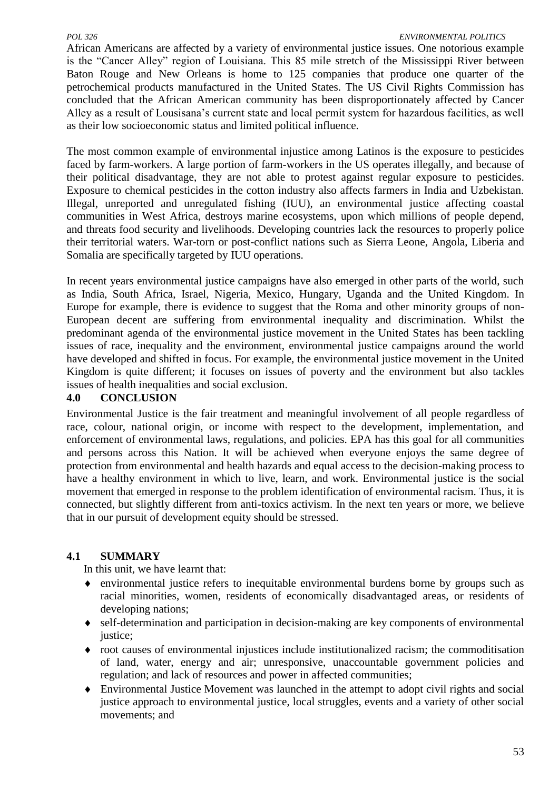#### *POL 326 ENVIRONMENTAL POLITICS*

African Americans are affected by a variety of environmental justice issues. One notorious example is the "Cancer Alley" region of Louisiana. This 85 mile stretch of the Mississippi River between Baton Rouge and New Orleans is home to 125 companies that produce one quarter of the petrochemical products manufactured in the United States. The US Civil Rights Commission has concluded that the African American community has been disproportionately affected by Cancer Alley as a result of Lousisana's current state and local permit system for hazardous facilities, as well as their low socioeconomic status and limited political influence.

The most common example of environmental injustice among Latinos is the exposure to pesticides faced by farm-workers. A large portion of farm-workers in the US operates illegally, and because of their political disadvantage, they are not able to protest against regular exposure to pesticides. Exposure to chemical pesticides in the cotton industry also affects farmers in India and Uzbekistan. [Illegal, unreported and unregulated fishing](http://en.wikipedia.org/wiki/Illegal,_unreported_and_unregulated_fishing) (IUU), an environmental justice affecting coastal communities in West Africa, destroys marine ecosystems, upon which millions of people depend, and threats food security and livelihoods. Developing countries lack the resources to properly police their territorial waters. War-torn or post-conflict nations such as [Sierra Leone,](http://en.wikipedia.org/wiki/Sierra_Leone) [Angola,](http://en.wikipedia.org/wiki/Angola) [Liberia](http://en.wikipedia.org/wiki/Liberia) and [Somalia](http://en.wikipedia.org/wiki/Somalia) are specifically targeted by [IUU](http://en.wikipedia.org/wiki/IUU) operations.

In recent years environmental justice campaigns have also emerged in other parts of the world, such as [India,](http://en.wikipedia.org/wiki/India) [South Africa,](http://en.wikipedia.org/wiki/South_Africa) [Israel,](http://en.wikipedia.org/wiki/Israel) [Nigeria,](http://en.wikipedia.org/wiki/Nigeria) [Mexico,](http://en.wikipedia.org/wiki/Mexico) [Hungary,](http://en.wikipedia.org/wiki/Hungary) [Uganda](http://en.wikipedia.org/wiki/Uganda) and the [United Kingdom.](http://en.wikipedia.org/wiki/United_Kingdom) In [Europe](http://en.wikipedia.org/wiki/Europe) for example, there is evidence to suggest that the [Roma](http://en.wikipedia.org/wiki/Roma_(Romani_subgroup)) and other minority groups of non-European decent are suffering from environmental inequality and discrimination. Whilst the predominant agenda of the environmental justice movement in the United States has been tackling issues of race, inequality and the environment, environmental justice campaigns around the world have developed and shifted in focus. For example, the environmental justice movement in the United Kingdom is quite different; it focuses on issues of poverty and the environment but also tackles issues of health inequalities and social exclusion.

# **4.0 CONCLUSION**

Environmental Justice is the fair treatment and meaningful involvement of all people regardless of race, colour, national origin, or income with respect to the development, implementation, and enforcement of environmental laws, regulations, and policies. EPA has this goal for all communities and persons across this Nation. It will be achieved when everyone enjoys the same degree of protection from environmental and health hazards and equal access to the decision-making process to have a healthy environment in which to live, learn, and work. Environmental justice is the social movement that emerged in response to the problem identification of environmental racism. Thus, it is connected, but slightly different from anti-toxics activism. In the next ten years or more, we believe that in our pursuit of development equity should be stressed.

# **4.1 SUMMARY**

In this unit, we have learnt that:

- environmental justice refers to inequitable environmental burdens borne by groups such as racial minorities, women, residents of economically disadvantaged areas, or residents of developing nations;
- self-determination and participation in decision-making are key components of environmental justice;
- root causes of environmental injustices include institutionalized racism; the commoditisation of land, water, energy and air; unresponsive, unaccountable government policies and regulation; and lack of resources and power in affected communities;
- Environmental Justice Movement was launched in the attempt to adopt civil rights and social justice approach to environmental justice, local struggles, events and a variety of other social movements; and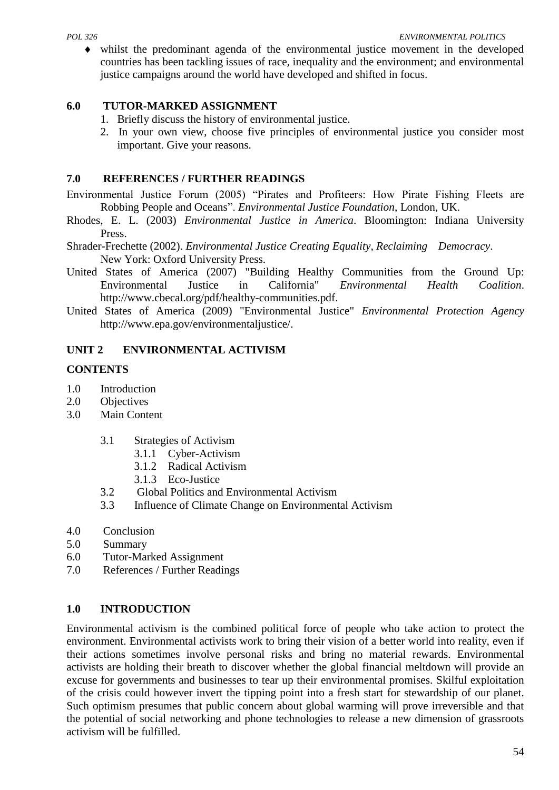whilst the predominant agenda of the environmental justice movement in the developed countries has been tackling issues of race, inequality and the environment; and environmental justice campaigns around the world have developed and shifted in focus.

### **6.0 TUTOR-MARKED ASSIGNMENT**

- 1. Briefly discuss the history of environmental justice.
- 2. In your own view, choose five principles of environmental justice you consider most important. Give your reasons.

# **7.0 REFERENCES / FURTHER READINGS**

Environmental Justice Forum (2005) "Pirates and Profiteers: How Pirate Fishing Fleets are Robbing People and Oceans". *Environmental Justice Foundation*, London, UK.

- Rhodes, E. L. (2003) *Environmental Justice in America*. Bloomington: Indiana University Press.
- Shrader-Frechette (2002). *Environmental Justice Creating Equality, Reclaiming Democracy*. New York: Oxford University Press.
- United States of America (2007) ["Building Healthy Communities from the Ground Up:](file:///D:/Building%20Healthy%20Communities%20from%20the%20Ground%20Up:%20%09Environmental%20Justice%20in%20California)  [Environmental Justice in California"](file:///D:/Building%20Healthy%20Communities%20from%20the%20Ground%20Up:%20%09Environmental%20Justice%20in%20California) *Environmental Health Coalition*. [http://www.cbecal.org/pdf/healthy-communities.pdf.](http://www.cbecal.org/pdf/healthy-communities.pdf)
- United States of America (2009) ["Environmental Justice"](http://www.epa.gov/environmentaljustice/) *Environmental Protection Agency* [http://www.epa.gov/environmentaljustice/.](http://www.epa.gov/environmentaljustice/)

# **UNIT 2 ENVIRONMENTAL ACTIVISM**

### **CONTENTS**

- 1.0 Introduction
- 2.0 Objectives
- 3.0 Main Content
	- 3.1 Strategies of Activism
		- 3.1.1 Cyber-Activism
		- 3.1.2 Radical Activism
		- 3.1.3 Eco-Justice
	- 3.2 Global Politics and Environmental Activism
	- 3.3 Influence of Climate Change on Environmental Activism
- 4.0 Conclusion
- 5.0 Summary
- 6.0 Tutor-Marked Assignment
- 7.0 References / Further Readings

# **1.0 INTRODUCTION**

Environmental activism is the combined political force of people who take action to protect the environment. Environmental activists work to bring their vision of a better world into reality, even if their actions sometimes involve personal risks and bring no material rewards. Environmental activists are holding their breath to discover whether the global financial meltdown will provide an excuse for governments and businesses to tear up their environmental promises. Skilful exploitation of the crisis could however invert the tipping point into a fresh start for stewardship of our planet. Such optimism presumes that public concern about global warming will prove irreversible and that the potential of social networking and phone technologies to release a new dimension of grassroots activism will be fulfilled.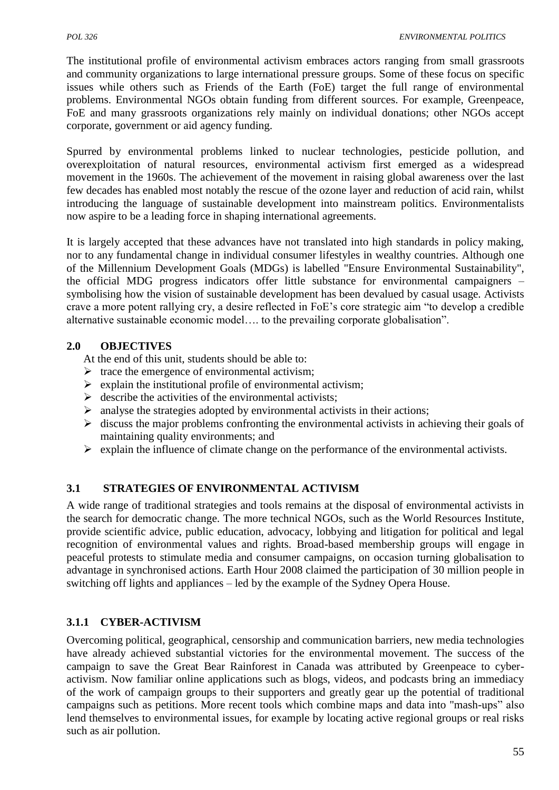The institutional profile of environmental activism embraces actors ranging from [small grassroots](http://www.somatiko.org.bw/)  [and community organizations](http://www.somatiko.org.bw/) to large international pressure groups. Some of these focus on [specific](http://www.ran.org/)  [issues](http://www.ran.org/) while others such as Friends of the Earth (FoE) target the full range of environmental problems. Environmental NGOs obtain funding from different sources. For example, Greenpeace, FoE and many grassroots organizations rely mainly on individual donations; other NGOs accept corporate, government or aid agency funding.

Spurred by environmental problems linked to nuclear technologies, pesticide pollution, and overexploitation of natural resources, environmental activism first emerged as a widespread movement in the 1960s. The [achievement of the movement](http://www.guardian.co.uk/environment/2008/jul/16/conservation) in raising global awareness over the last few decades has enabled most notably the rescue of the ozone layer and reduction of acid rain, whilst introducing the language of sustainable development into mainstream politics. Environmentalists now aspire to be a leading force in shaping international agreements.

It is largely accepted that these advances have not translated into high standards in policy making, nor to any fundamental change in individual consumer lifestyles in wealthy countries. Although one of the Millennium Development Goals (MDGs) is labelled "Ensure Environmental Sustainability", the [official MDG progress indicators](http://www.unmillenniumproject.org/goals/gti.htm#goal7) offer little substance for environmental campaigners – symbolising how the vision of sustainable development has been devalued by casual usage. Activists crave a more potent rallying cry, a desire reflected in FoE's core strategic aim "to develop a credible alternative sustainable economic model…. to the prevailing corporate globalisation".

# **2.0 OBJECTIVES**

At the end of this unit, students should be able to:

- $\triangleright$  trace the emergence of environmental activism;
- $\triangleright$  explain the institutional profile of environmental activism;
- $\triangleright$  describe the activities of the environmental activists;
- $\triangleright$  analyse the strategies adopted by environmental activists in their actions;
- $\triangleright$  discuss the major problems confronting the environmental activists in achieving their goals of maintaining quality environments; and
- $\triangleright$  explain the influence of climate change on the performance of the environmental activists.

# **3.1 STRATEGIES OF ENVIRONMENTAL ACTIVISM**

A wide range of traditional strategies and tools remains at the disposal of environmental activists in the search for democratic change. The more technical NGOs, such as the World Resources Institute, provide scientific advice, public education, advocacy, lobbying and litigation for political and legal recognition of environmental values and rights. Broad-based membership groups will engage in peaceful protests to stimulate media and consumer campaigns, on occasion turning globalisation to advantage in synchronised actions. [Earth Hour 2008](http://uk.oneworld.net/article/view/159223/1/) claimed the participation of 30 million people in switching off lights and appliances – led by the example of the Sydney Opera House.

# **3.1.1 CYBER-ACTIVISM**

Overcoming political, geographical, censorship and communication barriers, new media technologies have already achieved substantial victories for the environmental movement. The success of the campaign to save the Great Bear Rainforest in Canada was attributed by Greenpeace to cyberactivism. Now familiar online applications such as blogs, videos, and podcasts bring an immediacy of the work of campaign groups to their supporters and greatly gear up the potential of [traditional](http://www.activist.co.za/campaigns/2008/gmpotato.php)  [campaigns such as petitions.](http://www.activist.co.za/campaigns/2008/gmpotato.php) More recent tools which combine maps and data into "mash-ups" also lend themselves to environmental issues, for example by locating active regional groups or real risks such as air pollution.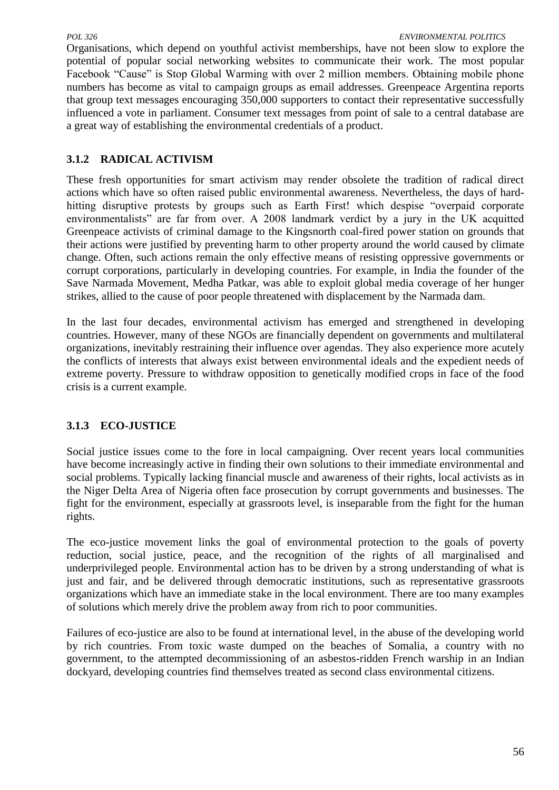Organisations, which depend on youthful activist memberships, have not been slow to explore the [potential of popular social networking websites](http://www.youtube.com/profile?user=friendsoftheearth) to communicate their work. The most popular Facebook "Cause" is Stop Global Warming with over 2 million members. Obtaining mobile phone numbers has become as vital to campaign groups as email addresses. Greenpeace Argentina reports that group text messages encouraging 350,000 supporters to contact their representative successfully influenced a vote in parliament. Consumer text messages from point of sale to a central database are a great way of establishing the environmental credentials of a product.

# **3.1.2 RADICAL ACTIVISM**

These fresh opportunities for smart activism may render obsolete the tradition of radical direct actions which have so often raised public environmental awareness. Nevertheless, the days of hardhitting disruptive protests by groups such as Earth First! which despise "overpaid corporate environmentalists" are far from over. A 2008 landmark verdict by a jury in the UK acquitted Greenpeace activists of [criminal damage to the Kingsnorth coal-fired power station](http://www.guardian.co.uk/environment/2008/sep/11/activists.kingsnorthclimatecamp) on grounds that their actions were justified by preventing harm to other property around the world caused by climate change. Often, such actions remain the only effective means of resisting oppressive governments or corrupt corporations, particularly in developing countries. For example, in India the founder of the Save Narmada Movement, Medha Patkar, was able to exploit [global media coverage of her hunger](http://news.bbc.co.uk/1/hi/world/south_asia/4916580.stm)  [strikes,](http://news.bbc.co.uk/1/hi/world/south_asia/4916580.stm) allied to the cause of poor people threatened with displacement by the Narmada dam.

In the last four decades, environmental activism has emerged and strengthened in developing countries. However, many of these NGOs are financially dependent on governments and multilateral organizations, inevitably restraining their influence over agendas. They also experience more acutely the conflicts of interests that always exist between environmental ideals and the expedient needs of extreme poverty. Pressure to withdraw opposition to genetically modified crops in face of the food crisis is a current example.

# **3.1.3 ECO-JUSTICE**

Social justice issues come to the fore in local campaigning. Over recent years local communities have become increasingly active in finding their own solutions to their immediate environmental and social problems. Typically lacking financial muscle and awareness of their rights, local activists as in the Niger Delta Area of Nigeria often face [prosecution by corrupt governments and businesses.](http://www.iht.com/articles/2007/04/23/asia/23web-china.php) The fight for the environment, especially at grassroots level, is inseparable from the fight for the human rights.

The eco-justice movement links the goal of environmental protection to the goals of poverty reduction, [social justice,](http://southasia.oneworld.net/article/view/134592/1/) peace, and the recognition of the rights of all marginalised and underprivileged people. Environmental action has to be driven by a strong understanding of what is just and fair, and be delivered through democratic institutions, such as representative grassroots organizations which have an immediate stake in the local environment. There are too many examples of solutions which merely drive the problem [away from rich to poor communities.](http://www.indiatogether.org/environment/opinions/raviag02-1.htm)

Failures of eco-justice are also to be found at international level, in the abuse of the developing world by rich countries. From toxic waste dumped on the beaches of Somalia, a country with no government, to the attempted [decommissioning of an asbestos-ridden French warship](http://southasia.oneworld.net/article/view/127782/1/47) in an Indian dockyard, developing countries find themselves treated as second class environmental citizens.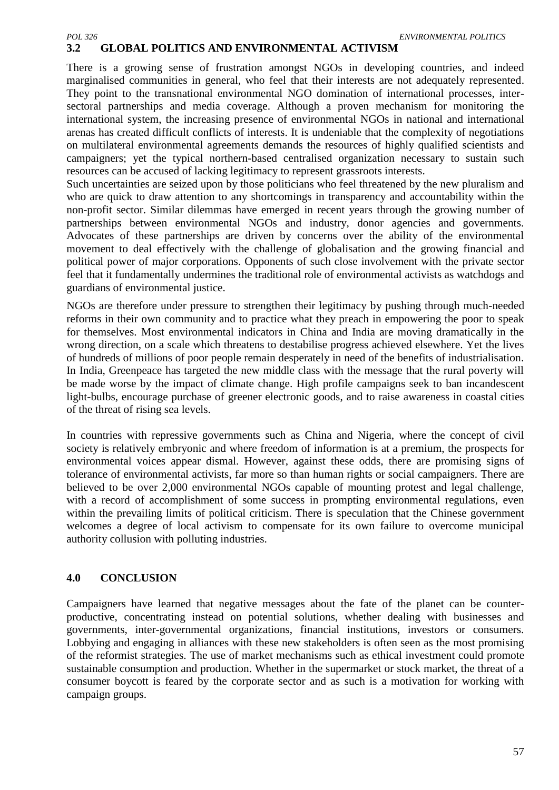#### **3.2 GLOBAL POLITICS AND ENVIRONMENTAL ACTIVISM**

There is a growing sense of frustration amongst NGOs in developing countries, and indeed marginalised communities in general, who feel that their interests are not adequately represented. They point to the transnational environmental NGO domination of international processes, intersectoral partnerships and media coverage. Although a proven mechanism for monitoring the international system, the [increasing presence of environmental NGOs](http://pubs.wri.org/pubs_content_text.cfm?ContentID=1821) in national and international arenas has created difficult conflicts of interests. It is undeniable that the complexity of negotiations on multilateral environmental agreements demands the resources of highly qualified scientists and campaigners; yet the typical northern-based centralised organization necessary to sustain such resources can be accused of lacking legitimacy to represent grassroots interests.

Such uncertainties are seized upon by those politicians who feel threatened by the new pluralism and who are quick to draw attention to any shortcomings in transparency and accountability within the non-profit sector. Similar dilemmas have emerged in recent years through the growing number of partnerships between environmental NGOs and industry, donor agencies and governments. Advocates of these partnerships are driven by concerns over the ability of the environmental movement to deal effectively with the challenge of globalisation and the growing financial and political power of major corporations. Opponents of such close involvement with the private sector feel that it fundamentally undermines the traditional role of environmental activists as watchdogs and guardians of environmental justice.

NGOs are therefore under pressure to [strengthen their legitimacy](http://www.globalpolicy.org/ngos/credib/2003/0613panel.htm) by pushing through much-needed reforms in their own community and to practice what they preach in empowering the poor to speak for themselves. Most environmental indicators in China and India are moving dramatically in the wrong direction, on a scale which threatens to destabilise progress achieved elsewhere. Yet the lives of hundreds of millions of poor people remain desperately in need of the benefits of industrialisation. In India, Greenpeace has targeted the new middle class with the message that the rural poverty will be made worse by the impact of climate change. High profile campaigns seek to ban incandescent light-bulbs, encourage purchase of [greener electronic goods,](http://www.greenpeace.org/india/news/nokia-bounces-back-to-the-top) and to raise awareness in coastal cities of the threat of rising sea levels.

In countries with repressive governments such as China and Nigeria, where the concept of civil society is relatively embryonic and where freedom of information is at a premium, the prospects for environmental voices appear dismal. However, against these odds, there are promising signs of [tolerance of environmental activists,](http://www.climate.org/topics/international-action/chinese-environmental-action.html) far more so than human rights or social campaigners. There are believed to be over 2,000 environmental NGOs capable of mounting protest and legal challenge, with a record of accomplishment of some success in prompting environmental regulations, even within the prevailing limits of political criticism. There is speculation that the Chinese government welcomes a degree of local activism to compensate for its own failure to overcome municipal authority collusion with polluting industries.

#### **4.0 CONCLUSION**

Campaigners have learned that negative messages about the fate of the planet can be counterproductive, concentrating instead on potential solutions, whether dealing with businesses and governments, inter-governmental organizations, financial institutions, investors or consumers. Lobbying and engaging in alliances with these new stakeholders is often seen as the most promising of the reformist strategies. The use of [market mechanisms such as ethical investment](http://www.foe.org/camps/intl/corpacct/wallstreet/index.html) could promote sustainable consumption and production. Whether in the supermarket or stock market, the threat of a consumer boycott is feared by the corporate sector and as such is a motivation for working with campaign groups.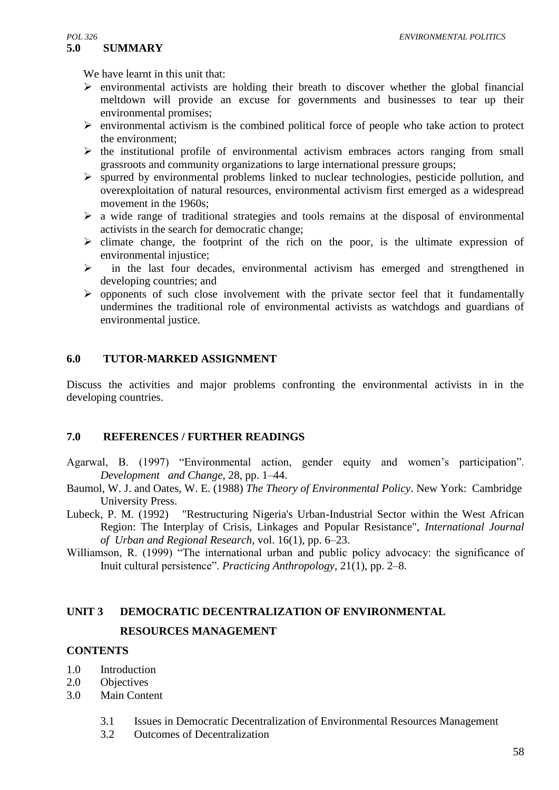We have learnt in this unit that:

- $\triangleright$  environmental activists are holding their breath to discover whether the global financial meltdown will provide an excuse for governments and businesses to tear up their environmental promises;
- $\triangleright$  environmental activism is the combined political force of people who take action to protect the environment;
- $\triangleright$  the institutional profile of environmental activism embraces actors ranging from small grassroots and community organizations to large international pressure groups;
- $\triangleright$  spurred by environmental problems linked to nuclear technologies, pesticide pollution, and overexploitation of natural resources, environmental activism first emerged as a widespread movement in the 1960s;
- $\triangleright$  a wide range of traditional strategies and tools remains at the disposal of environmental activists in the search for democratic change;
- $\triangleright$  climate change, the footprint of the rich on the poor, is the ultimate expression of environmental injustice;
- $\triangleright$  in the last four decades, environmental activism has emerged and strengthened in developing countries; and
- $\triangleright$  opponents of such close involvement with the private sector feel that it fundamentally undermines the traditional role of environmental activists as watchdogs and guardians of environmental justice.

# **6.0 TUTOR-MARKED ASSIGNMENT**

Discuss the activities and major problems confronting the environmental activists in in the developing countries.

# **7.0 REFERENCES / FURTHER READINGS**

- Agarwal, B. (1997) "Environmental action, gender equity and women's participation". *Development and Change*, 28, pp. 1–44.
- Baumol, W. J. and Oates, W. E. (1988) *The Theory of Environmental Policy*. New York: Cambridge University Press.
- Lubeck, P. M. (1992) "Restructuring Nigeria's Urban-Industrial Sector within the West African Region: The Interplay of Crisis, Linkages and Popular Resistance", *International Journal of Urban and Regional Research*, vol. 16(1), pp. 6–23.
- Williamson, R. (1999) "The international urban and public policy advocacy: the significance of Inuit cultural persistence". *Practicing Anthropology*, 21(1), pp. 2–8.

# **UNIT 3 DEMOCRATIC DECENTRALIZATION OF ENVIRONMENTAL RESOURCES MANAGEMENT**

# **CONTENTS**

- 1.0 Introduction
- 2.0 Objectives
- 3.0 Main Content
	- 3.1 Issues in Democratic Decentralization of Environmental Resources Management
	- 3.2 Outcomes of Decentralization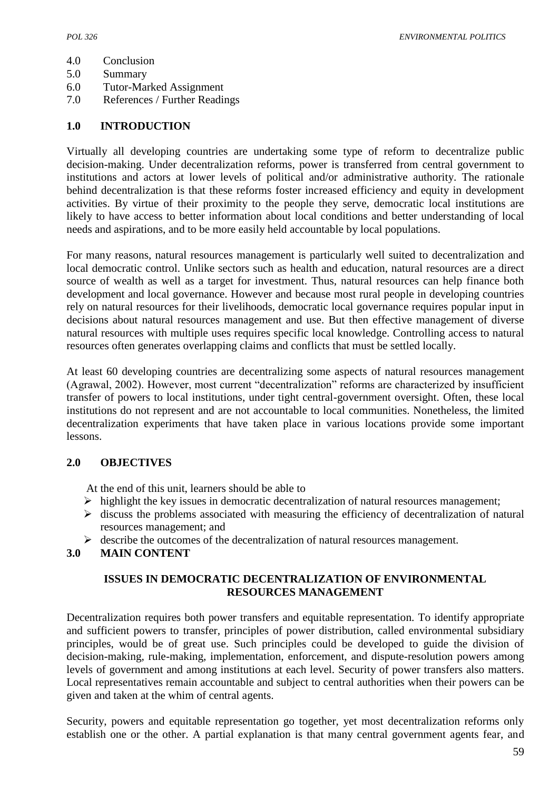- 4.0 Conclusion
- 5.0 Summary
- 6.0 Tutor-Marked Assignment
- 7.0 References / Further Readings

# **1.0 INTRODUCTION**

Virtually all developing countries are undertaking some type of reform to decentralize public decision-making. Under decentralization reforms, power is transferred from central government to institutions and actors at lower levels of political and/or administrative authority. The rationale behind decentralization is that these reforms foster increased efficiency and equity in development activities. By virtue of their proximity to the people they serve, democratic local institutions are likely to have access to better information about local conditions and better understanding of local needs and aspirations, and to be more easily held accountable by local populations.

For many reasons, natural resources management is particularly well suited to decentralization and local democratic control. Unlike sectors such as health and education, natural resources are a direct source of wealth as well as a target for investment. Thus, natural resources can help finance both development and local governance. However and because most rural people in developing countries rely on natural resources for their livelihoods, democratic local governance requires popular input in decisions about natural resources management and use. But then effective management of diverse natural resources with multiple uses requires specific local knowledge. Controlling access to natural resources often generates overlapping claims and conflicts that must be settled locally.

At least 60 developing countries are decentralizing some aspects of natural resources management (Agrawal, 2002). However, most current "decentralization" reforms are characterized by insufficient transfer of powers to local institutions, under tight central-government oversight. Often, these local institutions do not represent and are not accountable to local communities. Nonetheless, the limited decentralization experiments that have taken place in various locations provide some important lessons.

#### **2.0 OBJECTIVES**

At the end of this unit, learners should be able to

- $\triangleright$  highlight the key issues in democratic decentralization of natural resources management;
- $\triangleright$  discuss the problems associated with measuring the efficiency of decentralization of natural resources management; and
- $\triangleright$  describe the outcomes of the decentralization of natural resources management.

#### **3.0 MAIN CONTENT**

# **ISSUES IN DEMOCRATIC DECENTRALIZATION OF ENVIRONMENTAL RESOURCES MANAGEMENT**

Decentralization requires both power transfers and equitable representation. To identify appropriate and sufficient powers to transfer, principles of power distribution, called environmental subsidiary principles, would be of great use. Such principles could be developed to guide the division of decision-making, rule-making, implementation, enforcement, and dispute-resolution powers among levels of government and among institutions at each level. Security of power transfers also matters. Local representatives remain accountable and subject to central authorities when their powers can be given and taken at the whim of central agents.

Security, powers and equitable representation go together, yet most decentralization reforms only establish one or the other. A partial explanation is that many central government agents fear, and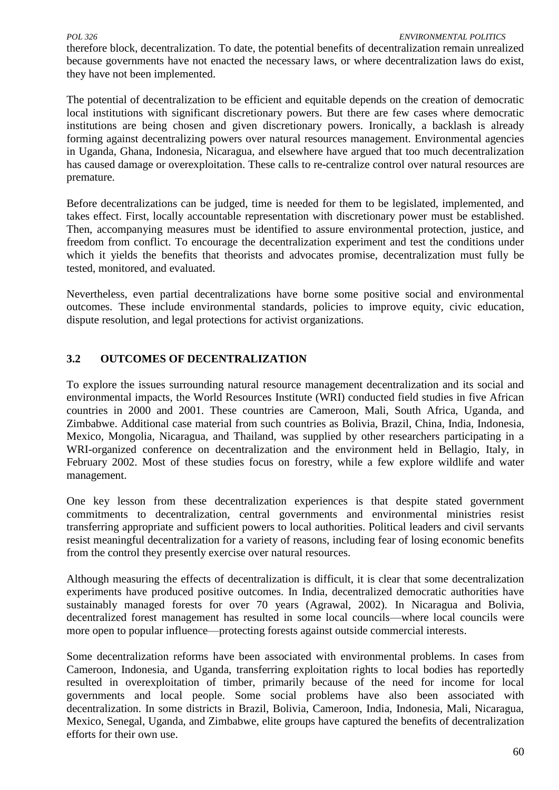therefore block, decentralization. To date, the potential benefits of decentralization remain unrealized because governments have not enacted the necessary laws, or where decentralization laws do exist, they have not been implemented.

The potential of decentralization to be efficient and equitable depends on the creation of democratic local institutions with significant discretionary powers. But there are few cases where democratic institutions are being chosen and given discretionary powers. Ironically, a backlash is already forming against decentralizing powers over natural resources management. Environmental agencies in Uganda, Ghana, Indonesia, Nicaragua, and elsewhere have argued that too much decentralization has caused damage or overexploitation. These calls to re-centralize control over natural resources are premature.

Before decentralizations can be judged, time is needed for them to be legislated, implemented, and takes effect. First, locally accountable representation with discretionary power must be established. Then, accompanying measures must be identified to assure environmental protection, justice, and freedom from conflict. To encourage the decentralization experiment and test the conditions under which it yields the benefits that theorists and advocates promise, decentralization must fully be tested, monitored, and evaluated.

Nevertheless, even partial decentralizations have borne some positive social and environmental outcomes. These include environmental standards, policies to improve equity, civic education, dispute resolution, and legal protections for activist organizations.

# **3.2 OUTCOMES OF DECENTRALIZATION**

To explore the issues surrounding natural resource management decentralization and its social and environmental impacts, the World Resources Institute (WRI) conducted field studies in five African countries in 2000 and 2001. These countries are Cameroon, Mali, South Africa, Uganda, and Zimbabwe. Additional case material from such countries as Bolivia, Brazil, China, India, Indonesia, Mexico, Mongolia, Nicaragua, and Thailand, was supplied by other researchers participating in a WRI-organized conference on decentralization and the environment held in Bellagio, Italy, in February 2002. Most of these studies focus on forestry, while a few explore wildlife and water management.

One key lesson from these decentralization experiences is that despite stated government commitments to decentralization, central governments and environmental ministries resist transferring appropriate and sufficient powers to local authorities. Political leaders and civil servants resist meaningful decentralization for a variety of reasons, including fear of losing economic benefits from the control they presently exercise over natural resources.

Although measuring the effects of decentralization is difficult, it is clear that some decentralization experiments have produced positive outcomes. In India, decentralized democratic authorities have sustainably managed forests for over 70 years (Agrawal, 2002). In Nicaragua and Bolivia, decentralized forest management has resulted in some local councils—where local councils were more open to popular influence—protecting forests against outside commercial interests.

Some decentralization reforms have been associated with environmental problems. In cases from Cameroon, Indonesia, and Uganda, transferring exploitation rights to local bodies has reportedly resulted in overexploitation of timber, primarily because of the need for income for local governments and local people. Some social problems have also been associated with decentralization. In some districts in Brazil, Bolivia, Cameroon, India, Indonesia, Mali, Nicaragua, Mexico, Senegal, Uganda, and Zimbabwe, elite groups have captured the benefits of decentralization efforts for their own use.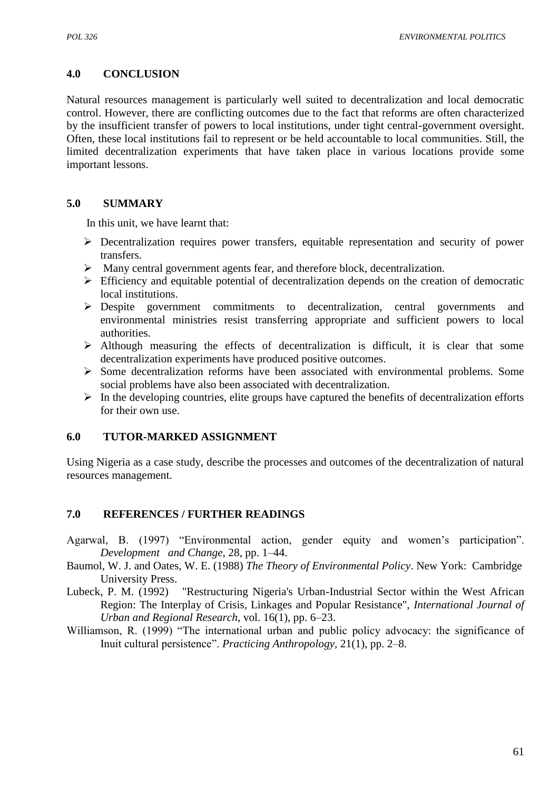# **4.0 CONCLUSION**

Natural resources management is particularly well suited to decentralization and local democratic control. However, there are conflicting outcomes due to the fact that reforms are often characterized by the insufficient transfer of powers to local institutions, under tight central-government oversight. Often, these local institutions fail to represent or be held accountable to local communities. Still, the limited decentralization experiments that have taken place in various locations provide some important lessons.

# **5.0 SUMMARY**

In this unit, we have learnt that:

- Decentralization requires power transfers, equitable representation and security of power transfers.
- $\triangleright$  Many central government agents fear, and therefore block, decentralization.
- $\triangleright$  Efficiency and equitable potential of decentralization depends on the creation of democratic local institutions.
- Despite government commitments to decentralization, central governments and environmental ministries resist transferring appropriate and sufficient powers to local authorities.
- $\triangleright$  Although measuring the effects of decentralization is difficult, it is clear that some decentralization experiments have produced positive outcomes.
- $\triangleright$  Some decentralization reforms have been associated with environmental problems. Some social problems have also been associated with decentralization.
- $\triangleright$  In the developing countries, elite groups have captured the benefits of decentralization efforts for their own use.

# **6.0 TUTOR-MARKED ASSIGNMENT**

Using Nigeria as a case study, describe the processes and outcomes of the decentralization of natural resources management.

# **7.0 REFERENCES / FURTHER READINGS**

- Agarwal, B. (1997) "Environmental action, gender equity and women's participation". *Development and Change*, 28, pp. 1–44.
- Baumol, W. J. and Oates, W. E. (1988) *The Theory of Environmental Policy*. New York: Cambridge University Press.
- Lubeck, P. M. (1992) "Restructuring Nigeria's Urban-Industrial Sector within the West African Region: The Interplay of Crisis, Linkages and Popular Resistance", *International Journal of Urban and Regional Research*, vol. 16(1), pp. 6–23.
- Williamson, R. (1999) "The international urban and public policy advocacy: the significance of Inuit cultural persistence". *Practicing Anthropology*, 21(1), pp. 2–8.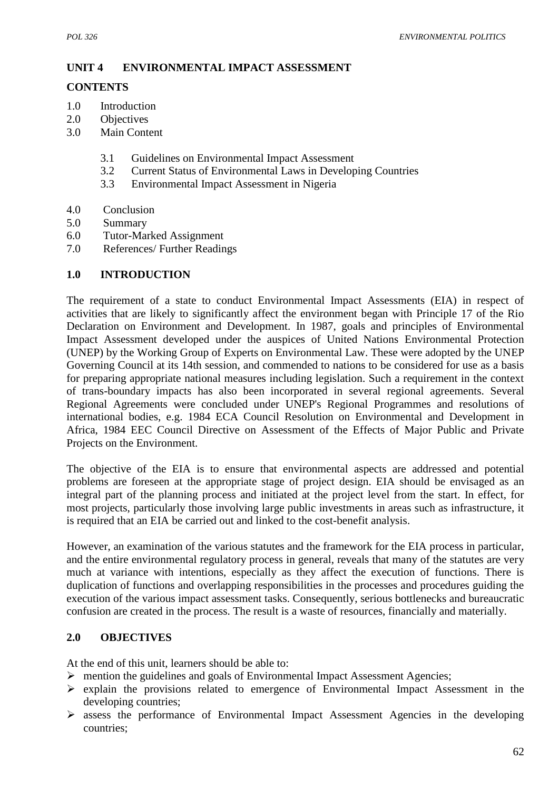# **UNIT 4 ENVIRONMENTAL IMPACT ASSESSMENT**

# **CONTENTS**

- 1.0 Introduction
- 2.0 Objectives
- 3.0 Main Content
	- 3.1 Guidelines on Environmental Impact Assessment<br>3.2 Current Status of Environmental Laws in Develor
	- 3.2 Current Status of Environmental Laws in Developing Countries
	- 3.3 Environmental Impact Assessment in Nigeria
- 4.0 Conclusion
- 5.0 Summary
- 6.0 Tutor-Marked Assignment
- 7.0 References/ Further Readings

# **1.0 INTRODUCTION**

The requirement of a state to conduct Environmental Impact Assessments (EIA) in respect of activities that are likely to significantly affect the environment began with Principle 17 of the Rio Declaration on Environment and Development. In 1987, goals and principles of Environmental Impact Assessment developed under the auspices of United Nations Environmental Protection (UNEP) by the Working Group of Experts on Environmental Law. These were adopted by the UNEP Governing Council at its 14th session, and commended to nations to be considered for use as a basis for preparing appropriate national measures including legislation. Such a requirement in the context of trans-boundary impacts has also been incorporated in several regional agreements. Several Regional Agreements were concluded under UNEP's Regional Programmes and resolutions of international bodies, e.g. 1984 ECA Council Resolution on Environmental and Development in Africa, 1984 EEC Council Directive on Assessment of the Effects of Major Public and Private Projects on the Environment.

The objective of the EIA is to ensure that environmental aspects are addressed and potential problems are foreseen at the appropriate stage of project design. EIA should be envisaged as an integral part of the planning process and initiated at the project level from the start. In effect, for most projects, particularly those involving large public investments in areas such as infrastructure, it is required that an EIA be carried out and linked to the cost-benefit analysis.

However, an examination of the various statutes and the framework for the EIA process in particular, and the entire environmental regulatory process in general, reveals that many of the statutes are very much at variance with intentions, especially as they affect the execution of functions. There is duplication of functions and overlapping responsibilities in the processes and procedures guiding the execution of the various impact assessment tasks. Consequently, serious bottlenecks and bureaucratic confusion are created in the process. The result is a waste of resources, financially and materially.

# **2.0 OBJECTIVES**

At the end of this unit, learners should be able to:

- $\triangleright$  mention the guidelines and goals of Environmental Impact Assessment Agencies;
- $\triangleright$  explain the provisions related to emergence of Environmental Impact Assessment in the developing countries;
- $\triangleright$  assess the performance of Environmental Impact Assessment Agencies in the developing countries;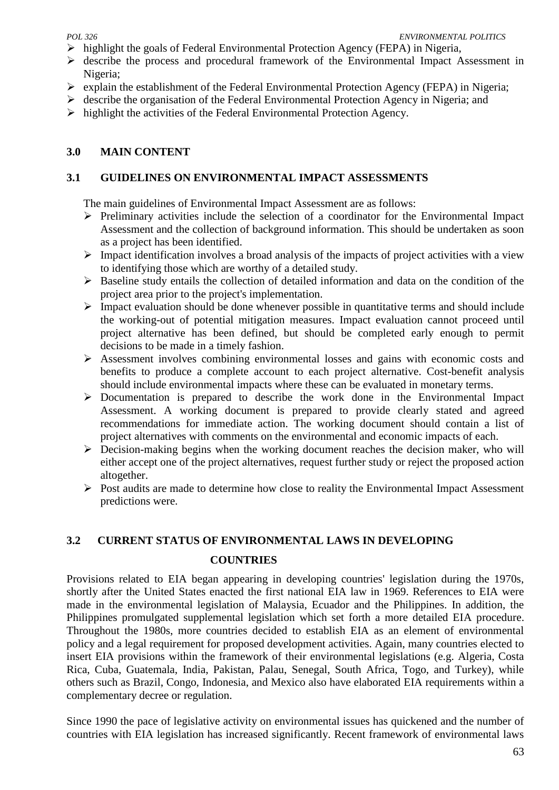- $\triangleright$  highlight the goals of Federal Environmental Protection Agency (FEPA) in Nigeria,
- $\triangleright$  describe the process and procedural framework of the Environmental Impact Assessment in Nigeria;
- $\triangleright$  explain the establishment of the Federal Environmental Protection Agency (FEPA) in Nigeria;
- $\triangleright$  describe the organisation of the Federal Environmental Protection Agency in Nigeria; and
- $\triangleright$  highlight the activities of the Federal Environmental Protection Agency.

### **3.0 MAIN CONTENT**

#### **3.1 GUIDELINES ON ENVIRONMENTAL IMPACT ASSESSMENTS**

The main guidelines of Environmental Impact Assessment are as follows:

- $\triangleright$  Preliminary activities include the selection of a coordinator for the Environmental Impact Assessment and the collection of background information. This should be undertaken as soon as a project has been identified.
- $\triangleright$  Impact identification involves a broad analysis of the impacts of project activities with a view to identifying those which are worthy of a detailed study.
- $\triangleright$  Baseline study entails the collection of detailed information and data on the condition of the project area prior to the project's implementation.
- $\triangleright$  Impact evaluation should be done whenever possible in quantitative terms and should include the working-out of potential mitigation measures. Impact evaluation cannot proceed until project alternative has been defined, but should be completed early enough to permit decisions to be made in a timely fashion.
- Assessment involves combining environmental losses and gains with economic costs and benefits to produce a complete account to each project alternative. Cost-benefit analysis should include environmental impacts where these can be evaluated in monetary terms.
- $\triangleright$  Documentation is prepared to describe the work done in the Environmental Impact Assessment. A working document is prepared to provide clearly stated and agreed recommendations for immediate action. The working document should contain a list of project alternatives with comments on the environmental and economic impacts of each.
- $\triangleright$  Decision-making begins when the working document reaches the decision maker, who will either accept one of the project alternatives, request further study or reject the proposed action altogether.
- $\triangleright$  Post audits are made to determine how close to reality the Environmental Impact Assessment predictions were.

# **3.2 CURRENT STATUS OF ENVIRONMENTAL LAWS IN DEVELOPING COUNTRIES**

Provisions related to EIA began appearing in developing countries' legislation during the 1970s, shortly after the United States enacted the first national EIA law in 1969. References to EIA were made in the environmental legislation of Malaysia, Ecuador and the Philippines. In addition, the Philippines promulgated supplemental legislation which set forth a more detailed EIA procedure. Throughout the 1980s, more countries decided to establish EIA as an element of environmental policy and a legal requirement for proposed development activities. Again, many countries elected to insert EIA provisions within the framework of their environmental legislations (e.g. Algeria, Costa Rica, Cuba, Guatemala, India, Pakistan, Palau, Senegal, South Africa, Togo, and Turkey), while others such as Brazil, Congo, Indonesia, and Mexico also have elaborated EIA requirements within a complementary decree or regulation.

Since 1990 the pace of legislative activity on environmental issues has quickened and the number of countries with EIA legislation has increased significantly. Recent framework of environmental laws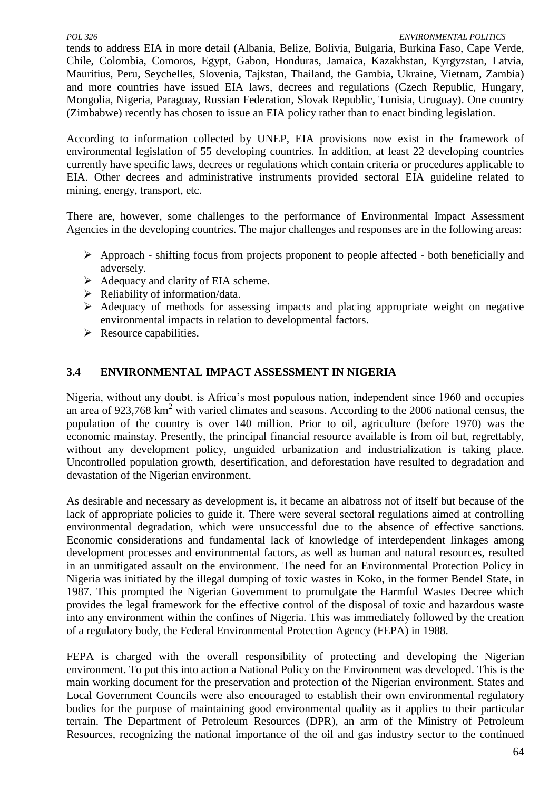#### *POL 326 ENVIRONMENTAL POLITICS*

tends to address EIA in more detail (Albania, Belize, Bolivia, Bulgaria, Burkina Faso, Cape Verde, Chile, Colombia, Comoros, Egypt, Gabon, Honduras, Jamaica, Kazakhstan, Kyrgyzstan, Latvia, Mauritius, Peru, Seychelles, Slovenia, Tajkstan, Thailand, the Gambia, Ukraine, Vietnam, Zambia) and more countries have issued EIA laws, decrees and regulations (Czech Republic, Hungary, Mongolia, Nigeria, Paraguay, Russian Federation, Slovak Republic, Tunisia, Uruguay). One country (Zimbabwe) recently has chosen to issue an EIA policy rather than to enact binding legislation.

According to information collected by UNEP, EIA provisions now exist in the framework of environmental legislation of 55 developing countries. In addition, at least 22 developing countries currently have specific laws, decrees or regulations which contain criteria or procedures applicable to EIA. Other decrees and administrative instruments provided sectoral EIA guideline related to mining, energy, transport, etc.

There are, however, some challenges to the performance of Environmental Impact Assessment Agencies in the developing countries. The major challenges and responses are in the following areas:

- $\triangleright$  Approach shifting focus from projects proponent to people affected both beneficially and adversely.
- $\triangleright$  Adequacy and clarity of EIA scheme.
- $\triangleright$  Reliability of information/data.
- $\triangleright$  Adequacy of methods for assessing impacts and placing appropriate weight on negative environmental impacts in relation to developmental factors.
- $\triangleright$  Resource capabilities.

### **3.4 ENVIRONMENTAL IMPACT ASSESSMENT IN NIGERIA**

Nigeria, without any doubt, is Africa's most populous nation, independent since 1960 and occupies an area of  $923,768 \text{ km}^2$  with varied climates and seasons. According to the 2006 national census, the population of the country is over 140 million. Prior to oil, agriculture (before 1970) was the economic mainstay. Presently, the principal financial resource available is from oil but, regrettably, without any development policy, unguided urbanization and industrialization is taking place. Uncontrolled population growth, desertification, and deforestation have resulted to degradation and devastation of the Nigerian environment.

As desirable and necessary as development is, it became an albatross not of itself but because of the lack of appropriate policies to guide it. There were several sectoral regulations aimed at controlling environmental degradation, which were unsuccessful due to the absence of effective sanctions. Economic considerations and fundamental lack of knowledge of interdependent linkages among development processes and environmental factors, as well as human and natural resources, resulted in an unmitigated assault on the environment. The need for an Environmental Protection Policy in Nigeria was initiated by the illegal dumping of toxic wastes in Koko, in the former Bendel State, in 1987. This prompted the Nigerian Government to promulgate the Harmful Wastes Decree which provides the legal framework for the effective control of the disposal of toxic and hazardous waste into any environment within the confines of Nigeria. This was immediately followed by the creation of a regulatory body, the Federal Environmental Protection Agency (FEPA) in 1988.

FEPA is charged with the overall responsibility of protecting and developing the Nigerian environment. To put this into action a National Policy on the Environment was developed. This is the main working document for the preservation and protection of the Nigerian environment. States and Local Government Councils were also encouraged to establish their own environmental regulatory bodies for the purpose of maintaining good environmental quality as it applies to their particular terrain. The Department of Petroleum Resources (DPR), an arm of the Ministry of Petroleum Resources, recognizing the national importance of the oil and gas industry sector to the continued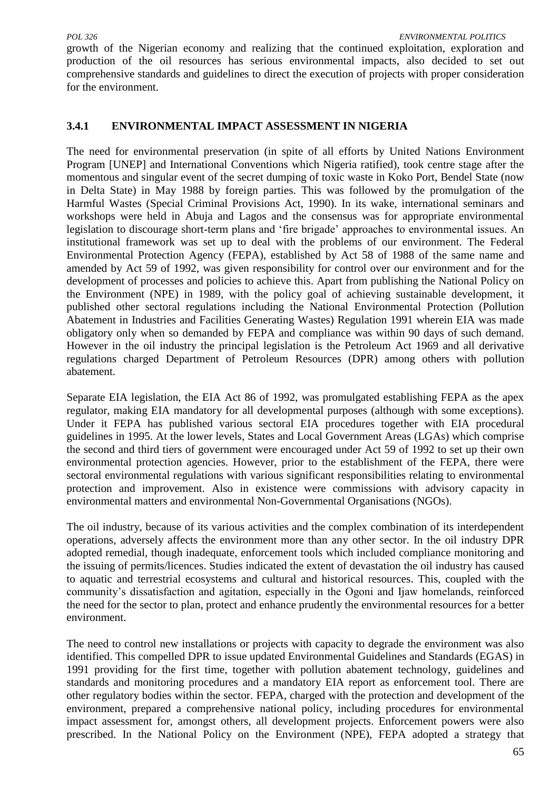growth of the Nigerian economy and realizing that the continued exploitation, exploration and production of the oil resources has serious environmental impacts, also decided to set out comprehensive standards and guidelines to direct the execution of projects with proper consideration for the environment.

# **3.4.1 ENVIRONMENTAL IMPACT ASSESSMENT IN NIGERIA**

The need for environmental preservation (in spite of all efforts by United Nations Environment Program [UNEP] and International Conventions which Nigeria ratified), took centre stage after the momentous and singular event of the secret dumping of toxic waste in Koko Port, Bendel State (now in Delta State) in May 1988 by foreign parties. This was followed by the promulgation of the Harmful Wastes (Special Criminal Provisions Act, 1990). In its wake, international seminars and workshops were held in Abuja and Lagos and the consensus was for appropriate environmental legislation to discourage short-term plans and 'fire brigade' approaches to environmental issues. An institutional framework was set up to deal with the problems of our environment. The Federal Environmental Protection Agency (FEPA), established by Act 58 of 1988 of the same name and amended by Act 59 of 1992, was given responsibility for control over our environment and for the development of processes and policies to achieve this. Apart from publishing the National Policy on the Environment (NPE) in 1989, with the policy goal of achieving sustainable development, it published other sectoral regulations including the National Environmental Protection (Pollution Abatement in Industries and Facilities Generating Wastes) Regulation 1991 wherein EIA was made obligatory only when so demanded by FEPA and compliance was within 90 days of such demand. However in the oil industry the principal legislation is the Petroleum Act 1969 and all derivative regulations charged Department of Petroleum Resources (DPR) among others with pollution abatement.

Separate EIA legislation, the EIA Act 86 of 1992, was promulgated establishing FEPA as the apex regulator, making EIA mandatory for all developmental purposes (although with some exceptions). Under it FEPA has published various sectoral EIA procedures together with EIA procedural guidelines in 1995. At the lower levels, States and Local Government Areas (LGAs) which comprise the second and third tiers of government were encouraged under Act 59 of 1992 to set up their own environmental protection agencies. However, prior to the establishment of the FEPA, there were sectoral environmental regulations with various significant responsibilities relating to environmental protection and improvement. Also in existence were commissions with advisory capacity in environmental matters and environmental Non-Governmental Organisations (NGOs).

The oil industry, because of its various activities and the complex combination of its interdependent operations, adversely affects the environment more than any other sector. In the oil industry DPR adopted remedial, though inadequate, enforcement tools which included compliance monitoring and the issuing of permits/licences. Studies indicated the extent of devastation the oil industry has caused to aquatic and terrestrial ecosystems and cultural and historical resources. This, coupled with the community's dissatisfaction and agitation, especially in the Ogoni and Ijaw homelands, reinforced the need for the sector to plan, protect and enhance prudently the environmental resources for a better environment.

The need to control new installations or projects with capacity to degrade the environment was also identified. This compelled DPR to issue updated Environmental Guidelines and Standards (EGAS) in 1991 providing for the first time, together with pollution abatement technology, guidelines and standards and monitoring procedures and a mandatory EIA report as enforcement tool. There are other regulatory bodies within the sector. FEPA, charged with the protection and development of the environment, prepared a comprehensive national policy, including procedures for environmental impact assessment for, amongst others, all development projects. Enforcement powers were also prescribed. In the National Policy on the Environment (NPE), FEPA adopted a strategy that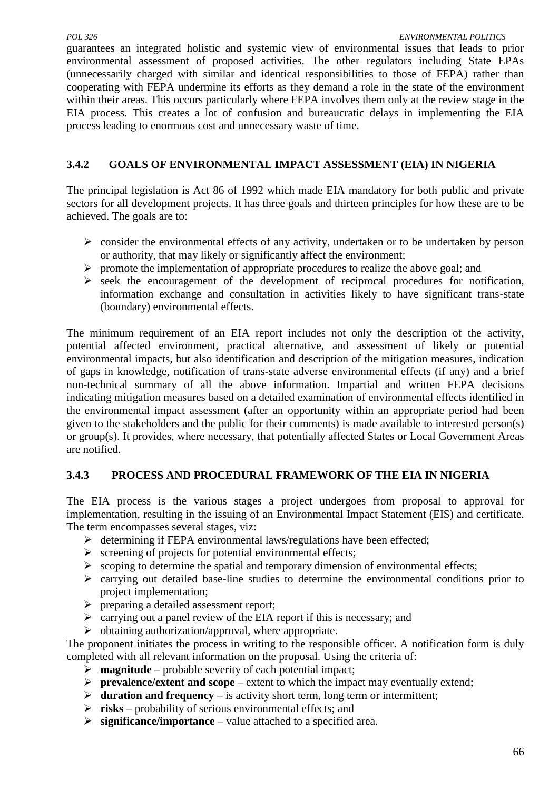guarantees an integrated holistic and systemic view of environmental issues that leads to prior environmental assessment of proposed activities. The other regulators including State EPAs (unnecessarily charged with similar and identical responsibilities to those of FEPA) rather than cooperating with FEPA undermine its efforts as they demand a role in the state of the environment within their areas. This occurs particularly where FEPA involves them only at the review stage in the EIA process. This creates a lot of confusion and bureaucratic delays in implementing the EIA process leading to enormous cost and unnecessary waste of time.

# **3.4.2 GOALS OF ENVIRONMENTAL IMPACT ASSESSMENT (EIA) IN NIGERIA**

The principal legislation is Act 86 of 1992 which made EIA mandatory for both public and private sectors for all development projects. It has three goals and thirteen principles for how these are to be achieved. The goals are to:

- $\triangleright$  consider the environmental effects of any activity, undertaken or to be undertaken by person or authority, that may likely or significantly affect the environment;
- $\triangleright$  promote the implementation of appropriate procedures to realize the above goal; and
- $\triangleright$  seek the encouragement of the development of reciprocal procedures for notification, information exchange and consultation in activities likely to have significant trans-state (boundary) environmental effects.

The minimum requirement of an EIA report includes not only the description of the activity, potential affected environment, practical alternative, and assessment of likely or potential environmental impacts, but also identification and description of the mitigation measures, indication of gaps in knowledge, notification of trans-state adverse environmental effects (if any) and a brief non-technical summary of all the above information. Impartial and written FEPA decisions indicating mitigation measures based on a detailed examination of environmental effects identified in the environmental impact assessment (after an opportunity within an appropriate period had been given to the stakeholders and the public for their comments) is made available to interested person(s) or group(s). It provides, where necessary, that potentially affected States or Local Government Areas are notified.

# **3.4.3 PROCESS AND PROCEDURAL FRAMEWORK OF THE EIA IN NIGERIA**

The EIA process is the various stages a project undergoes from proposal to approval for implementation, resulting in the issuing of an Environmental Impact Statement (EIS) and certificate. The term encompasses several stages, viz:

- $\triangleright$  determining if FEPA environmental laws/regulations have been effected;
- $\triangleright$  screening of projects for potential environmental effects;
- $\triangleright$  scoping to determine the spatial and temporary dimension of environmental effects;
- $\triangleright$  carrying out detailed base-line studies to determine the environmental conditions prior to project implementation;
- > preparing a detailed assessment report;
- $\triangleright$  carrying out a panel review of the EIA report if this is necessary; and
- $\triangleright$  obtaining authorization/approval, where appropriate.

The proponent initiates the process in writing to the responsible officer. A notification form is duly completed with all relevant information on the proposal. Using the criteria of:

- $\triangleright$  **magnitude** probable severity of each potential impact;
- **prevalence/extent and scope** extent to which the impact may eventually extend;
- $\triangleright$  **duration and frequency** is activity short term, long term or intermittent;
- $\triangleright$  **risks** probability of serious environmental effects; and
- **significance/importance** value attached to a specified area.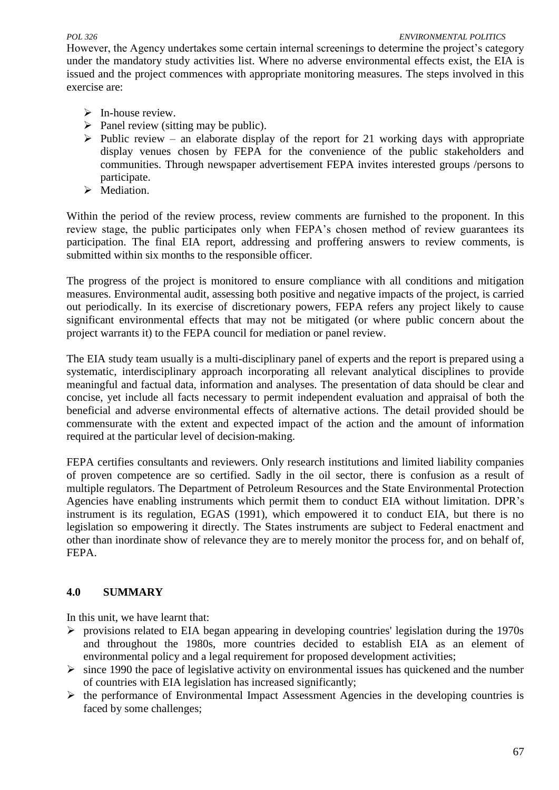However, the Agency undertakes some certain internal screenings to determine the project's category under the mandatory study activities list. Where no adverse environmental effects exist, the EIA is issued and the project commences with appropriate monitoring measures. The steps involved in this exercise are:

- $\triangleright$  In-house review.
- $\triangleright$  Panel review (sitting may be public).
- $\triangleright$  Public review an elaborate display of the report for 21 working days with appropriate display venues chosen by FEPA for the convenience of the public stakeholders and communities. Through newspaper advertisement FEPA invites interested groups /persons to participate.
- > Mediation.

Within the period of the review process, review comments are furnished to the proponent. In this review stage, the public participates only when FEPA's chosen method of review guarantees its participation. The final EIA report, addressing and proffering answers to review comments, is submitted within six months to the responsible officer.

The progress of the project is monitored to ensure compliance with all conditions and mitigation measures. Environmental audit, assessing both positive and negative impacts of the project, is carried out periodically. In its exercise of discretionary powers, FEPA refers any project likely to cause significant environmental effects that may not be mitigated (or where public concern about the project warrants it) to the FEPA council for mediation or panel review.

The EIA study team usually is a multi-disciplinary panel of experts and the report is prepared using a systematic, interdisciplinary approach incorporating all relevant analytical disciplines to provide meaningful and factual data, information and analyses. The presentation of data should be clear and concise, yet include all facts necessary to permit independent evaluation and appraisal of both the beneficial and adverse environmental effects of alternative actions. The detail provided should be commensurate with the extent and expected impact of the action and the amount of information required at the particular level of decision-making.

FEPA certifies consultants and reviewers. Only research institutions and limited liability companies of proven competence are so certified. Sadly in the oil sector, there is confusion as a result of multiple regulators. The Department of Petroleum Resources and the State Environmental Protection Agencies have enabling instruments which permit them to conduct EIA without limitation. DPR's instrument is its regulation, EGAS (1991), which empowered it to conduct EIA, but there is no legislation so empowering it directly. The States instruments are subject to Federal enactment and other than inordinate show of relevance they are to merely monitor the process for, and on behalf of, FEPA.

# **4.0 SUMMARY**

In this unit, we have learnt that:

- $\triangleright$  provisions related to EIA began appearing in developing countries' legislation during the 1970s and throughout the 1980s, more countries decided to establish EIA as an element of environmental policy and a legal requirement for proposed development activities;
- $\triangleright$  since 1990 the pace of legislative activity on environmental issues has quickened and the number of countries with EIA legislation has increased significantly;
- $\triangleright$  the performance of Environmental Impact Assessment Agencies in the developing countries is faced by some challenges;